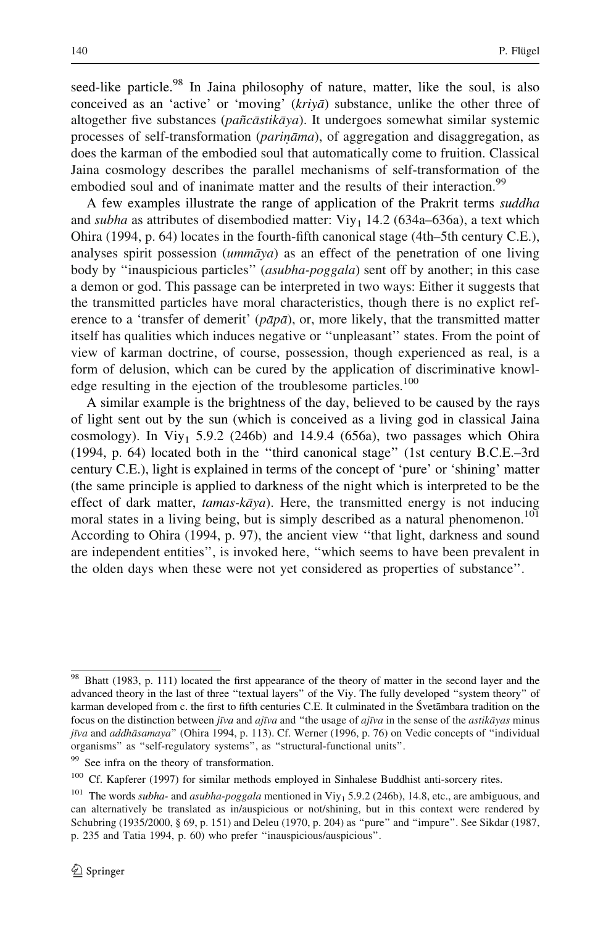seed-like particle.<sup>98</sup> In Jaina philosophy of nature, matter, like the soul, is also conceived as an 'active' or 'moving'  $(kriy\bar{a})$  substance, unlike the other three of altogether five substances ( $pañcāstikāya$ ). It undergoes somewhat similar systemic processes of self-transformation (parināma), of aggregation and disaggregation, as does the karman of the embodied soul that automatically come to fruition. Classical Jaina cosmology describes the parallel mechanisms of self-transformation of the embodied soul and of inanimate matter and the results of their interaction.<sup>99</sup>

A few examples illustrate the range of application of the Prakrit terms suddha and subha as attributes of disembodied matter:  $V_iv_1$  14.2 (634a–636a), a text which Ohira (1994, p. 64) locates in the fourth-fifth canonical stage (4th–5th century C.E.), analyses spirit possession ( $umm\bar{a}ya$ ) as an effect of the penetration of one living body by "inauspicious particles" (*asubha-poggala*) sent off by another; in this case a demon or god. This passage can be interpreted in two ways: Either it suggests that the transmitted particles have moral characteristics, though there is no explict reference to a 'transfer of demerit' ( $p\bar{a}p\bar{a}$ ), or, more likely, that the transmitted matter itself has qualities which induces negative or ''unpleasant'' states. From the point of view of karman doctrine, of course, possession, though experienced as real, is a form of delusion, which can be cured by the application of discriminative knowledge resulting in the ejection of the troublesome particles.<sup>100</sup>

A similar example is the brightness of the day, believed to be caused by the rays of light sent out by the sun (which is conceived as a living god in classical Jaina cosmology). In Viy<sub>1</sub> 5.9.2 (246b) and 14.9.4 (656a), two passages which Ohira (1994, p. 64) located both in the ''third canonical stage'' (1st century B.C.E.–3rd century C.E.), light is explained in terms of the concept of 'pure' or 'shining' matter (the same principle is applied to darkness of the night which is interpreted to be the effect of dark matter,  $tamas-kāya$ ). Here, the transmitted energy is not inducing moral states in a living being, but is simply described as a natural phenomenon.<sup>101</sup> According to Ohira (1994, p. 97), the ancient view ''that light, darkness and sound are independent entities'', is invoked here, ''which seems to have been prevalent in the olden days when these were not yet considered as properties of substance''.

<sup>&</sup>lt;sup>98</sup> Bhatt (1983, p. 111) located the first appearance of the theory of matter in the second layer and the advanced theory in the last of three "textual layers" of the Viy. The fully developed "system theory" of karman developed from c. the first to fifth centuries C.E. It culminated in the Svetambara tradition on the focus on the distinction between jīva and ajīva and "the usage of ajīva in the sense of the astikayas minus  $j\bar{v}v$ a and *addhāsamaya*" (Ohira 1994, p. 113). Cf. Werner (1996, p. 76) on Vedic concepts of "individual organisms'' as ''self-regulatory systems'', as ''structural-functional units''.

<sup>&</sup>lt;sup>99</sup> See infra on the theory of transformation.

<sup>&</sup>lt;sup>100</sup> Cf. Kapferer (1997) for similar methods employed in Sinhalese Buddhist anti-sorcery rites.

<sup>&</sup>lt;sup>101</sup> The words *subha*- and *asubha-poggala* mentioned in Viy<sub>1</sub> 5.9.2 (246b), 14.8, etc., are ambiguous, and can alternatively be translated as in/auspicious or not/shining, but in this context were rendered by Schubring (1935/2000, § 69, p. 151) and Deleu (1970, p. 204) as ''pure'' and ''impure''. See Sikdar (1987, p. 235 and Tatia 1994, p. 60) who prefer ''inauspicious/auspicious''.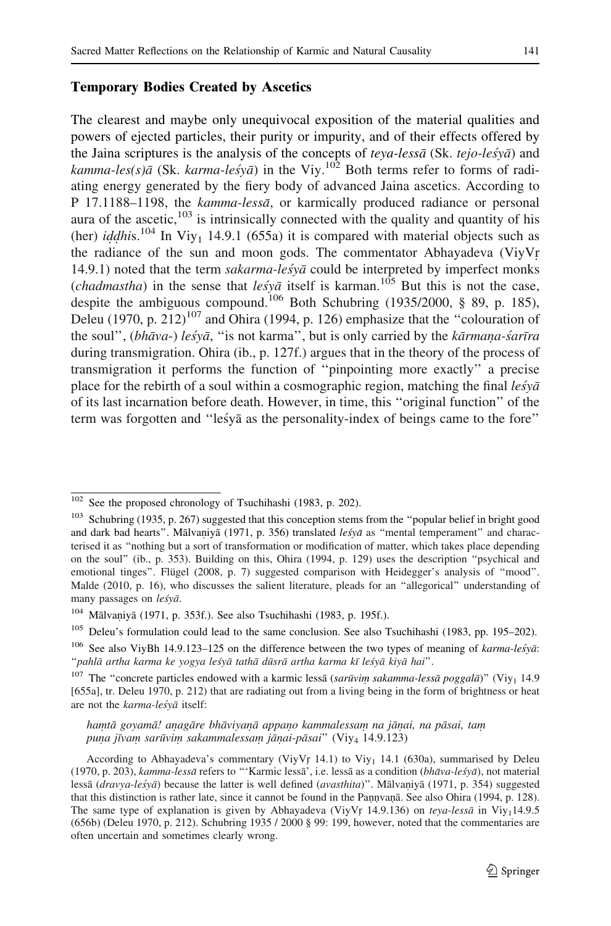### Temporary Bodies Created by Ascetics

The clearest and maybe only unequivocal exposition of the material qualities and powers of ejected particles, their purity or impurity, and of their effects offered by the Jaina scriptures is the analysis of the concepts of teya-less $\bar{a}$  (Sk. tejo-les<sup>y</sup> $\bar{a}$ ) and kamma-les(s) $\bar{a}$  (Sk. karma-les $\bar{v}$ ) in the Viy.<sup>102</sup> Both terms refer to forms of radiating energy generated by the fiery body of advanced Jaina ascetics. According to P 17.1188–1198, the kamma-lessa, or karmically produced radiance or personal aura of the ascetic,  $103$  is intrinsically connected with the quality and quantity of his (her) *iddhis*.<sup>104</sup> In Viy<sub>1</sub> 14.9.1 (655a) it is compared with material objects such as the radiance of the sun and moon gods. The commentator Abhayadeva (ViyVr: 14.9.1) noted that the term sakarma-les<sup>y</sup> $\bar{a}$  could be interpreted by imperfect monks (*chadmastha*) in the sense that *les<sup>va*</sup> itself is karman.<sup>105</sup> But this is not the case, despite the ambiguous compound.<sup>106</sup> Both Schubring (1935/2000, § 89, p. 185), Deleu (1970, p.  $212$ )<sup>107</sup> and Ohira (1994, p. 126) emphasize that the "colouration of the soul",  $(bh\bar{a}va-)$  les<sup> $y\bar{a}$ </sup>, "is not karma", but is only carried by the k $\bar{a}r$ mana-s´arī $ra$ during transmigration. Ohira (ib., p. 127f.) argues that in the theory of the process of transmigration it performs the function of ''pinpointing more exactly'' a precise place for the rebirth of a soul within a cosmographic region, matching the final  $le\dot{y}\bar{a}$ of its last incarnation before death. However, in time, this ''original function'' of the term was forgotten and "lesy as the personality-index of beings came to the fore"

<sup>102</sup> See the proposed chronology of Tsuchihashi (1983, p. 202).

<sup>&</sup>lt;sup>103</sup> Schubring (1935, p. 267) suggested that this conception stems from the "popular belief in bright good and dark bad hearts". Malvaniya (1971, p. 356) translated lesya as "mental temperament" and characterised it as ''nothing but a sort of transformation or modification of matter, which takes place depending on the soul'' (ib., p. 353). Building on this, Ohira (1994, p. 129) uses the description ''psychical and emotional tinges". Flügel (2008, p. 7) suggested comparison with Heidegger's analysis of "mood". Malde (2010, p. 16), who discusses the salient literature, pleads for an ''allegorical'' understanding of many passages on  $lešv\bar{a}$ .

 $104$  Mālvanivā (1971, p. 353f.). See also Tsuchihashi (1983, p. 195f.).

<sup>&</sup>lt;sup>105</sup> Deleu's formulation could lead to the same conclusion. See also Tsuchihashi (1983, pp. 195–202).

<sup>&</sup>lt;sup>106</sup> See also ViyBh 14.9.123–125 on the difference between the two types of meaning of *karma-les*y $\ddot{a}$ : "pahlā artha karma ke yogya leśyā tathā dūsrā artha karma kī leśyā kiyā hai".

<sup>&</sup>lt;sup>107</sup> The "concrete particles endowed with a karmic lessa (sarūvim sakamma-lessa poggala)" (Viy<sub>1</sub> 14.9 [655a], tr. Deleu 1970, p. 212) that are radiating out from a living being in the form of brightness or heat are not the karma-leśvā itself:

hamtā goyamā! anagāre bhāviyanā appano kammalessam na jāņai, na pāsai, tam: puna jīvam sarūvim sakammalessam jāņai-pāsai'' (Viy<sub>4</sub> 14.9.123)

According to Abhayadeva's commentary (ViyVr 14.1) to Viy<sub>1</sub> 14.1 (630a), summarised by Deleu (1970, p. 203), kamma-lessā refers to "'Karmic lessā', i.e. lessā as a condition (bhāva-lesyā), not material lessã (dravya-leśyã) because the latter is well defined (avasthita)". Mālvaniyā (1971, p. 354) suggested that this distinction is rather late, since it cannot be found in the Pannyana. See also Ohira (1994, p. 128). The same type of explanation is given by Abhayadeva (ViyVr 14.9.136) on teya-lessa in Viy<sub>1</sub>14.9.5 (656b) (Deleu 1970, p. 212). Schubring 1935 / 2000 § 99: 199, however, noted that the commentaries are often uncertain and sometimes clearly wrong.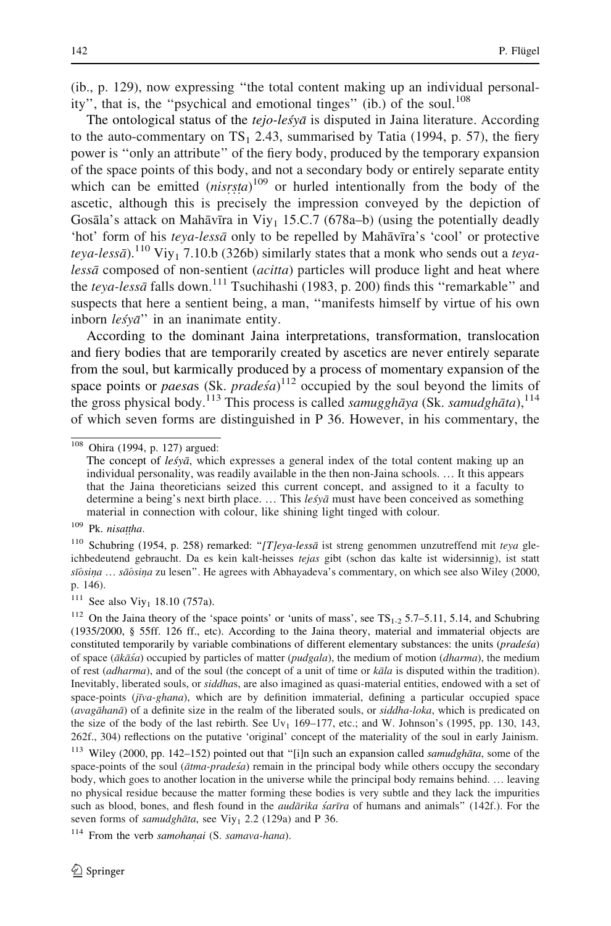(ib., p. 129), now expressing ''the total content making up an individual personality", that is, the "psychical and emotional tinges" (ib.) of the soul.<sup>108</sup>

The ontological status of the  $tejo-les\bar{v}\bar{a}$  is disputed in Jaina literature. According to the auto-commentary on  $TS_1$  2.43, summarised by Tatia (1994, p. 57), the fiery power is ''only an attribute'' of the fiery body, produced by the temporary expansion of the space points of this body, and not a secondary body or entirely separate entity which can be emitted  $(nisrsta)^{109}$  or hurled intentionally from the body of the ascetic, although this is precisely the impression conveyed by the depiction of Gosāla's attack on Mahāvīra in Viy<sub>1</sub> 15.C.7 (678a–b) (using the potentially deadly 'hot' form of his *teya-lessa* only to be repelled by Mahavira's 'cool' or protective teya-lessā).<sup>110</sup> Viy<sub>1</sub> 7.10.b (326b) similarly states that a monk who sends out a teyalessa composed of non-sentient (acitta) particles will produce light and heat where the teya-lessa falls down.<sup>111</sup> Tsuchihashi (1983, p. 200) finds this "remarkable" and suspects that here a sentient being, a man, ''manifests himself by virtue of his own inborn  $lešv\bar{a}$ " in an inanimate entity.

According to the dominant Jaina interpretations, transformation, translocation and fiery bodies that are temporarily created by ascetics are never entirely separate from the soul, but karmically produced by a process of momentary expansion of the space points or paesas (Sk. pradesa)<sup>112</sup> occupied by the soul beyond the limits of the gross physical body.<sup>113</sup> This process is called *samugghaya* (Sk. *samudghata*),<sup>114</sup> of which seven forms are distinguished in P 36. However, in his commentary, the

<sup>108</sup> Ohira (1994, p. 127) argued:

The concept of *les*<sup>y</sup> $\bar{a}$ , which expresses a general index of the total content making up an individual personality, was readily available in the then non-Jaina schools. … It this appears that the Jaina theoreticians seized this current concept, and assigned to it a faculty to determine a being's next birth place. ... This lesya must have been conceived as something material in connection with colour, like shining light tinged with colour.

<sup>&</sup>lt;sup>109</sup> Pk. *nisattha*.

Schubring (1954, p. 258) remarked: " $|T|e$ ya-lessā ist streng genommen unzutreffend mit teya gleichbedeutend gebraucht. Da es kein kalt-heisses tejas gibt (schon das kalte ist widersinnig), ist statt sīôsina ... sāôsina zu lesen". He agrees with Abhayadeva's commentary, on which see also Wiley (2000, p. 146).

 $111$  See also Viy<sub>1</sub> 18.10 (757a).

<sup>&</sup>lt;sup>112</sup> On the Jaina theory of the 'space points' or 'units of mass', see  $TS_{1-2}$  5.7–5.11, 5.14, and Schubring (1935/2000, § 55ff. 126 ff., etc). According to the Jaina theory, material and immaterial objects are constituted temporarily by variable combinations of different elementary substances: the units (pradesa) of space ( $\bar{a}k\bar{a}\bar{s}a$ ) occupied by particles of matter (pudgala), the medium of motion (dharma), the medium of rest (*adharma*), and of the soul (the concept of a unit of time or *kala* is disputed within the tradition). Inevitably, liberated souls, or siddhas, are also imagined as quasi-material entities, endowed with a set of space-points (jīva-ghana), which are by definition immaterial, defining a particular occupied space  $(avg\bar{\alpha}han\bar{\alpha})$  of a definite size in the realm of the liberated souls, or siddha-loka, which is predicated on the size of the body of the last rebirth. See Uv<sub>1</sub> 169–177, etc.; and W. Johnson's (1995, pp. 130, 143, 262f., 304) reflections on the putative 'original' concept of the materiality of the soul in early Jainism.

<sup>&</sup>lt;sup>113</sup> Wiley (2000, pp. 142–152) pointed out that "[i]n such an expansion called samudghāta, some of the space-points of the soul  $(\bar{a}$ tma-prades $\acute{a}$ ) remain in the principal body while others occupy the secondary body, which goes to another location in the universe while the principal body remains behind. … leaving no physical residue because the matter forming these bodies is very subtle and they lack the impurities such as blood, bones, and flesh found in the *audarika sarīra* of humans and animals" (142f.). For the seven forms of *samudghāta*, see Viy<sub>1</sub> 2.2 (129a) and P 36.

 $114$  From the verb samohanai (S. samava-hana).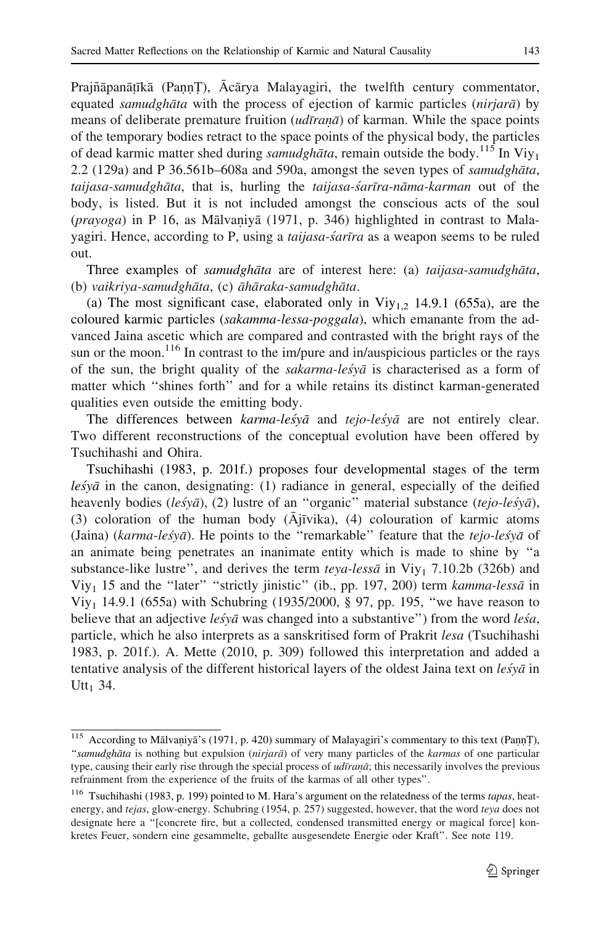Prajñāpanātīkā (PannT), Ācārya Malayagiri, the twelfth century commentator, equated *samudghāta* with the process of ejection of karmic particles (*nirjarā*) by means of deliberate premature fruition  $(ud\bar{r}ran\bar{a})$  of karman. While the space points of the temporary bodies retract to the space points of the physical body, the particles of dead karmic matter shed during *samudghāta*, remain outside the body.<sup>115</sup> In Viy<sub>1</sub>  $2.2$  (129a) and P 36.561b–608a and 590a, amongst the seven types of samudghata,  $taijasa-samudghāta$ , that is, hurling the  $taijasa-s'arīra-nāma-karman$  out of the body, is listed. But it is not included amongst the conscious acts of the soul  $(prayoga)$  in P 16, as Mālvaniyā (1971, p. 346) highlighted in contrast to Malavagiri. Hence, according to P, using a *taijasa-s`arūra* as a weapon seems to be ruled out.

Three examples of *samudghāta* are of interest here: (a) *taijasa-samudghāta*, (b) vaikriya-samudghāta, (c) āhāraka-samudghāta.

(a) The most significant case, elaborated only in  $V_iV_{1,2}$  14.9.1 (655a), are the coloured karmic particles *(sakamma-lessa-poggala)*, which emanante from the advanced Jaina ascetic which are compared and contrasted with the bright rays of the sun or the moon.<sup>116</sup> In contrast to the im/pure and in/auspicious particles or the rays of the sun, the bright quality of the *sakarma-les<sup>va*</sup> is characterised as a form of matter which ''shines forth'' and for a while retains its distinct karman-generated qualities even outside the emitting body.

The differences between  $karma-les'y\bar{a}$  and tejo-les<sup>y</sup> $\bar{a}$  are not entirely clear. Two different reconstructions of the conceptual evolution have been offered by Tsuchihashi and Ohira.

Tsuchihashi (1983, p. 201f.) proposes four developmental stages of the term  $leq\dot{y}\bar{a}$  in the canon, designating: (1) radiance in general, especially of the deified heavenly bodies ( $leq\tilde{y}(\tilde{a})$ , (2) lustre of an "organic" material substance (tejo-les´y $\tilde{a}$ ), (3) coloration of the human body ( $\overrightarrow{A}$  jīvika), (4) colouration of karmic atoms (Jaina) (karma-leśyā). He points to the "remarkable" feature that the tejo-leśyā of an animate being penetrates an inanimate entity which is made to shine by ''a substance-like lustre", and derives the term teya-less  $\bar{a}$  in Viy<sub>1</sub> 7.10.2b (326b) and Viy<sub>1</sub> 15 and the "later" "strictly jinistic" (ib., pp. 197, 200) term kamma-lessa in Viy<sub>1</sub> 14.9.1 (655a) with Schubring (1935/2000, § 97, pp. 195, "we have reason to believe that an adjective lesy  $\bar{a}$  was changed into a substantive") from the word lesa, particle, which he also interprets as a sanskritised form of Prakrit lesa (Tsuchihashi 1983, p. 201f.). A. Mette (2010, p. 309) followed this interpretation and added a tentative analysis of the different historical layers of the oldest Jaina text on  $l \neq \hat{y} \bar{a}$  in  $Utt_1$  34.

 $115$  According to Mālvaniyā's (1971, p. 420) summary of Malayagiri's commentary to this text (PannT), "samudghāta is nothing but expulsion (nirjarā) of very many particles of the karmas of one particular type, causing their early rise through the special process of  $ud\bar{r}$ , this necessarily involves the previous refrainment from the experience of the fruits of the karmas of all other types''.

<sup>&</sup>lt;sup>116</sup> Tsuchihashi (1983, p. 199) pointed to M. Hara's argument on the relatedness of the terms tapas, heatenergy, and tejas, glow-energy. Schubring (1954, p. 257) suggested, however, that the word teya does not designate here a ''[concrete fire, but a collected, condensed transmitted energy or magical force] konkretes Feuer, sondern eine gesammelte, geballte ausgesendete Energie oder Kraft''. See note 119.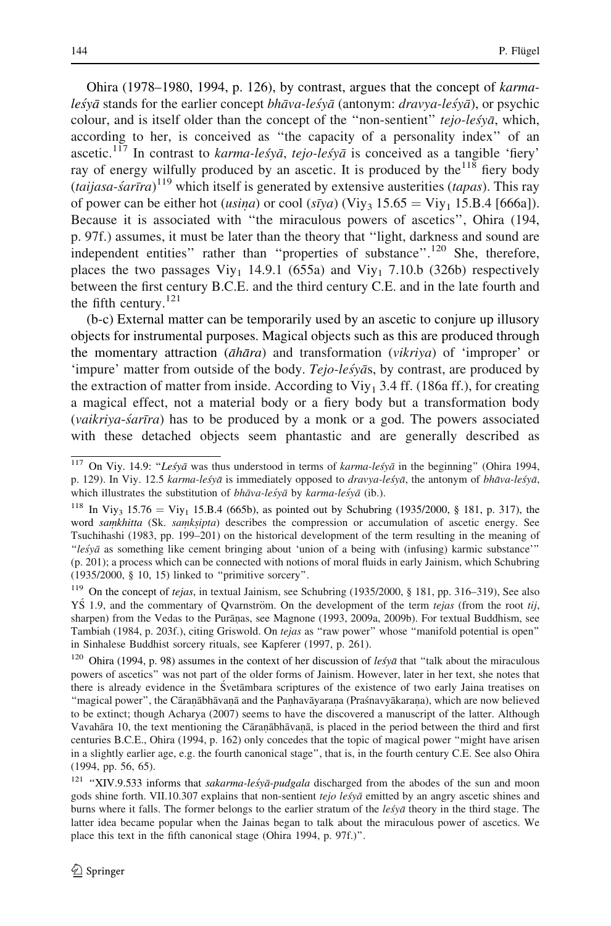Ohira (1978–1980, 1994, p. 126), by contrast, argues that the concept of karmales'yā stands for the earlier concept bhāva-les'yā (antonym: dravya-les'yā), or psychic colour, and is itself older than the concept of the "non-sentient"  $tejo-lešy\bar{a}$ , which, according to her, is conceived as ''the capacity of a personality index'' of an ascetic.<sup>117</sup> In contrast to *karma-les<sup>va</sup>*, tejo-les<sup>va</sup> is conceived as a tangible 'fiery' ray of energy wilfully produced by an ascetic. It is produced by the<sup>118</sup> fiery body (taijasa-s´arīra)<sup>119</sup> which itself is generated by extensive austerities (tapas). This ray of power can be either hot (*usina*) or cool ( $s\bar{v}$ *a*) (Viy<sub>3</sub> 15.65 = Viy<sub>1</sub> 15.B.4 [666a]). Because it is associated with ''the miraculous powers of ascetics'', Ohira (194, p. 97f.) assumes, it must be later than the theory that ''light, darkness and sound are independent entities" rather than "properties of substance".<sup>120</sup> She, therefore, places the two passages  $V_iy_1$  14.9.1 (655a) and  $V_iy_1$  7.10.b (326b) respectively between the first century B.C.E. and the third century C.E. and in the late fourth and the fifth century.<sup>121</sup>

(b-c) External matter can be temporarily used by an ascetic to conjure up illusory objects for instrumental purposes. Magical objects such as this are produced through the momentary attraction ( $\bar{a}h\bar{a}ra$ ) and transformation (vikriya) of 'improper' or 'impure' matter from outside of the body. Tejo-les<sup> $y$ </sup> $\bar{a}$ s, by contrast, are produced by the extraction of matter from inside. According to  $V<sub>i</sub>y<sub>1</sub>$  3.4 ff. (186a ff.), for creating a magical effect, not a material body or a fiery body but a transformation body  $(vaikriya-s'arīra)$  has to be produced by a monk or a god. The powers associated with these detached objects seem phantastic and are generally described as

<sup>&</sup>lt;sup>117</sup> On Viv. 14.9: "Les'va<sup> $\bar{u}$ </sup> was thus understood in terms of karma-les'  $\bar{v}$  in the beginning" (Ohira 1994, p. 129). In Viy. 12.5 karma-les´yā is immediately opposed to dravya-les´yā, the antonym of bhāva-les´yā, which illustrates the substitution of bhāva-les\*ya by karma-les\*ya (ib.).

<sup>&</sup>lt;sup>118</sup> In Viv<sub>3</sub> 15.76 = Viv<sub>1</sub> 15.B.4 (665b), as pointed out by Schubring (1935/2000, § 181, p. 317), the word samkhitta (Sk. samksipta) describes the compression or accumulation of ascetic energy. See Tsuchihashi (1983, pp. 199–201) on the historical development of the term resulting in the meaning of "les'yā as something like cement bringing about 'union of a being with (infusing) karmic substance''' (p. 201); a process which can be connected with notions of moral fluids in early Jainism, which Schubring (1935/2000, § 10, 15) linked to ''primitive sorcery''.

<sup>&</sup>lt;sup>119</sup> On the concept of tejas, in textual Jainism, see Schubring (1935/2000, § 181, pp. 316–319), See also YS<sup> $\dot{S}$ </sup> 1.9, and the commentary of Ovarnström. On the development of the term *tejas* (from the root *tij,* sharpen) from the Vedas to the Puranas, see Magnone (1993, 2009a, 2009b). For textual Buddhism, see Tambiah (1984, p. 203f.), citing Griswold. On *tejas* as "raw power" whose "manifold potential is open" in Sinhalese Buddhist sorcery rituals, see Kapferer (1997, p. 261).

<sup>&</sup>lt;sup>120</sup> Ohira (1994, p. 98) assumes in the context of her discussion of lesy<sub> $\bar{a}$ </sub> that "talk about the miraculous powers of ascetics'' was not part of the older forms of Jainism. However, later in her text, she notes that there is already evidence in the Svetambara scriptures of the existence of two early Jaina treatises on "magical power", the Cāranābhāvanā and the Panhavāyarana (Pras´navyākarana), which are now believed to be extinct; though Acharya (2007) seems to have the discovered a manuscript of the latter. Although Vavahāra 10, the text mentioning the Cāraṇābhāvaṇā, is placed in the period between the third and first centuries B.C.E., Ohira (1994, p. 162) only concedes that the topic of magical power ''might have arisen in a slightly earlier age, e.g. the fourth canonical stage'', that is, in the fourth century C.E. See also Ohira (1994, pp. 56, 65).

<sup>&</sup>lt;sup>121</sup> "XIV.9.533 informs that sakarma-les'ya-pudgala discharged from the abodes of the sun and moon gods shine forth. VII.10.307 explains that non-sentient tejo lesy  $\bar{a}$  emitted by an angry ascetic shines and burns where it falls. The former belongs to the earlier stratum of the lesya theory in the third stage. The latter idea became popular when the Jainas began to talk about the miraculous power of ascetics. We place this text in the fifth canonical stage (Ohira 1994, p. 97f.)''.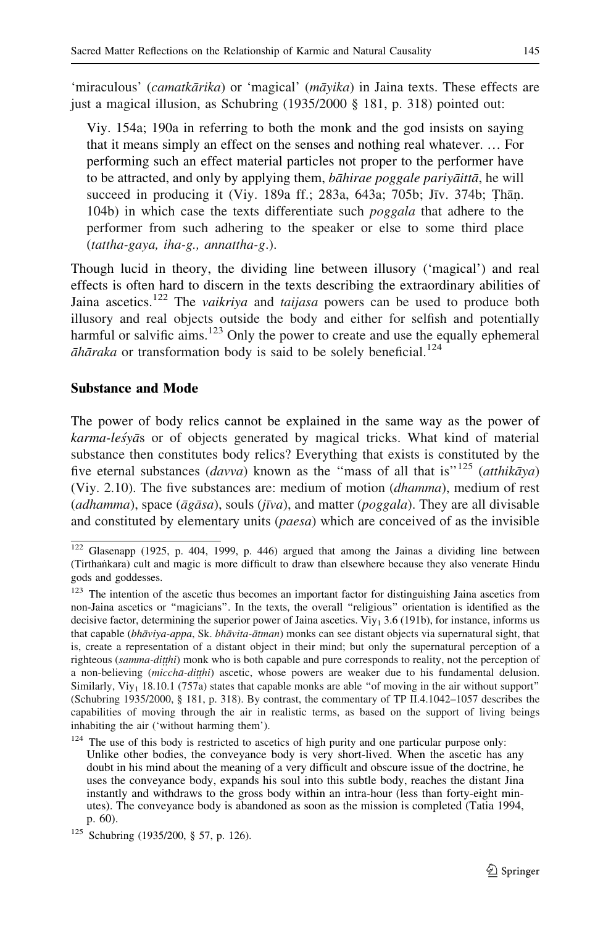'miraculous' (camatkārika) or 'magical' ( $m\bar{a}$ yika) in Jaina texts. These effects are just a magical illusion, as Schubring (1935/2000 § 181, p. 318) pointed out:

Viy. 154a; 190a in referring to both the monk and the god insists on saying that it means simply an effect on the senses and nothing real whatever. … For performing such an effect material particles not proper to the performer have to be attracted, and only by applying them,  $b\bar{a}$ hirae poggale pariy $\bar{a}$ itta, he will succeed in producing it (Viv. 189a ff.; 283a, 643a; 705b; J $\bar{i}v$ . 374b; Th $\bar{a}n$ . 104b) in which case the texts differentiate such poggala that adhere to the performer from such adhering to the speaker or else to some third place (tattha-gaya, iha-g., annattha-g.).

Though lucid in theory, the dividing line between illusory ('magical') and real effects is often hard to discern in the texts describing the extraordinary abilities of Jaina ascetics.<sup>122</sup> The *vaikriva* and *taijasa* powers can be used to produce both illusory and real objects outside the body and either for selfish and potentially harmful or salvific aims.<sup>123</sup> Only the power to create and use the equally ephemeral  $\bar{a}h\bar{a}raka$  or transformation body is said to be solely beneficial.<sup>124</sup>

## Substance and Mode

The power of body relics cannot be explained in the same way as the power of karma-lesyās or of objects generated by magical tricks. What kind of material substance then constitutes body relics? Everything that exists is constituted by the five eternal substances (*davva*) known as the "mass of all that is"<sup>125</sup> (*atthikava*) (Viy. 2.10). The five substances are: medium of motion (dhamma), medium of rest (adhamma), space ( $\bar{a}g\bar{a}sa$ ), souls ( $\bar{j}v\bar{a}$ ), and matter (poggala). They are all divisable and constituted by elementary units (paesa) which are conceived of as the invisible

<sup>122</sup> Glasenapp (1925, p. 404, 1999, p. 446) argued that among the Jainas a dividing line between (Tirthankara) cult and magic is more difficult to draw than elsewhere because they also venerate Hindu \_ gods and goddesses.

<sup>&</sup>lt;sup>123</sup> The intention of the ascetic thus becomes an important factor for distinguishing Jaina ascetics from non-Jaina ascetics or ''magicians''. In the texts, the overall ''religious'' orientation is identified as the decisive factor, determining the superior power of Jaina ascetics. Viy<sub>1</sub> 3.6 (191b), for instance, informs us that capable (bhāviya-appa, Sk. bhāvita-ātman) monks can see distant objects via supernatural sight, that is, create a representation of a distant object in their mind; but only the supernatural perception of a righteous (samma-ditthi) monk who is both capable and pure corresponds to reality, not the perception of a non-believing (micchā-ditthi) ascetic, whose powers are weaker due to his fundamental delusion. Similarly, Viy<sub>1</sub> 18.10.1 (757a) states that capable monks are able "of moving in the air without support" (Schubring 1935/2000, § 181, p. 318). By contrast, the commentary of TP II.4.1042–1057 describes the capabilities of moving through the air in realistic terms, as based on the support of living beings inhabiting the air ('without harming them').

<sup>&</sup>lt;sup>124</sup> The use of this body is restricted to ascetics of high purity and one particular purpose only: Unlike other bodies, the conveyance body is very short-lived. When the ascetic has any doubt in his mind about the meaning of a very difficult and obscure issue of the doctrine, he uses the conveyance body, expands his soul into this subtle body, reaches the distant Jina instantly and withdraws to the gross body within an intra-hour (less than forty-eight minutes). The conveyance body is abandoned as soon as the mission is completed (Tatia 1994, p. 60).

<sup>125</sup> Schubring (1935/200, § 57, p. 126).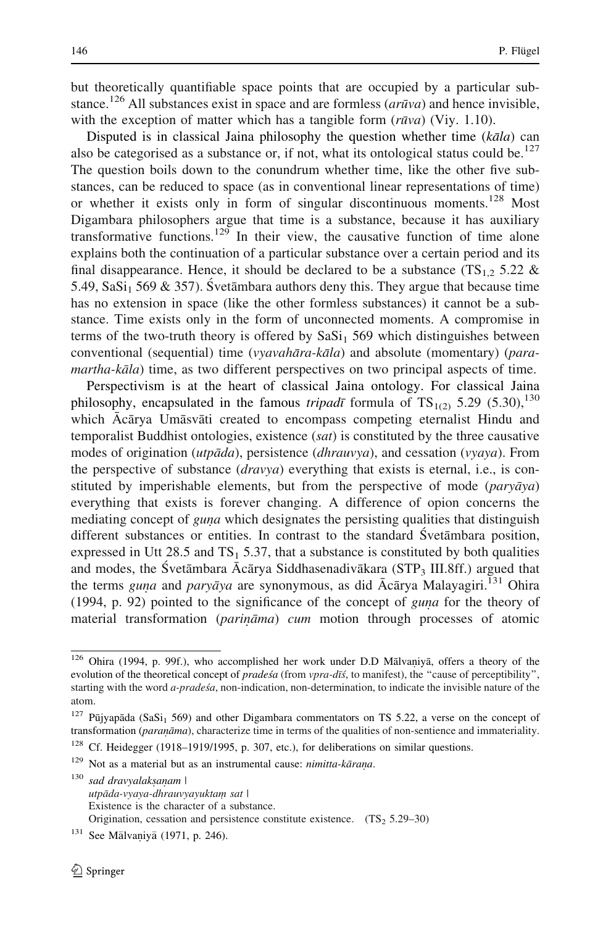but theoretically quantifiable space points that are occupied by a particular substance.<sup>126</sup> All substances exist in space and are formless ( $ar\bar{u}va$ ) and hence invisible, with the exception of matter which has a tangible form  $(r\bar{u}va)$  (Viy. 1.10).

Disputed is in classical Jaina philosophy the question whether time  $(k\bar{a}la)$  can also be categorised as a substance or, if not, what its ontological status could be.<sup>127</sup> The question boils down to the conundrum whether time, like the other five substances, can be reduced to space (as in conventional linear representations of time) or whether it exists only in form of singular discontinuous moments.<sup>128</sup> Most Digambara philosophers argue that time is a substance, because it has auxiliary transformative functions.<sup>129</sup> In their view, the causative function of time alone explains both the continuation of a particular substance over a certain period and its final disappearance. Hence, it should be declared to be a substance  $(TS<sub>1,2</sub>, 5.22 \& )$ 5.49, SaSi<sub>1</sub> 569 & 357). Svetambara authors deny this. They argue that because time has no extension in space (like the other formless substances) it cannot be a substance. Time exists only in the form of unconnected moments. A compromise in terms of the two-truth theory is offered by  $SaSi<sub>1</sub> 569$  which distinguishes between conventional (sequential) time (*vyavahāra-kāla*) and absolute (momentary) (*para* $martha-kāla)$  time, as two different perspectives on two principal aspects of time.

Perspectivism is at the heart of classical Jaina ontology. For classical Jaina philosophy, encapsulated in the famous *tripadī* formula of  $TS_{1(2)}$  5.29 (5.30),<sup>130</sup> which Ācārya Umāsvāti created to encompass competing eternalist Hindu and temporalist Buddhist ontologies, existence  $(sat)$  is constituted by the three causative modes of origination (utpāda), persistence (dhrauvya), and cessation (vyaya). From the perspective of substance (*dravya*) everything that exists is eternal, i.e., is constituted by imperishable elements, but from the perspective of mode  $(pary\bar{a}ya)$ everything that exists is forever changing. A difference of opion concerns the mediating concept of *guna* which designates the persisting qualities that distinguish different substances or entities. In contrast to the standard Svetambara position, expressed in Utt 28.5 and  $TS_1$  5.37, that a substance is constituted by both qualities and modes, the Śvetāmbara Ācārya Siddhasenadivākara (STP<sub>3</sub> III.8ff.) argued that the terms *guna* and *paryāya* are synonymous, as did Ācārya Malayagiri.<sup>131</sup> Ohira  $(1994, p. 92)$  pointed to the significance of the concept of *guna* for the theory of material transformation (parināma) cum motion through processes of atomic

 $131$  See Mālvaņiyā (1971, p. 246).

 $126$  Ohira (1994, p. 99f.), who accomplished her work under D.D Malvaniya, offers a theory of the evolution of the theoretical concept of *prades<sup>a</sup>* (from *vpra-dīs*<sup>*s*</sup>, to manifest), the "cause of perceptibility", starting with the word *a-prades<sup>a</sup>*, non-indication, non-determination, to indicate the invisible nature of the atom.

<sup>&</sup>lt;sup>127</sup> Pūjyapāda (SaSi<sub>1</sub> 569) and other Digambara commentators on TS 5.22, a verse on the concept of transformation (paranāma), characterize time in terms of the qualities of non-sentience and immateriality.

<sup>&</sup>lt;sup>128</sup> Cf. Heidegger (1918–1919/1995, p. 307, etc.), for deliberations on similar questions.

<sup>&</sup>lt;sup>129</sup> Not as a material but as an instrumental cause: *nimitta-kārana*.<br><sup>130</sup> sed drawalaksanam l

sad dravyalaksanam | utpāda-vyaya-dhrauvyayuktam sat | Existence is the character of a substance. Origination, cessation and persistence constitute existence.  $(TS_2 5.29-30)$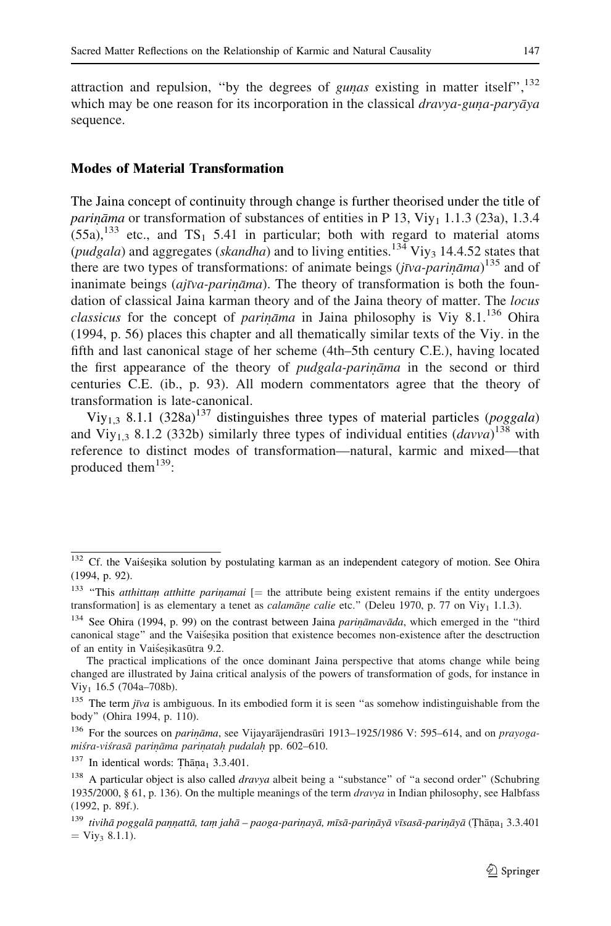attraction and repulsion, "by the degrees of *gunas* existing in matter itself",  $^{132}$ which may be one reason for its incorporation in the classical *dravya-guna-paryaya* sequence.

### Modes of Material Transformation

The Jaina concept of continuity through change is further theorised under the title of parināma or transformation of substances of entities in P 13, Viy<sub>1</sub> 1.1.3 (23a), 1.3.4  $(55a)$ ,<sup>133</sup> etc., and TS<sub>1</sub> 5.41 in particular; both with regard to material atoms (pudgala) and aggregates (skandha) and to living entities.<sup>134</sup> Viy<sub>3</sub> 14.4.52 states that there are two types of transformations: of animate beings  $(j\bar{v}va-parin\bar{a}ma)^{135}$  and of inanimate beings ( $a\overline{j}v$ a-parināma). The theory of transformation is both the foundation of classical Jaina karman theory and of the Jaina theory of matter. The locus *classicus* for the concept of *parinama* in Jaina philosophy is Viy 8.1.<sup>136</sup> Ohira (1994, p. 56) places this chapter and all thematically similar texts of the Viy. in the fifth and last canonical stage of her scheme (4th–5th century C.E.), having located the first appearance of the theory of *pudgala-parinama* in the second or third centuries C.E. (ib., p. 93). All modern commentators agree that the theory of transformation is late-canonical.

Viy<sub>1,3</sub> 8.1.1 (328a)<sup>137</sup> distinguishes three types of material particles (*poggala*) and Viy<sub>1,3</sub> 8.1.2 (332b) similarly three types of individual entities  $(davva)^{138}$  with reference to distinct modes of transformation—natural, karmic and mixed—that produced them $^{139}$ :

<sup>&</sup>lt;sup>132</sup> Cf. the Vais´esika solution by postulating karman as an independent category of motion. See Ohira (1994, p. 92).

<sup>&</sup>lt;sup>133</sup> "This *atthittam atthitte parinamai* [ $=$  the attribute being existent remains if the entity undergoes transformation] is as elementary a tenet as *calamane calie* etc." (Deleu 1970, p. 77 on Viy<sub>1</sub> 1.1.3).

<sup>&</sup>lt;sup>134</sup> See Ohira (1994, p. 99) on the contrast between Jaina *parināmavāda*, which emerged in the "third canonical stage" and the Vaisesika position that existence becomes non-existence after the desctruction of an entity in Vaisesikasūtra 9.2.

The practical implications of the once dominant Jaina perspective that atoms change while being changed are illustrated by Jaina critical analysis of the powers of transformation of gods, for instance in Viy1 16.5 (704a–708b).

 $135$  The term *jīva* is ambiguous. In its embodied form it is seen "as somehow indistinguishable from the body'' (Ohira 1994, p. 110).

<sup>&</sup>lt;sup>136</sup> For the sources on *parināma*, see Vijayarājendrasūri 1913–1925/1986 V: 595–614, and on *prayoga*miśra-viśrasā parināma parinatah pudalah pp. 602–610.

 $137$  In identical words: Thana<sub>1</sub> 3.3.401.

<sup>&</sup>lt;sup>138</sup> A particular object is also called *dravya* albeit being a "substance" of "a second order" (Schubring 1935/2000, § 61, p. 136). On the multiple meanings of the term *dravya* in Indian philosophy, see Halbfass (1992, p. 89f.).

 $^{139}$  tivihā poggalā pannattā, tam jahā – paoga-parinayā, mīsā-parināyā vīsasā-parināyā (Thāna<sub>1</sub> 3.3.401  $=$  Viy<sub>3</sub> 8.1.1).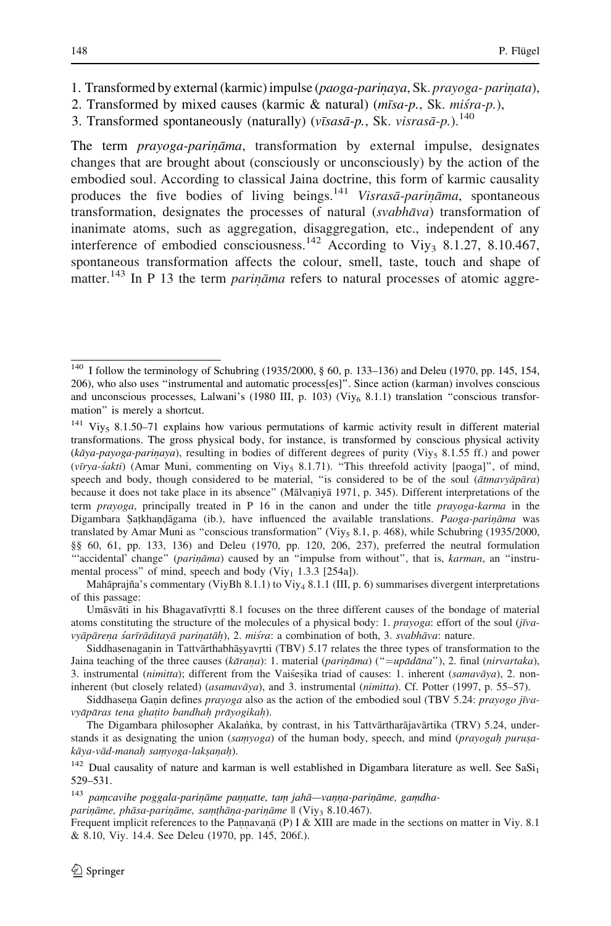- 1. Transformed by external (karmic) impulse (*paoga-parinaya*, Sk. *prayoga- parinata*),
- 2. Transformed by mixed causes (karmic & natural)  $(m\bar{t}sa-p, Sk. m\bar{t}sa-p.)$ ,
- 3. Transformed spontaneously (naturally) ( $\nu\bar{\iota}sas\bar{a}-p$ ., Sk.  $\nu\iota sras\bar{a}-p$ .).<sup>140</sup>

The term *prayoga-parināma*, transformation by external impulse, designates changes that are brought about (consciously or unconsciously) by the action of the embodied soul. According to classical Jaina doctrine, this form of karmic causality produces the five bodies of living beings.<sup>141</sup> Visras $\bar{a}$ -parin $\bar{a}$ ma, spontaneous transformation, designates the processes of natural (svabhava) transformation of inanimate atoms, such as aggregation, disaggregation, etc., independent of any interference of embodied consciousness.<sup>142</sup> According to Viy<sub>3</sub> 8.1.27, 8.10.467, spontaneous transformation affects the colour, smell, taste, touch and shape of matter.<sup>143</sup> In P 13 the term *parināma* refers to natural processes of atomic aggre-

<sup>140</sup> I follow the terminology of Schubring (1935/2000, § 60, p. 133–136) and Deleu (1970, pp. 145, 154, 206), who also uses ''instrumental and automatic process[es]''. Since action (karman) involves conscious and unconscious processes, Lalwani's (1980 III, p. 103) (Viy $_6$  8.1.1) translation "conscious transformation'' is merely a shortcut.

 $141$  Viy<sub>5</sub> 8.1.50–71 explains how various permutations of karmic activity result in different material transformations. The gross physical body, for instance, is transformed by conscious physical activity (kāya-payoga-parinaya), resulting in bodies of different degrees of purity (Viy<sub>5</sub> 8.1.55 ff.) and power  $(v\bar{v}rya-s'akti)$  (Amar Muni, commenting on Viy<sub>5</sub> 8.1.71). "This threefold activity [paoga]", of mind, speech and body, though considered to be material, "is considered to be of the soul  $(\bar{a}tm\alpha v\gamma\bar{a}p\bar{a}ra)$ because it does not take place in its absence" (Mālvaniyā 1971, p. 345). Different interpretations of the term prayoga, principally treated in P 16 in the canon and under the title prayoga-karma in the Digambara Satkhandāgama (ib.), have influenced the available translations. Paoga-parināma was translated by Amar Muni as "conscious transformation" (Viy<sub>5</sub> 8.1, p. 468), while Schubring (1935/2000, §§ 60, 61, pp. 133, 136) and Deleu (1970, pp. 120, 206, 237), preferred the neutral formulation "accidental' change" (parināma) caused by an "impulse from without", that is, karman, an "instrumental process" of mind, speech and body (Viy<sub>1</sub> 1.3.3 [254a]).

Mahāprajña's commentary (ViyBh 8.1.1) to Viy<sub>4</sub> 8.1.1 (III, p. 6) summarises divergent interpretations of this passage:

Umasvati in his Bhagavatīvrtti 8.1 focuses on the three different causes of the bondage of material atoms constituting the structure of the molecules of a physical body: 1. prayoga: effort of the soul ( $j\bar{v}a$ vyāpārena sarīrāditayā parinatāh), 2. mis´ra: a combination of both, 3. svabhāva: nature.

Siddhasenaganin in Tattvārthabhāsyavrtti (TBV) 5.17 relates the three types of transformation to the Jaina teaching of the three causes (kāraņa): 1. material (pariņāma) ("=upādāņa"), 2. final (nirvartaka), 3. instrumental (nimitta); different from the Vaisesika triad of causes: 1. inherent (samavāya), 2. noninherent (but closely related) ( $asamavāya$ ), and 3. instrumental ( $nimitta$ ). Cf. Potter (1997, p. 55–57).

Siddhasena Ganin defines prayoga also as the action of the embodied soul (TBV 5.24: prayogo jīvavyāpāras tena ghatito bandhah prāyogikah).

The Digambara philosopher Akalanka, by contrast, in his Tattvārtharājavārtika (TRV) 5.24, understands it as designating the union (samyoga) of the human body, speech, and mind (prayogah purusakāya-vād-manah samyoga-laksanah).

 $142$  Dual causality of nature and karman is well established in Digambara literature as well. See SaSi<sub>1</sub> 529–531.

 $143$  pamcavihe poggala-parināme pannatte, tam jahā—vanna-parināme, gamdha-

parināme, phāsa-parināme, samthāna-parināme || (Viy<sub>3</sub> 8.10.467).

Frequent implicit references to the Pannavana (P) I & XIII are made in the sections on matter in Viy. 8.1 & 8.10, Viy. 14.4. See Deleu (1970, pp. 145, 206f.).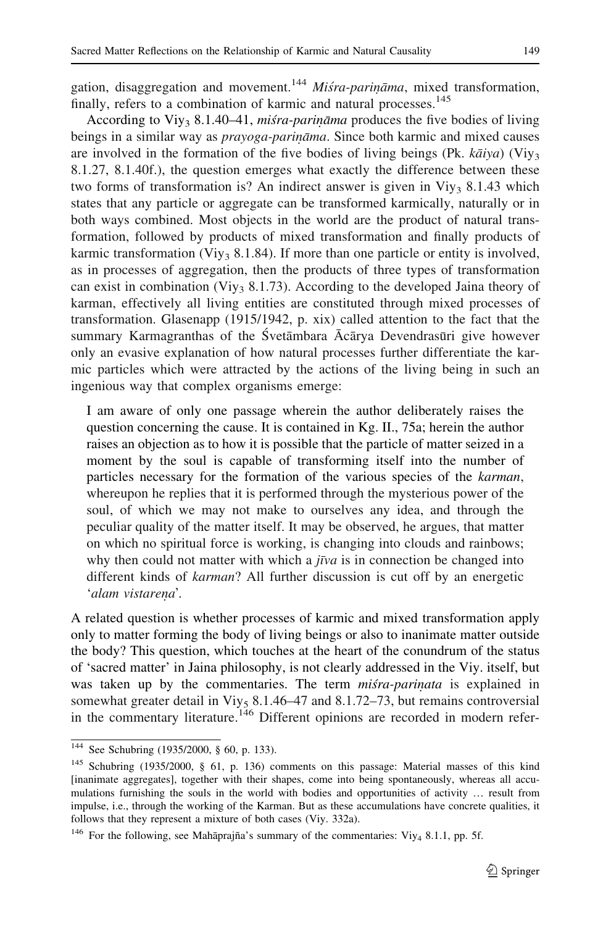gation, disaggregation and movement.<sup>144</sup> Mistra-parināma, mixed transformation, finally, refers to a combination of karmic and natural processes.<sup>145</sup>

According to Viy<sub>3</sub> 8.1.40–41, mistra-parina produces the five bodies of living beings in a similar way as *prayoga-parināma*. Since both karmic and mixed causes are involved in the formation of the five bodies of living beings (Pk.  $k\bar{a}$ iya) (Viy<sub>3</sub>) 8.1.27, 8.1.40f.), the question emerges what exactly the difference between these two forms of transformation is? An indirect answer is given in Viy<sub>3</sub> 8.1.43 which states that any particle or aggregate can be transformed karmically, naturally or in both ways combined. Most objects in the world are the product of natural transformation, followed by products of mixed transformation and finally products of karmic transformation (Viy<sub>3</sub> 8.1.84). If more than one particle or entity is involved, as in processes of aggregation, then the products of three types of transformation can exist in combination (Viy<sub>3</sub> 8.1.73). According to the developed Jaina theory of karman, effectively all living entities are constituted through mixed processes of transformation. Glasenapp (1915/1942, p. xix) called attention to the fact that the summary Karmagranthas of the Śvetāmbara Ācārya Devendrasūri give however only an evasive explanation of how natural processes further differentiate the karmic particles which were attracted by the actions of the living being in such an ingenious way that complex organisms emerge:

I am aware of only one passage wherein the author deliberately raises the question concerning the cause. It is contained in Kg. II., 75a; herein the author raises an objection as to how it is possible that the particle of matter seized in a moment by the soul is capable of transforming itself into the number of particles necessary for the formation of the various species of the karman, whereupon he replies that it is performed through the mysterious power of the soul, of which we may not make to ourselves any idea, and through the peculiar quality of the matter itself. It may be observed, he argues, that matter on which no spiritual force is working, is changing into clouds and rainbows; why then could not matter with which a  $jiva$  is in connection be changed into different kinds of karman? All further discussion is cut off by an energetic 'alam vistarena'.

A related question is whether processes of karmic and mixed transformation apply only to matter forming the body of living beings or also to inanimate matter outside the body? This question, which touches at the heart of the conundrum of the status of 'sacred matter' in Jaina philosophy, is not clearly addressed in the Viy. itself, but was taken up by the commentaries. The term *misra-parinata* is explained in somewhat greater detail in Viy<sub>5</sub> 8.1.46–47 and 8.1.72–73, but remains controversial in the commentary literature.<sup>146</sup> Different opinions are recorded in modern refer-

<sup>144</sup> See Schubring (1935/2000, § 60, p. 133).

<sup>145</sup> Schubring (1935/2000, § 61, p. 136) comments on this passage: Material masses of this kind [inanimate aggregates], together with their shapes, come into being spontaneously, whereas all accumulations furnishing the souls in the world with bodies and opportunities of activity … result from impulse, i.e., through the working of the Karman. But as these accumulations have concrete qualities, it follows that they represent a mixture of both cases (Viy. 332a).

<sup>&</sup>lt;sup>146</sup> For the following, see Mahaprajña's summary of the commentaries: Viy<sub>4</sub> 8.1.1, pp. 5f.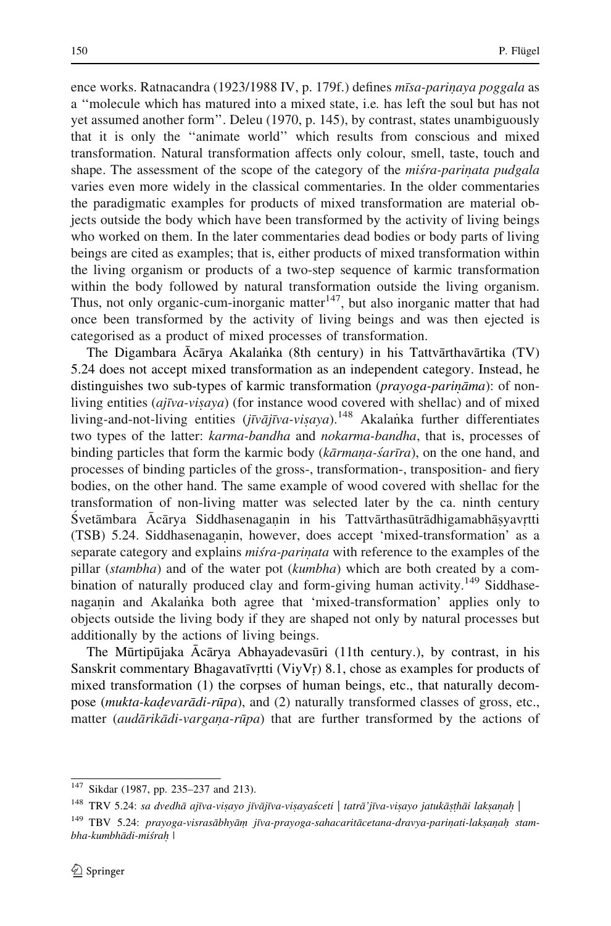ence works. Ratnacandra (1923/1988 IV, p. 179f.) defines *mīsa-parinaya poggala* as a ''molecule which has matured into a mixed state, i.e. has left the soul but has not yet assumed another form''. Deleu (1970, p. 145), by contrast, states unambiguously that it is only the ''animate world'' which results from conscious and mixed transformation. Natural transformation affects only colour, smell, taste, touch and shape. The assessment of the scope of the category of the *mista-parinata pudgala* varies even more widely in the classical commentaries. In the older commentaries the paradigmatic examples for products of mixed transformation are material objects outside the body which have been transformed by the activity of living beings who worked on them. In the later commentaries dead bodies or body parts of living beings are cited as examples; that is, either products of mixed transformation within the living organism or products of a two-step sequence of karmic transformation within the body followed by natural transformation outside the living organism. Thus, not only organic-cum-inorganic matter $147$ , but also inorganic matter that had once been transformed by the activity of living beings and was then ejected is categorised as a product of mixed processes of transformation.

The Digambara  $\bar{A}$ cārya Akalanka (8th century) in his Tattvārthavārtika (TV) 5.24 does not accept mixed transformation as an independent category. Instead, he distinguishes two sub-types of karmic transformation (prayoga-parināma): of nonliving entities  $(a\bar{j}\bar{v}a - v\bar{i} s\bar{a}y\bar{a})$  (for instance wood covered with shellac) and of mixed living-and-not-living entities ( $j\bar{v}a\bar{j}v\bar{a}z$ -visaya).<sup>148</sup> Akalanka further differentiates two types of the latter: karma-bandha and nokarma-bandha, that is, processes of binding particles that form the karmic body ( $k\bar{a}r\bar{r}$ *aroora*, on the one hand, and processes of binding particles of the gross-, transformation-, transposition- and fiery bodies, on the other hand. The same example of wood covered with shellac for the transformation of non-living matter was selected later by the ca. ninth century Svetāmbara Ācārya Siddhasenaganin in his Tattvārthasūtrādhigamabhāsyavrtti (TSB) 5.24. Siddhasenaganin, however, does accept 'mixed-transformation' as a separate category and explains *mista-parinata* with reference to the examples of the pillar (stambha) and of the water pot (kumbha) which are both created by a combination of naturally produced clay and form-giving human activity.<sup>149</sup> Siddhasenaganin and Akalanka both agree that 'mixed-transformation' applies only to objects outside the living body if they are shaped not only by natural processes but additionally by the actions of living beings.

The Mūrtipūjaka  $\overline{A}$  ca $\overline{a}$ rya Abhayadevasu $\overline{a}$ ri (11th century.), by contrast, in his Sanskrit commentary Bhagavatīvrtti (ViyVr) 8.1, chose as examples for products of mixed transformation (1) the corpses of human beings, etc., that naturally decompose (mukta-kadevarādi-rūpa), and (2) naturally transformed classes of gross, etc., matter (audārikādi-vargana-rūpa) that are further transformed by the actions of

Sikdar (1987, pp. 235–237 and 213).

<sup>&</sup>lt;sup>148</sup> TRV 5.24: sa dvedhā ajīva-visayo jīvājīva-visayaśceti | tatrā'jīva-visayo jatukāsthāi laksanah |

<sup>&</sup>lt;sup>149</sup> TBV 5.24: prayoga-visrasābhyām jīva-prayoga-sahacaritācetana-dravya-parinati-laksanah stambha-kumbhādi-miśrah |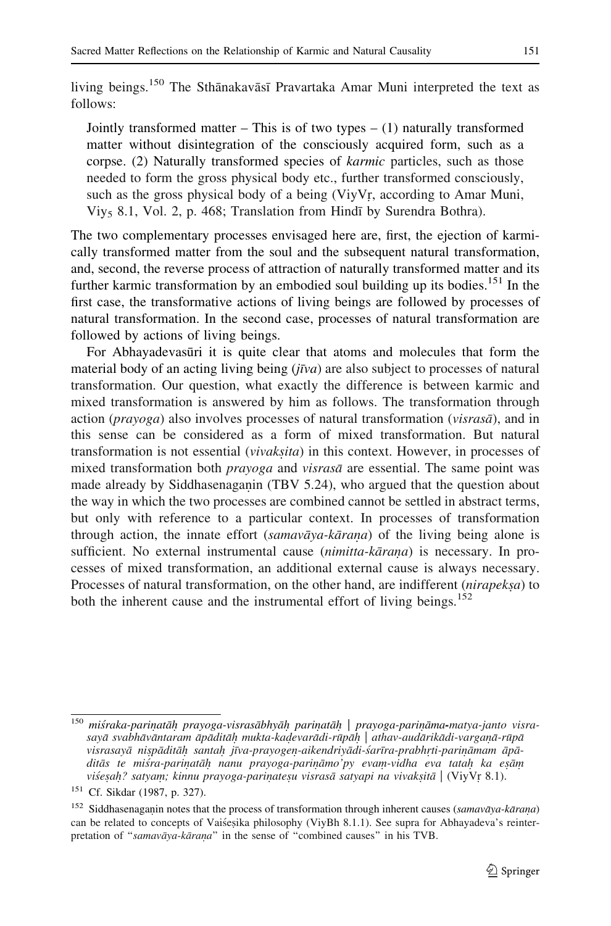living beings.<sup>150</sup> The Sthānakavāsī Pravartaka Amar Muni interpreted the text as follows:

Jointly transformed matter – This is of two types –  $(1)$  naturally transformed matter without disintegration of the consciously acquired form, such as a corpse. (2) Naturally transformed species of karmic particles, such as those needed to form the gross physical body etc., further transformed consciously, such as the gross physical body of a being (ViyVr, according to Amar Muni, Viy<sub>5</sub> 8.1, Vol. 2, p. 468; Translation from Hind $\bar{\text{i}}$  by Surendra Bothra).

The two complementary processes envisaged here are, first, the ejection of karmically transformed matter from the soul and the subsequent natural transformation, and, second, the reverse process of attraction of naturally transformed matter and its further karmic transformation by an embodied soul building up its bodies.<sup>151</sup> In the first case, the transformative actions of living beings are followed by processes of natural transformation. In the second case, processes of natural transformation are followed by actions of living beings.

For Abhayadevasūri it is quite clear that atoms and molecules that form the material body of an acting living being  $(i\bar{v}a)$  are also subject to processes of natural transformation. Our question, what exactly the difference is between karmic and mixed transformation is answered by him as follows. The transformation through action ( $\text{pravoga}$ ) also involves processes of natural transformation ( $\text{vir}$ ss $\bar{a}$ ), and in this sense can be considered as a form of mixed transformation. But natural transformation is not essential (vivaksita) in this context. However, in processes of mixed transformation both *prayoga* and *visrasa* are essential. The same point was made already by Siddhasenaganin (TBV  $5.24$ ), who argued that the question about the way in which the two processes are combined cannot be settled in abstract terms, but only with reference to a particular context. In processes of transformation through action, the innate effort (samavāya-kāraṇa) of the living being alone is sufficient. No external instrumental cause (*nimitta-kārana*) is necessary. In processes of mixed transformation, an additional external cause is always necessary. Processes of natural transformation, on the other hand, are indifferent *(nirapeksa)* to both the inherent cause and the instrumental effort of living beings.<sup>152</sup>

<sup>&</sup>lt;sup>150</sup> miśraka-parinatāh prayoga-visrasābhyāh parinatāh | prayoga-parināma-matya-janto visrasayā svabhāvāntaram āpāditāh mukta-kadevarādi-rūpāh | athav-audārikādi-varganā-rūpā visrasayā nispāditāh santah jīva-prayogen-aikendriyādi-s´arīra-prabhrti-pariņāmam āpā-<br>ditās te miśra-pariņatāh nanu prayoga-pariņāmo'py evam-vidha eva tatah ka esām višesah? satyam; kinnu prayoga-parinatesu visrasā satyapi na vivaksitā | (ViyVr 8.1).

<sup>151</sup> Cf. Sikdar (1987, p. 327).

 $^{152}$  Siddhasenaganin notes that the process of transformation through inherent causes (samavāya-kāraṇa) can be related to concepts of Vaisesika philosophy (ViyBh 8.1.1). See supra for Abhayadeva's reinterpretation of "samavāya-kārana" in the sense of "combined causes" in his TVB.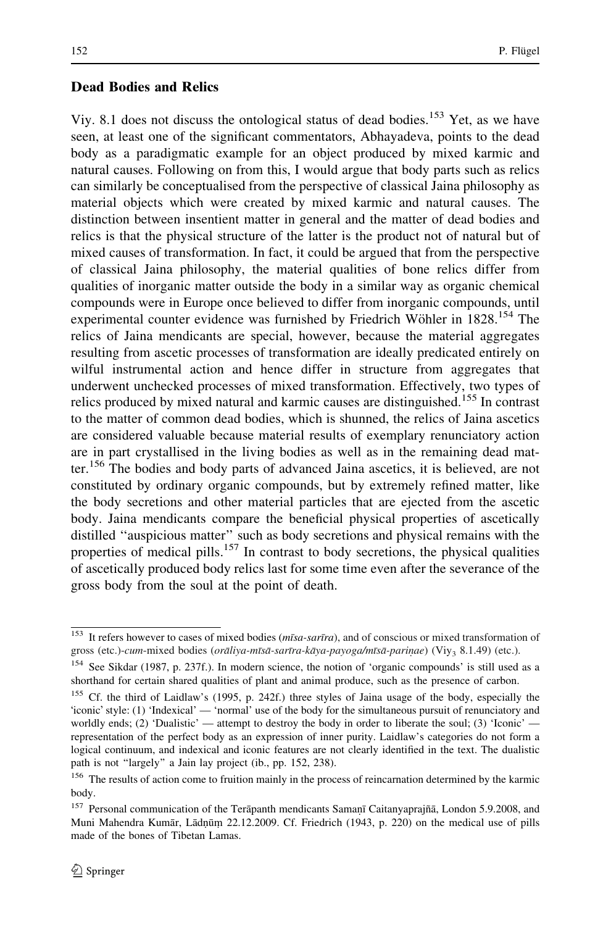# Dead Bodies and Relics

Viy. 8.1 does not discuss the ontological status of dead bodies.<sup>153</sup> Yet, as we have seen, at least one of the significant commentators, Abhayadeva, points to the dead body as a paradigmatic example for an object produced by mixed karmic and natural causes. Following on from this, I would argue that body parts such as relics can similarly be conceptualised from the perspective of classical Jaina philosophy as material objects which were created by mixed karmic and natural causes. The distinction between insentient matter in general and the matter of dead bodies and relics is that the physical structure of the latter is the product not of natural but of mixed causes of transformation. In fact, it could be argued that from the perspective of classical Jaina philosophy, the material qualities of bone relics differ from qualities of inorganic matter outside the body in a similar way as organic chemical compounds were in Europe once believed to differ from inorganic compounds, until experimental counter evidence was furnished by Friedrich Wöhler in 1828.<sup>154</sup> The relics of Jaina mendicants are special, however, because the material aggregates resulting from ascetic processes of transformation are ideally predicated entirely on wilful instrumental action and hence differ in structure from aggregates that underwent unchecked processes of mixed transformation. Effectively, two types of relics produced by mixed natural and karmic causes are distinguished.<sup>155</sup> In contrast to the matter of common dead bodies, which is shunned, the relics of Jaina ascetics are considered valuable because material results of exemplary renunciatory action are in part crystallised in the living bodies as well as in the remaining dead matter.<sup>156</sup> The bodies and body parts of advanced Jaina ascetics, it is believed, are not constituted by ordinary organic compounds, but by extremely refined matter, like the body secretions and other material particles that are ejected from the ascetic body. Jaina mendicants compare the beneficial physical properties of ascetically distilled ''auspicious matter'' such as body secretions and physical remains with the properties of medical pills.<sup>157</sup> In contrast to body secretions, the physical qualities of ascetically produced body relics last for some time even after the severance of the gross body from the soul at the point of death.

<sup>&</sup>lt;sup>153</sup> It refers however to cases of mixed bodies ( $m\bar{s}a$ -sarī $ra$ ), and of conscious or mixed transformation of gross (etc.)-cum-mixed bodies (orāliya-mīsā-sarīra-kāya-payoga/mīsā-parinae) (Viy3 8.1.49) (etc.).

<sup>154</sup> See Sikdar (1987, p. 237f.). In modern science, the notion of 'organic compounds' is still used as a shorthand for certain shared qualities of plant and animal produce, such as the presence of carbon.

<sup>155</sup> Cf. the third of Laidlaw's (1995, p. 242f.) three styles of Jaina usage of the body, especially the -iconic style: (1) 'Indexical' — 'normal' use of the body for the simultaneous pursuit of renunciatory and worldly ends; (2) 'Dualistic' — attempt to destroy the body in order to liberate the soul; (3) 'Iconic' representation of the perfect body as an expression of inner purity. Laidlaw's categories do not form a logical continuum, and indexical and iconic features are not clearly identified in the text. The dualistic path is not ''largely'' a Jain lay project (ib., pp. 152, 238).

<sup>&</sup>lt;sup>156</sup> The results of action come to fruition mainly in the process of reincarnation determined by the karmic body.

<sup>&</sup>lt;sup>157</sup> Personal communication of the Terāpanth mendicants Samanī Caitanyaprajña, London 5.9.2008, and Muni Mahendra Kumār, Lādnūm 22.12.2009. Cf. Friedrich (1943, p. 220) on the medical use of pills made of the bones of Tibetan Lamas.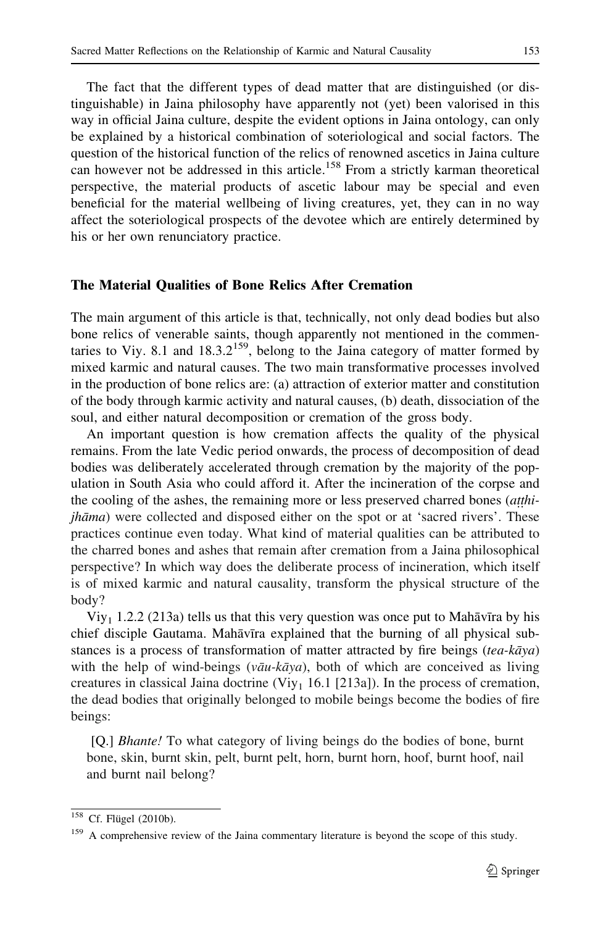The fact that the different types of dead matter that are distinguished (or distinguishable) in Jaina philosophy have apparently not (yet) been valorised in this way in official Jaina culture, despite the evident options in Jaina ontology, can only be explained by a historical combination of soteriological and social factors. The question of the historical function of the relics of renowned ascetics in Jaina culture can however not be addressed in this article.<sup>158</sup> From a strictly karman theoretical perspective, the material products of ascetic labour may be special and even beneficial for the material wellbeing of living creatures, yet, they can in no way affect the soteriological prospects of the devotee which are entirely determined by his or her own renunciatory practice.

### The Material Qualities of Bone Relics After Cremation

The main argument of this article is that, technically, not only dead bodies but also bone relics of venerable saints, though apparently not mentioned in the commentaries to Viy. 8.1 and  $18.3 \cdot 2^{159}$ , belong to the Jaina category of matter formed by mixed karmic and natural causes. The two main transformative processes involved in the production of bone relics are: (a) attraction of exterior matter and constitution of the body through karmic activity and natural causes, (b) death, dissociation of the soul, and either natural decomposition or cremation of the gross body.

An important question is how cremation affects the quality of the physical remains. From the late Vedic period onwards, the process of decomposition of dead bodies was deliberately accelerated through cremation by the majority of the population in South Asia who could afford it. After the incineration of the corpse and the cooling of the ashes, the remaining more or less preserved charred bones (*atthijhāma*) were collected and disposed either on the spot or at 'sacred rivers'. These practices continue even today. What kind of material qualities can be attributed to the charred bones and ashes that remain after cremation from a Jaina philosophical perspective? In which way does the deliberate process of incineration, which itself is of mixed karmic and natural causality, transform the physical structure of the body?

 $V_{i_1}$  1.2.2 (213a) tells us that this very question was once put to Maha $\bar{v}$ ra by his chief disciple Gautama. Mahāvīra explained that the burning of all physical substances is a process of transformation of matter attracted by fire beings (tea- $k \bar{a}$ ya) with the help of wind-beings ( $v\bar{a}u$ -ka $\bar{a}y$ a), both of which are conceived as living creatures in classical Jaina doctrine (Viy<sub>1</sub> 16.1 [213a]). In the process of cremation, the dead bodies that originally belonged to mobile beings become the bodies of fire beings:

[Q.] Bhante! To what category of living beings do the bodies of bone, burnt bone, skin, burnt skin, pelt, burnt pelt, horn, burnt horn, hoof, burnt hoof, nail and burnt nail belong?

 $158$  Cf. Flügel (2010b).

<sup>&</sup>lt;sup>159</sup> A comprehensive review of the Jaina commentary literature is beyond the scope of this study.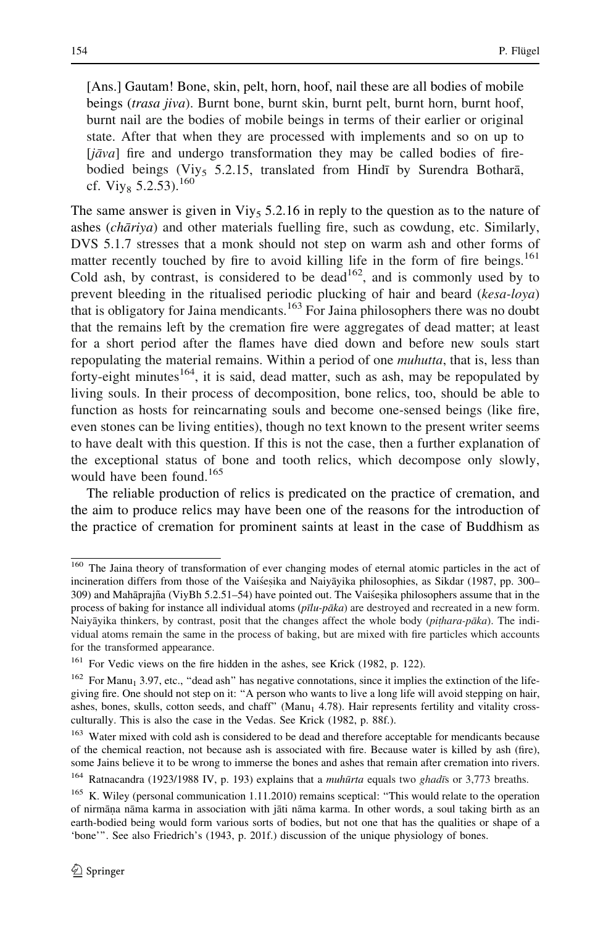[Ans.] Gautam! Bone, skin, pelt, horn, hoof, nail these are all bodies of mobile beings (trasa jiva). Burnt bone, burnt skin, burnt pelt, burnt horn, burnt hoof, burnt nail are the bodies of mobile beings in terms of their earlier or original state. After that when they are processed with implements and so on up to  $[i\bar{a}va]$  fire and undergo transformation they may be called bodies of firebodied beings (Viy<sub>5</sub> 5.2.15, translated from Hind<sub>I</sub> by Surendra Bothara, cf. Viy<sub>8</sub> 5.2.53).<sup>160</sup>

The same answer is given in Viy<sub>5</sub> 5.2.16 in reply to the question as to the nature of ashes  $(ch\bar{a}riya)$  and other materials fuelling fire, such as cowdung, etc. Similarly, DVS 5.1.7 stresses that a monk should not step on warm ash and other forms of matter recently touched by fire to avoid killing life in the form of fire beings.<sup>161</sup> Cold ash, by contrast, is considered to be dead<sup>162</sup>, and is commonly used by to prevent bleeding in the ritualised periodic plucking of hair and beard (kesa-loya) that is obligatory for Jaina mendicants.<sup>163</sup> For Jaina philosophers there was no doubt that the remains left by the cremation fire were aggregates of dead matter; at least for a short period after the flames have died down and before new souls start repopulating the material remains. Within a period of one *muhutta*, that is, less than forty-eight minutes $164$ , it is said, dead matter, such as ash, may be repopulated by living souls. In their process of decomposition, bone relics, too, should be able to function as hosts for reincarnating souls and become one-sensed beings (like fire, even stones can be living entities), though no text known to the present writer seems to have dealt with this question. If this is not the case, then a further explanation of the exceptional status of bone and tooth relics, which decompose only slowly, would have been found.<sup>165</sup>

The reliable production of relics is predicated on the practice of cremation, and the aim to produce relics may have been one of the reasons for the introduction of the practice of cremation for prominent saints at least in the case of Buddhism as

<sup>&</sup>lt;sup>160</sup> The Jaina theory of transformation of ever changing modes of eternal atomic particles in the act of incineration differs from those of the Vaisesika and Naiyāyika philosophies, as Sikdar (1987, pp. 300– 309) and Mahāprajña (ViyBh 5.2.51–54) have pointed out. The Vaisesika philosophers assume that in the process of baking for instance all individual atoms  $(p\bar{u}u-p\bar{a}ka)$  are destroyed and recreated in a new form. Naiyāyika thinkers, by contrast, posit that the changes affect the whole body (*pithara-pāka*). The individual atoms remain the same in the process of baking, but are mixed with fire particles which accounts for the transformed appearance.

<sup>&</sup>lt;sup>161</sup> For Vedic views on the fire hidden in the ashes, see Krick (1982, p. 122).

 $162$  For Manu<sub>1</sub> 3.97, etc., "dead ash" has negative connotations, since it implies the extinction of the lifegiving fire. One should not step on it: ''A person who wants to live a long life will avoid stepping on hair, ashes, bones, skulls, cotton seeds, and chaff" (Manu<sub>1</sub> 4.78). Hair represents fertility and vitality crossculturally. This is also the case in the Vedas. See Krick (1982, p. 88f.).

<sup>&</sup>lt;sup>163</sup> Water mixed with cold ash is considered to be dead and therefore acceptable for mendicants because of the chemical reaction, not because ash is associated with fire. Because water is killed by ash (fire), some Jains believe it to be wrong to immerse the bones and ashes that remain after cremation into rivers.

<sup>&</sup>lt;sup>164</sup> Ratnacandra (1923/1988 IV, p. 193) explains that a muhūrta equals two ghadīs or 3,773 breaths.

<sup>&</sup>lt;sup>165</sup> K. Wiley (personal communication 1.11.2010) remains sceptical: "This would relate to the operation of nirmāņa nāma karma in association with jāti nāma karma. In other words, a soul taking birth as an earth-bodied being would form various sorts of bodies, but not one that has the qualities or shape of a 'bone'''. See also Friedrich's (1943, p. 201f.) discussion of the unique physiology of bones.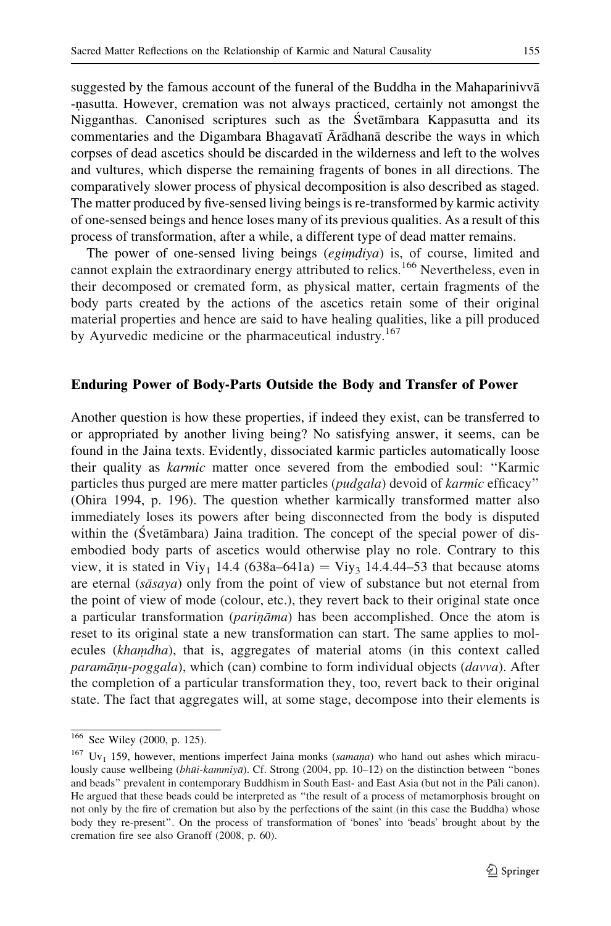suggested by the famous account of the funeral of the Buddha in the Mahaparinivva -nasutta. However, cremation was not always practiced, certainly not amongst the Nigganthas. Canonised scriptures such as the Syetambara Kappasutta and its commentaries and the Digambara Bhagavatī  $\bar{A}$ rādhanā describe the ways in which corpses of dead ascetics should be discarded in the wilderness and left to the wolves and vultures, which disperse the remaining fragents of bones in all directions. The comparatively slower process of physical decomposition is also described as staged. The matter produced by five-sensed living beings is re-transformed by karmic activity of one-sensed beings and hence loses many of its previous qualities. As a result of this process of transformation, after a while, a different type of dead matter remains.

The power of one-sensed living beings  $(egimdiv a)$  is, of course, limited and cannot explain the extraordinary energy attributed to relics.<sup>166</sup> Nevertheless, even in their decomposed or cremated form, as physical matter, certain fragments of the body parts created by the actions of the ascetics retain some of their original material properties and hence are said to have healing qualities, like a pill produced by Ayurvedic medicine or the pharmaceutical industry.<sup>167</sup>

## Enduring Power of Body-Parts Outside the Body and Transfer of Power

Another question is how these properties, if indeed they exist, can be transferred to or appropriated by another living being? No satisfying answer, it seems, can be found in the Jaina texts. Evidently, dissociated karmic particles automatically loose their quality as karmic matter once severed from the embodied soul: ''Karmic particles thus purged are mere matter particles (pudgala) devoid of karmic efficacy'' (Ohira 1994, p. 196). The question whether karmically transformed matter also immediately loses its powers after being disconnected from the body is disputed within the (Svetambara) Jaina tradition. The concept of the special power of disembodied body parts of ascetics would otherwise play no role. Contrary to this view, it is stated in Viy<sub>1</sub> 14.4 (638a–641a) = Viy<sub>3</sub> 14.4.44–53 that because atoms are eternal  $(s\bar{a}sqya)$  only from the point of view of substance but not eternal from the point of view of mode (colour, etc.), they revert back to their original state once a particular transformation (*parināma*) has been accomplished. Once the atom is reset to its original state a new transformation can start. The same applies to molecules (khamdha), that is, aggregates of material atoms (in this context called paramāņu-poggala), which (can) combine to form individual objects (davva). After the completion of a particular transformation they, too, revert back to their original state. The fact that aggregates will, at some stage, decompose into their elements is

<sup>166</sup> See Wiley (2000, p. 125).

 $167$  Uv<sub>1</sub> 159, however, mentions imperfect Jaina monks (samana) who hand out ashes which miraculously cause wellbeing (bhūi-kammiyā). Cf. Strong (2004, pp. 10–12) on the distinction between "bones and beads" prevalent in contemporary Buddhism in South East- and East Asia (but not in the Pāli canon). He argued that these beads could be interpreted as ''the result of a process of metamorphosis brought on not only by the fire of cremation but also by the perfections of the saint (in this case the Buddha) whose body they re-present". On the process of transformation of 'bones' into 'beads' brought about by the cremation fire see also Granoff (2008, p. 60).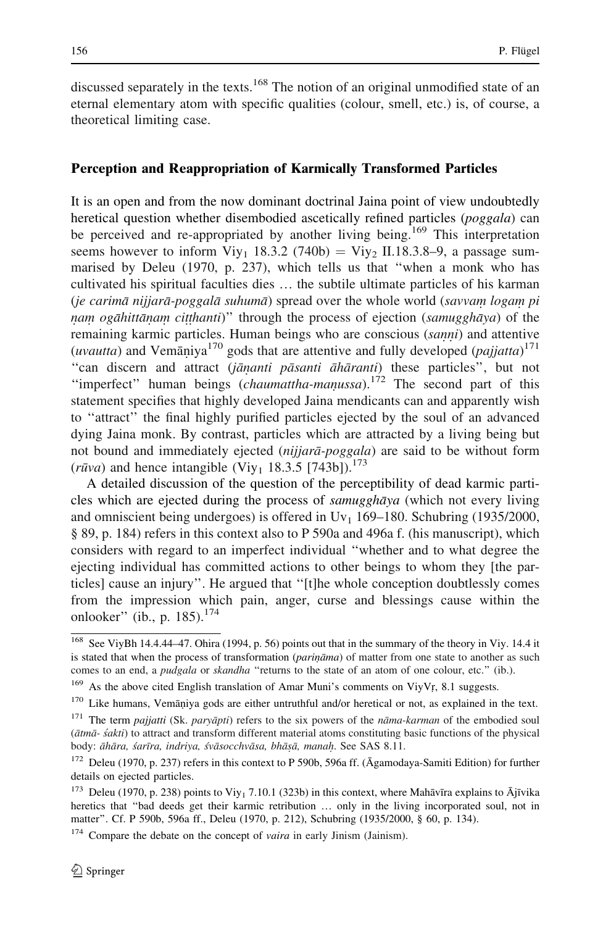discussed separately in the texts.<sup>168</sup> The notion of an original unmodified state of an eternal elementary atom with specific qualities (colour, smell, etc.) is, of course, a theoretical limiting case.

## Perception and Reappropriation of Karmically Transformed Particles

It is an open and from the now dominant doctrinal Jaina point of view undoubtedly heretical question whether disembodied ascetically refined particles (poggala) can be perceived and re-appropriated by another living being.<sup>169</sup> This interpretation seems however to inform Viy<sub>1</sub> 18.3.2 (740b) = Viy<sub>2</sub> II.18.3.8–9, a passage summarised by Deleu (1970, p. 237), which tells us that ''when a monk who has cultivated his spiritual faculties dies … the subtile ultimate particles of his karman (je carimā nijjarā-poggalā suhumā) spread over the whole world (savvam logam pi nam ogāhittānam citthanti)" through the process of ejection (samugghāya) of the remaining karmic particles. Human beings who are conscious *(sanni)* and attentive (*uvautta*) and Vemāṇiya<sup>170</sup> gods that are attentive and fully developed (*pajjatta*)<sup>171</sup> "can discern and attract (jānanti pāsanti āhāranti) these particles", but not "imperfect" human beings (*chaumattha-manussa*).<sup>172</sup> The second part of this statement specifies that highly developed Jaina mendicants can and apparently wish to ''attract'' the final highly purified particles ejected by the soul of an advanced dying Jaina monk. By contrast, particles which are attracted by a living being but not bound and immediately ejected (nijjarā-poggala) are said to be without form (*rūva*) and hence intangible (Viy<sub>1</sub> 18.3.5 [743b]).<sup>173</sup>

A detailed discussion of the question of the perceptibility of dead karmic particles which are ejected during the process of *samugghaya* (which not every living and omniscient being undergoes) is offered in  $Uv_1$  169–180. Schubring (1935/2000, § 89, p. 184) refers in this context also to P 590a and 496a f. (his manuscript), which considers with regard to an imperfect individual ''whether and to what degree the ejecting individual has committed actions to other beings to whom they [the particles] cause an injury''. He argued that ''[t]he whole conception doubtlessly comes from the impression which pain, anger, curse and blessings cause within the onlooker" (ib., p. 185).<sup>174</sup>

See ViyBh 14.4.44–47. Ohira (1994, p. 56) points out that in the summary of the theory in Viy. 14.4 it is stated that when the process of transformation (*parinama*) of matter from one state to another as such comes to an end, a *pudgala* or *skandha* "returns to the state of an atom of one colour, etc." (ib.).

 $169$  As the above cited English translation of Amar Muni's comments on ViyVr, 8.1 suggests.

 $170$  Like humans, Vemāṇiya gods are either untruthful and/or heretical or not, as explained in the text.

<sup>&</sup>lt;sup>171</sup> The term *pajjatti* (Sk. *paryāpti*) refers to the six powers of the *nāma-karman* of the embodied soul  $(\bar{a}tm\bar{a}-\hat{a}akti)$  to attract and transform different material atoms constituting basic functions of the physical body: āhāra, śarīra, indriya, śvāsocchvāsa, bhāsā, manah. See SAS 8.11.

<sup>&</sup>lt;sup>172</sup> Deleu (1970, p. 237) refers in this context to P 590b, 596a ff. (Āgamodaya-Samiti Edition) for further details on ejected particles.

<sup>&</sup>lt;sup>173</sup> Deleu (1970, p. 238) points to Viy<sub>1</sub> 7.10.1 (323b) in this context, where Mahāvīra explains to  $\bar{A}$  jīvika heretics that "bad deeds get their karmic retribution ... only in the living incorporated soul, not in matter''. Cf. P 590b, 596a ff., Deleu (1970, p. 212), Schubring (1935/2000, § 60, p. 134).

 $174$  Compare the debate on the concept of *vaira* in early Jinism (Jainism).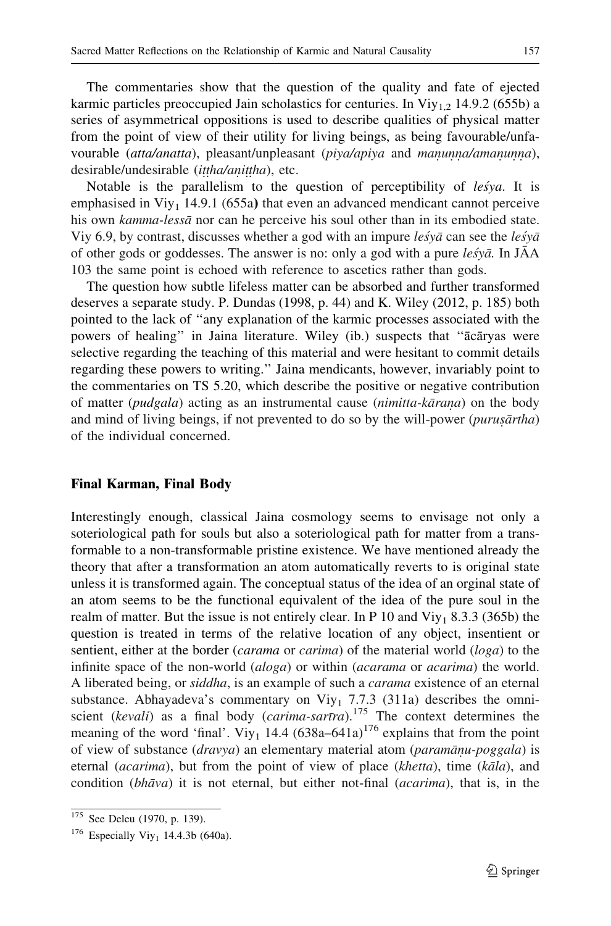The commentaries show that the question of the quality and fate of ejected karmic particles preoccupied Jain scholastics for centuries. In Viy<sub>1.2</sub> 14.9.2 (655b) a series of asymmetrical oppositions is used to describe qualities of physical matter from the point of view of their utility for living beings, as being favourable/unfavourable (atta/anatta), pleasant/unpleasant (piya/apiya and manunna/amanunna), desirable/undesirable (*ittha/anittha*), etc.

Notable is the parallelism to the question of perceptibility of *les*<sup>y</sup> $a$ . It is emphasised in  $V$ iy<sub>1</sub> 14.9.1 (655a) that even an advanced mendicant cannot perceive his own kamma-lessa<sup>n</sup> nor can he perceive his soul other than in its embodied state. Viy 6.9, by contrast, discusses whether a god with an impure *les*<sup>y</sup> $\bar{a}$  can see the *les*<sup> $\bar{y}$ </sup> $\bar{a}$ of other gods or goddesses. The answer is no: only a god with a pure *leso i*. In JAA 103 the same point is echoed with reference to ascetics rather than gods.

The question how subtle lifeless matter can be absorbed and further transformed deserves a separate study. P. Dundas (1998, p. 44) and K. Wiley (2012, p. 185) both pointed to the lack of ''any explanation of the karmic processes associated with the powers of healing" in Jaina literature. Wiley (ib.) suspects that "ācāryas were selective regarding the teaching of this material and were hesitant to commit details regarding these powers to writing.'' Jaina mendicants, however, invariably point to the commentaries on TS 5.20, which describe the positive or negative contribution of matter (*pudgala*) acting as an instrumental cause (*nimitta-kārana*) on the body and mind of living beings, if not prevented to do so by the will-power (*purus* $\bar{a}$ rtha) of the individual concerned.

#### Final Karman, Final Body

Interestingly enough, classical Jaina cosmology seems to envisage not only a soteriological path for souls but also a soteriological path for matter from a transformable to a non-transformable pristine existence. We have mentioned already the theory that after a transformation an atom automatically reverts to is original state unless it is transformed again. The conceptual status of the idea of an orginal state of an atom seems to be the functional equivalent of the idea of the pure soul in the realm of matter. But the issue is not entirely clear. In P 10 and Viy<sub>1</sub> 8.3.3 (365b) the question is treated in terms of the relative location of any object, insentient or sentient, either at the border (*carama* or *carima*) of the material world ( $log a$ ) to the infinite space of the non-world (aloga) or within (acarama or acarima) the world. A liberated being, or siddha, is an example of such a carama existence of an eternal substance. Abhayadeva's commentary on Viy<sub>1</sub> 7.7.3 (311a) describes the omniscient (kevali) as a final body (carima-sarīra).<sup>175</sup> The context determines the meaning of the word 'final'. Viy<sub>1</sub> 14.4 (638a–641a)<sup>176</sup> explains that from the point of view of substance  $(dravya)$  an elementary material atom  $(paramānu-poggala)$  is eternal (*acarima*), but from the point of view of place (*khetta*), time (*kala*), and condition (bh $\bar{a}v$ a) it is not eternal, but either not-final (*acarima*), that is, in the

<sup>&</sup>lt;sup>175</sup> See Deleu (1970, p. 139).

 $176$  Especially Viy<sub>1</sub> 14.4.3b (640a).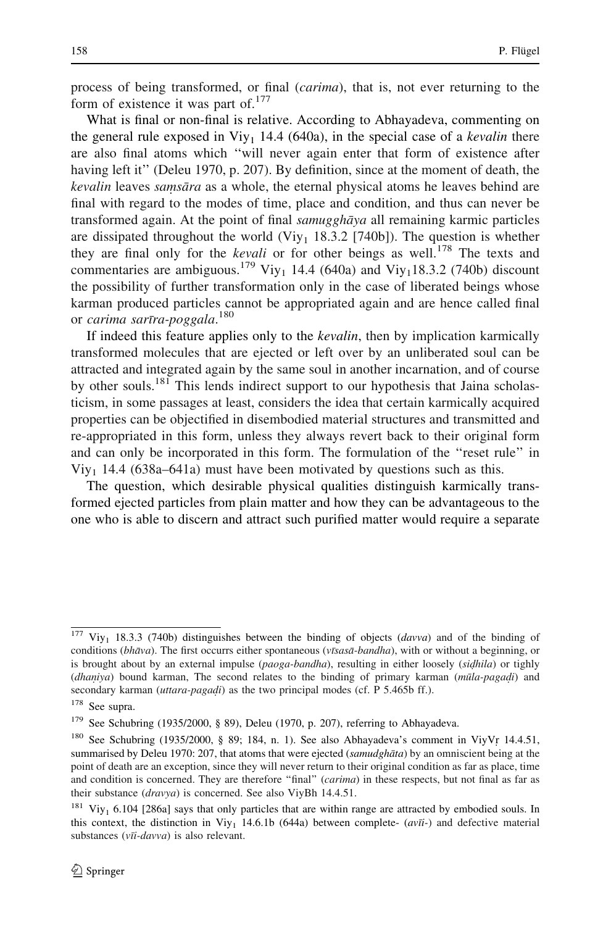process of being transformed, or final *(carima)*, that is, not ever returning to the form of existence it was part of. $177$ 

What is final or non-final is relative. According to Abhayadeva, commenting on the general rule exposed in Viy<sub>1</sub> 14.4 (640a), in the special case of a kevalin there are also final atoms which ''will never again enter that form of existence after having left it" (Deleu 1970, p. 207). By definition, since at the moment of death, the kevalin leaves samsāra as a whole, the eternal physical atoms he leaves behind are final with regard to the modes of time, place and condition, and thus can never be transformed again. At the point of final samugghaya all remaining karmic particles are dissipated throughout the world (Viy<sub>1</sub> 18.3.2 [740b]). The question is whether they are final only for the *kevali* or for other beings as well.<sup>178</sup> The texts and commentaries are ambiguous.<sup>179</sup> Viy<sub>1</sub> 14.4 (640a) and Viy<sub>1</sub> 18.3.2 (740b) discount the possibility of further transformation only in the case of liberated beings whose karman produced particles cannot be appropriated again and are hence called final or carima sarīra-poggala.<sup>180</sup>

If indeed this feature applies only to the *kevalin*, then by implication karmically transformed molecules that are ejected or left over by an unliberated soul can be attracted and integrated again by the same soul in another incarnation, and of course by other souls.<sup>181</sup> This lends indirect support to our hypothesis that Jaina scholasticism, in some passages at least, considers the idea that certain karmically acquired properties can be objectified in disembodied material structures and transmitted and re-appropriated in this form, unless they always revert back to their original form and can only be incorporated in this form. The formulation of the ''reset rule'' in Viy<sub>1</sub> 14.4 (638a–641a) must have been motivated by questions such as this.

The question, which desirable physical qualities distinguish karmically transformed ejected particles from plain matter and how they can be advantageous to the one who is able to discern and attract such purified matter would require a separate

 $177$  Viy<sub>1</sub> 18.3.3 (740b) distinguishes between the binding of objects (*davva*) and of the binding of conditions ( $bh\bar{a}va$ ). The first occurrs either spontaneous (visasa-bandha), with or without a beginning, or is brought about by an external impulse (paoga-bandha), resulting in either loosely (sidhila) or tighly  $(dhaniva)$  bound karman, The second relates to the binding of primary karman  $(m\bar{u}la-pagadi)$  and secondary karman (*uttara-pagadi*) as the two principal modes (cf. P 5.465b ff.).

<sup>178</sup> See supra.

 $179$  See Schubring (1935/2000, § 89), Deleu (1970, p. 207), referring to Abhayadeva.

See Schubring (1935/2000, § 89; 184, n. 1). See also Abhayadeva's comment in ViyVr 14.4.51, summarised by Deleu 1970: 207, that atoms that were ejected (samudghāta) by an omniscient being at the point of death are an exception, since they will never return to their original condition as far as place, time and condition is concerned. They are therefore "final" (carima) in these respects, but not final as far as their substance (dravya) is concerned. See also ViyBh 14.4.51.

 $181$  Viy<sub>1</sub> 6.104 [286a] says that only particles that are within range are attracted by embodied souls. In this context, the distinction in Viy<sub>1</sub> 14.6.1b (644a) between complete- ( $a\overline{v}$ <sup>†</sup>) and defective material substances ( $v\bar{u}$ -davva) is also relevant.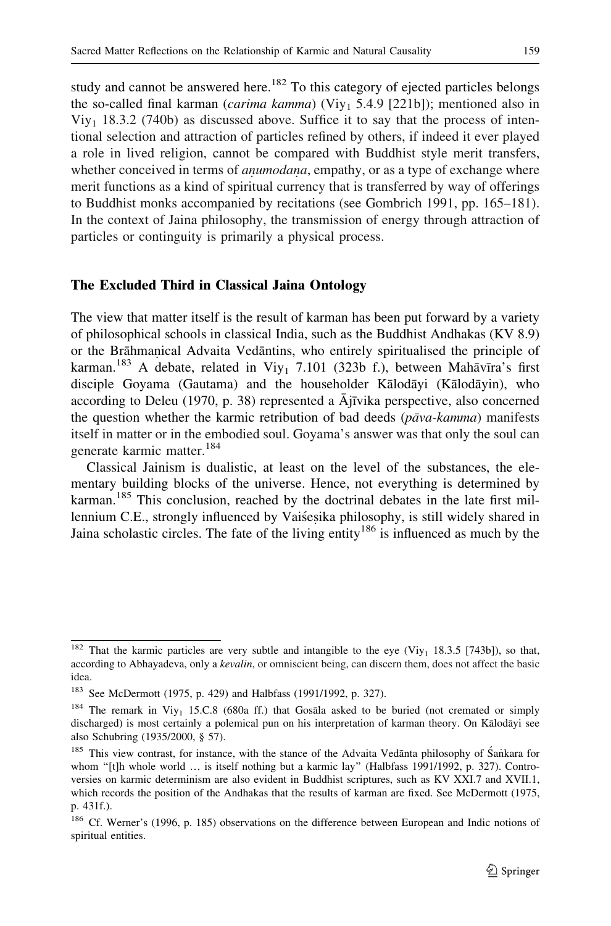study and cannot be answered here.<sup>182</sup> To this category of ejected particles belongs the so-called final karman (*carima kamma*) (Viy<sub>1</sub> 5.4.9 [221b]); mentioned also in  $V$ iy<sub>1</sub> 18.3.2 (740b) as discussed above. Suffice it to say that the process of intentional selection and attraction of particles refined by others, if indeed it ever played a role in lived religion, cannot be compared with Buddhist style merit transfers, whether conceived in terms of *anumodana*, empathy, or as a type of exchange where merit functions as a kind of spiritual currency that is transferred by way of offerings to Buddhist monks accompanied by recitations (see Gombrich 1991, pp. 165–181). In the context of Jaina philosophy, the transmission of energy through attraction of particles or continguity is primarily a physical process.

## The Excluded Third in Classical Jaina Ontology

The view that matter itself is the result of karman has been put forward by a variety of philosophical schools in classical India, such as the Buddhist Andhakas (KV 8.9) or the Brāhmanical Advaita Vedāntins, who entirely spiritualised the principle of karman.<sup>183</sup> A debate, related in Viy<sub>1</sub> 7.101 (323b f.), between Mahāvīra's first disciple Goyama (Gautama) and the householder Ka $\overline{a}$ loda $\overline{a}$  (Ka $\overline{a}$ loda $\overline{a}$ yin), who according to Deleu (1970, p. 38) represented a  $\overline{A}$  jīvika perspective, also concerned the question whether the karmic retribution of bad deeds ( $p\bar{a}va-kamma$ ) manifests itself in matter or in the embodied soul. Goyama's answer was that only the soul can generate karmic matter.<sup>184</sup>

Classical Jainism is dualistic, at least on the level of the substances, the elementary building blocks of the universe. Hence, not everything is determined by karman.<sup>185</sup> This conclusion, reached by the doctrinal debates in the late first millennium C.E., strongly influenced by Vaisesika philosophy, is still widely shared in Jaina scholastic circles. The fate of the living entity<sup>186</sup> is influenced as much by the

<sup>&</sup>lt;sup>182</sup> That the karmic particles are very subtle and intangible to the eye (Viy<sub>1</sub> 18.3.5 [743b]), so that, according to Abhayadeva, only a kevalin, or omniscient being, can discern them, does not affect the basic idea.

<sup>183</sup> See McDermott (1975, p. 429) and Halbfass (1991/1992, p. 327).

<sup>&</sup>lt;sup>184</sup> The remark in Viy<sub>1</sub> 15.C.8 (680a ff.) that Gosala asked to be buried (not cremated or simply discharged) is most certainly a polemical pun on his interpretation of karman theory. On Kalodayi see also Schubring (1935/2000, § 57).

 $185$  This view contrast, for instance, with the stance of the Advaita Vedanta philosophy of Śankara for whom "[t]h whole world ... is itself nothing but a karmic lay" (Halbfass 1991/1992, p. 327). Controversies on karmic determinism are also evident in Buddhist scriptures, such as KV XXI.7 and XVII.1, which records the position of the Andhakas that the results of karman are fixed. See McDermott (1975, p. 431f.).

<sup>186</sup> Cf. Werner's (1996, p. 185) observations on the difference between European and Indic notions of spiritual entities.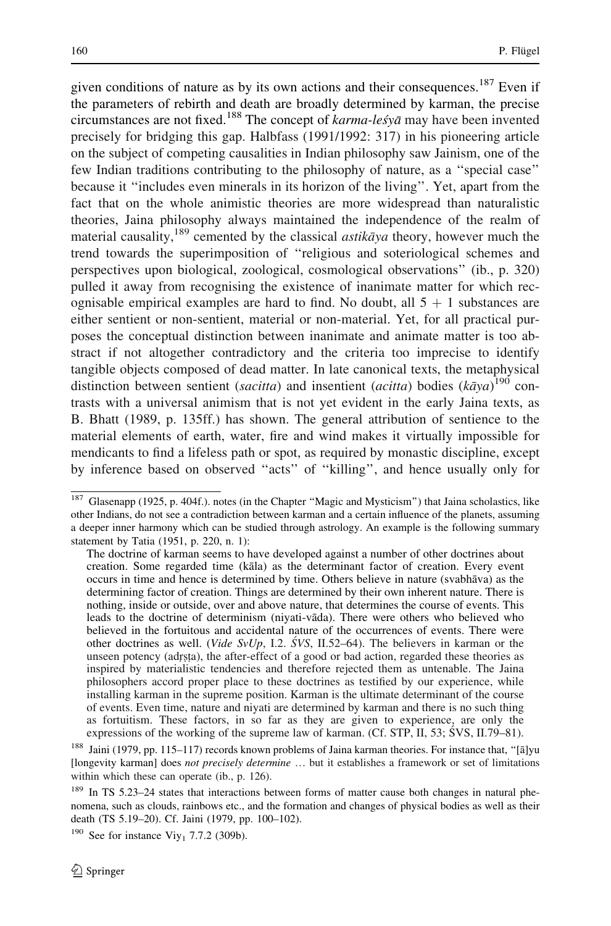given conditions of nature as by its own actions and their consequences.<sup>187</sup> Even if the parameters of rebirth and death are broadly determined by karman, the precise circumstances are not fixed.<sup>188</sup> The concept of *karma-les*<sup>y</sup> $\bar{a}$  may have been invented precisely for bridging this gap. Halbfass (1991/1992: 317) in his pioneering article on the subject of competing causalities in Indian philosophy saw Jainism, one of the few Indian traditions contributing to the philosophy of nature, as a ''special case'' because it ''includes even minerals in its horizon of the living''. Yet, apart from the fact that on the whole animistic theories are more widespread than naturalistic theories, Jaina philosophy always maintained the independence of the realm of material causality,  $^{189}$  cemented by the classical *astikava* theory, however much the trend towards the superimposition of ''religious and soteriological schemes and perspectives upon biological, zoological, cosmological observations'' (ib., p. 320) pulled it away from recognising the existence of inanimate matter for which recognisable empirical examples are hard to find. No doubt, all  $5 + 1$  substances are either sentient or non-sentient, material or non-material. Yet, for all practical purposes the conceptual distinction between inanimate and animate matter is too abstract if not altogether contradictory and the criteria too imprecise to identify tangible objects composed of dead matter. In late canonical texts, the metaphysical distinction between sentient (sacitta) and insentient (acitta) bodies  $(k\bar{a}ya)^{190}$  contrasts with a universal animism that is not yet evident in the early Jaina texts, as B. Bhatt (1989, p. 135ff.) has shown. The general attribution of sentience to the material elements of earth, water, fire and wind makes it virtually impossible for mendicants to find a lifeless path or spot, as required by monastic discipline, except by inference based on observed ''acts'' of ''killing'', and hence usually only for

 $\frac{187}{187}$  Glasenapp (1925, p. 404f.). notes (in the Chapter "Magic and Mysticism") that Jaina scholastics, like other Indians, do not see a contradiction between karman and a certain influence of the planets, assuming a deeper inner harmony which can be studied through astrology. An example is the following summary statement by Tatia (1951, p. 220, n. 1):

The doctrine of karman seems to have developed against a number of other doctrines about creation. Some regarded time (kala) as the determinant factor of creation. Every event occurs in time and hence is determined by time. Others believe in nature (svabhava) as the determining factor of creation. Things are determined by their own inherent nature. There is nothing, inside or outside, over and above nature, that determines the course of events. This leads to the doctrine of determinism (niyati-vāda). There were others who believed who believed in the fortuitous and accidental nature of the occurrences of events. There were other doctrines as well. (*Vide SvUp*, I.2.  $\acute{S}VS$ , II.52–64). The believers in karman or the unseen potency (adrsta), the after-effect of a good or bad action, regarded these theories as inspired by materialistic tendencies and therefore rejected them as untenable. The Jaina philosophers accord proper place to these doctrines as testified by our experience, while installing karman in the supreme position. Karman is the ultimate determinant of the course of events. Even time, nature and niyati are determined by karman and there is no such thing as fortuitism. These factors, in so far as they are given to experience, are only the expressions of the working of the supreme law of karman. (Cf. STP, II, 53; SVS, II.79–81).

<sup>&</sup>lt;sup>188</sup> Jaini (1979, pp. 115–117) records known problems of Jaina karman theories. For instance that, "[ $\bar{a}$ ]yu [longevity karman] does not precisely determine ... but it establishes a framework or set of limitations within which these can operate (ib., p. 126).

In TS 5.23–24 states that interactions between forms of matter cause both changes in natural phenomena, such as clouds, rainbows etc., and the formation and changes of physical bodies as well as their death (TS 5.19–20). Cf. Jaini (1979, pp. 100–102).

 $190$  See for instance Viy<sub>1</sub> 7.7.2 (309b).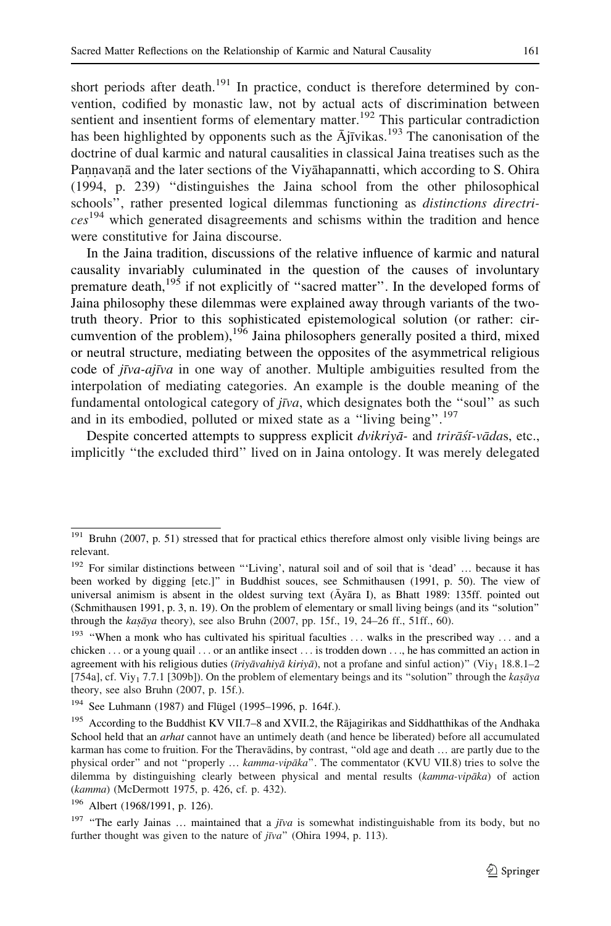short periods after death.<sup>191</sup> In practice, conduct is therefore determined by convention, codified by monastic law, not by actual acts of discrimination between sentient and insentient forms of elementary matter.<sup>192</sup> This particular contradiction has been highlighted by opponents such as the  $\overline{A}$  jīvikas.<sup>193</sup> The canonisation of the doctrine of dual karmic and natural causalities in classical Jaina treatises such as the Pannavanā and the later sections of the Viyāhapannatti, which according to S. Ohira (1994, p. 239) ''distinguishes the Jaina school from the other philosophical schools", rather presented logical dilemmas functioning as *distinctions directri*- $\cos^{194}$  which generated disagreements and schisms within the tradition and hence were constitutive for Jaina discourse.

In the Jaina tradition, discussions of the relative influence of karmic and natural causality invariably culuminated in the question of the causes of involuntary premature death, $195$  if not explicitly of "sacred matter". In the developed forms of Jaina philosophy these dilemmas were explained away through variants of the twotruth theory. Prior to this sophisticated epistemological solution (or rather: circumvention of the problem), $196$  Jaina philosophers generally posited a third, mixed or neutral structure, mediating between the opposites of the asymmetrical religious code of  $j\bar{v}va-\tilde{a}j\bar{v}a$  in one way of another. Multiple ambiguities resulted from the interpolation of mediating categories. An example is the double meaning of the fundamental ontological category of  $j\bar{v}va$ , which designates both the "soul" as such and in its embodied, polluted or mixed state as a "living being".<sup>197</sup>

Despite concerted attempts to suppress explicit *dvikriya*- and trira $\tilde{s}$ <sub> $\tilde{t}$ </sub>-va $\tilde{t}$ das, etc., implicitly ''the excluded third'' lived on in Jaina ontology. It was merely delegated

<sup>&</sup>lt;sup>191</sup> Bruhn (2007, p. 51) stressed that for practical ethics therefore almost only visible living beings are relevant.

<sup>&</sup>lt;sup>192</sup> For similar distinctions between "'Living', natural soil and of soil that is 'dead' ... because it has been worked by digging [etc.]'' in Buddhist souces, see Schmithausen (1991, p. 50). The view of universal animism is absent in the oldest surving text (Āyāra I), as Bhatt 1989: 135ff. pointed out (Schmithausen 1991, p. 3, n. 19). On the problem of elementary or small living beings (and its ''solution'' through the kasāya theory), see also Bruhn (2007, pp. 15f., 19, 24-26 ff., 51ff., 60).

<sup>&</sup>lt;sup>193</sup> "When a monk who has cultivated his spiritual faculties ... walks in the prescribed way ... and a chicken ... or a young quail ... or an antlike insect ... is trodden down ..., he has committed an action in agreement with his religious duties ( $\overline{triv\bar{a}}v\bar{a}hiv\bar{a}$ , not a profane and sinful action)" (Viy<sub>1</sub> 18.8.1–2 [754a], cf. Viy<sub>1</sub> 7.7.1 [309b]). On the problem of elementary beings and its "solution" through the kasaya theory, see also Bruhn (2007, p. 15f.).

<sup>&</sup>lt;sup>194</sup> See Luhmann (1987) and Flügel (1995–1996, p. 164f.).

<sup>&</sup>lt;sup>195</sup> According to the Buddhist KV VII.7–8 and XVII.2, the Rājagirikas and Siddhatthikas of the Andhaka School held that an arhat cannot have an untimely death (and hence be liberated) before all accumulated karman has come to fruition. For the Theravadins, by contrast, "old age and death ... are partly due to the physical order" and not "properly ... kamma-vipāka". The commentator (KVU VII.8) tries to solve the dilemma by distinguishing clearly between physical and mental results (kamma-vipāka) of action (kamma) (McDermott 1975, p. 426, cf. p. 432).

<sup>196</sup> Albert (1968/1991, p. 126).

<sup>&</sup>lt;sup>197</sup> "The early Jainas ... maintained that a  $j\bar{v}v\bar{a}$  is somewhat indistinguishable from its body, but no further thought was given to the nature of  $j\bar{v}a$ " (Ohira 1994, p. 113).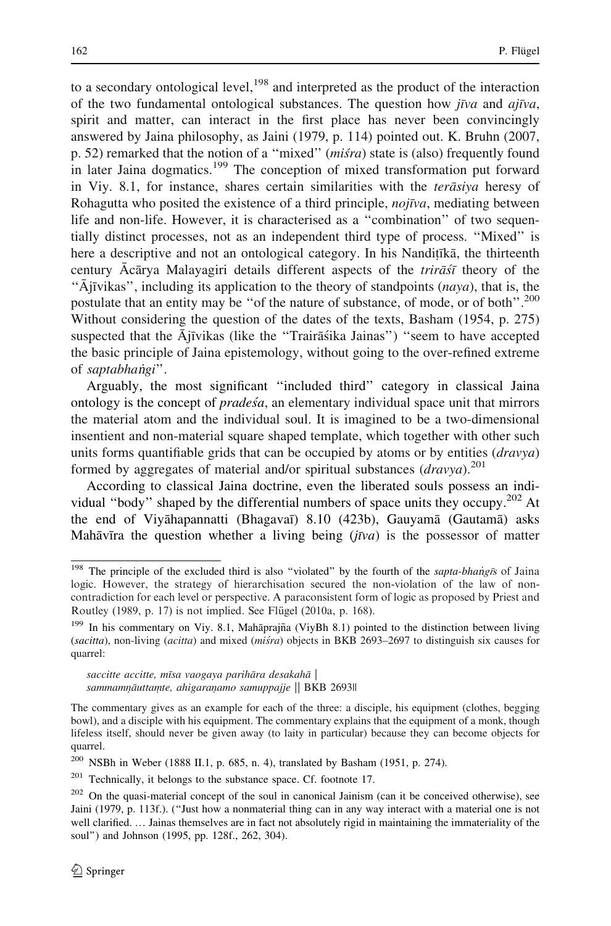to a secondary ontological level, $198$  and interpreted as the product of the interaction of the two fundamental ontological substances. The question how *jtva* and  $a\overline{j}va$ , spirit and matter, can interact in the first place has never been convincingly answered by Jaina philosophy, as Jaini (1979, p. 114) pointed out. K. Bruhn (2007, p. 52) remarked that the notion of a "mixed" (mistra) state is (also) frequently found in later Jaina dogmatics.<sup>199</sup> The conception of mixed transformation put forward in Viy. 8.1, for instance, shares certain similarities with the  $ter\bar{a}siya$  heresy of Rohagutta who posited the existence of a third principle,  $no\bar{v}a$ , mediating between life and non-life. However, it is characterised as a ''combination'' of two sequentially distinct processes, not as an independent third type of process. ''Mixed'' is here a descriptive and not an ontological category. In his Nanditika, the thirteenth century  $\bar{A}$  ca $\bar{A}$  valayagiri details different aspects of the *triras* $\bar{i}$  theory of the " $\overline{A}$ jīvikas", including its application to the theory of standpoints (*naya*), that is, the postulate that an entity may be "of the nature of substance, of mode, or of both".<sup>200</sup> Without considering the question of the dates of the texts, Basham (1954, p. 275) suspected that the  $\overline{A}$  jīvikas (like the "Trairā́sika Jainas") "seem to have accepted the basic principle of Jaina epistemology, without going to the over-refined extreme of saptabhangi".

Arguably, the most significant ''included third'' category in classical Jaina ontology is the concept of *pradesa*, an elementary individual space unit that mirrors the material atom and the individual soul. It is imagined to be a two-dimensional insentient and non-material square shaped template, which together with other such units forms quantifiable grids that can be occupied by atoms or by entities  $(dravya)$ formed by aggregates of material and/or spiritual substances  $(dxavya)$ .<sup>201</sup>

According to classical Jaina doctrine, even the liberated souls possess an individual "body" shaped by the differential numbers of space units they occupy.<sup>202</sup> At the end of Viyāhapannatti (Bhagavaī) 8.10 (423b), Gauyama (Gautamā) asks Mahāvīra the question whether a living being  $(j\bar{v}va)$  is the possessor of matter

saccitte accitte, mīsa vaogaya parihāra desakahā | sammamnāuttamte, ahigaranamo samuppajje || BKB 2693||

<sup>&</sup>lt;sup>198</sup> The principle of the excluded third is also "violated" by the fourth of the *sapta-bhangis* of Jaina logic. However, the strategy of hierarchisation secured the non-violation of the law of noncontradiction for each level or perspective. A paraconsistent form of logic as proposed by Priest and Routley (1989, p. 17) is not implied. See Flügel (2010a, p. 168).

<sup>&</sup>lt;sup>199</sup> In his commentary on Viy. 8.1, Mahāprajña (ViyBh 8.1) pointed to the distinction between living (sacitta), non-living (acitta) and mixed (mistra) objects in BKB 2693-2697 to distinguish six causes for quarrel:

The commentary gives as an example for each of the three: a disciple, his equipment (clothes, begging bowl), and a disciple with his equipment. The commentary explains that the equipment of a monk, though lifeless itself, should never be given away (to laity in particular) because they can become objects for quarrel.

<sup>200</sup> NSBh in Weber (1888 II.1, p. 685, n. 4), translated by Basham (1951, p. 274).

<sup>&</sup>lt;sup>201</sup> Technically, it belongs to the substance space. Cf. footnote 17.

 $202$  On the quasi-material concept of the soul in canonical Jainism (can it be conceived otherwise), see Jaini (1979, p. 113f.). (''Just how a nonmaterial thing can in any way interact with a material one is not well clarified. … Jainas themselves are in fact not absolutely rigid in maintaining the immateriality of the soul'') and Johnson (1995, pp. 128f., 262, 304).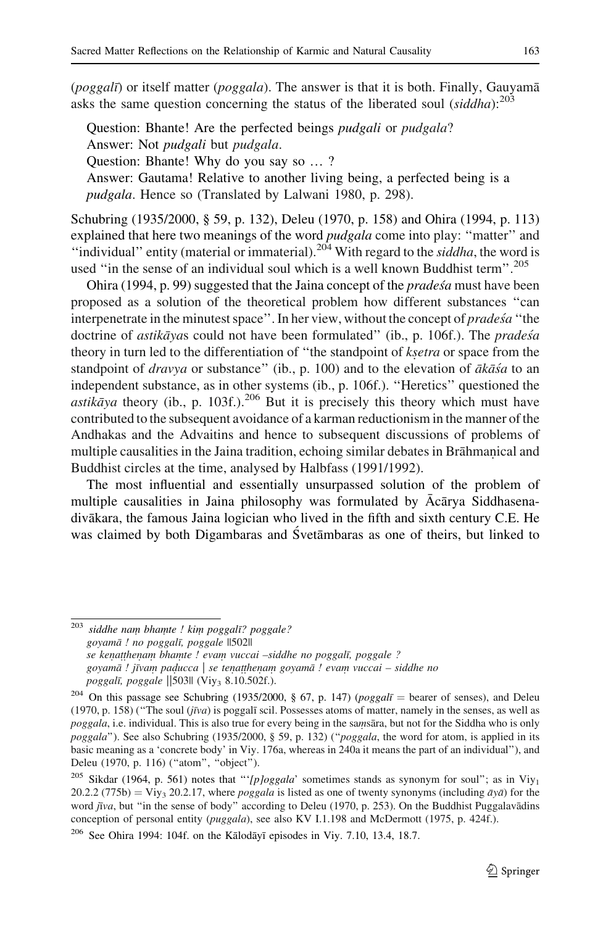$(poggali)$  or itself matter ( $poggala$ ). The answer is that it is both. Finally, Gauyama asks the same question concerning the status of the liberated soul (siddha): $^{203}$ 

Question: Bhante! Are the perfected beings pudgali or pudgala? Answer: Not pudgali but pudgala. Question: Bhante! Why do you say so … ? Answer: Gautama! Relative to another living being, a perfected being is a pudgala. Hence so (Translated by Lalwani 1980, p. 298).

Schubring (1935/2000, § 59, p. 132), Deleu (1970, p. 158) and Ohira (1994, p. 113) explained that here two meanings of the word *pudgala* come into play: "matter" and "individual" entity (material or immaterial).<sup>204</sup> With regard to the *siddha*, the word is used "in the sense of an individual soul which is a well known Buddhist term".<sup>205</sup>

Ohira (1994, p. 99) suggested that the Jaina concept of the *prades*<sup> $\alpha$ </sup> must have been proposed as a solution of the theoretical problem how different substances ''can interpenetrate in the minutest space". In her view, without the concept of  $prades'$  "the doctrine of *astikavas* could not have been formulated'' (ib., p. 106f.). The *prades<sup>a</sup>* theory in turn led to the differentiation of "the standpoint of *ksetra* or space from the standpoint of *dravya* or substance" (ib., p. 100) and to the elevation of  $\bar{a}k\bar{a}s\bar{a}$  to an independent substance, as in other systems (ib., p. 106f.). ''Heretics'' questioned the astikaya theory (ib., p. 103f.).<sup>206</sup> But it is precisely this theory which must have contributed to the subsequent avoidance of a karman reductionism in the manner of the Andhakas and the Advaitins and hence to subsequent discussions of problems of multiple causalities in the Jaina tradition, echoing similar debates in Brāhmanical and Buddhist circles at the time, analysed by Halbfass (1991/1992).

The most influential and essentially unsurpassed solution of the problem of multiple causalities in Jaina philosophy was formulated by  $\bar{A}$  ca $\bar{A}$  siddhasenadiva¯kara, the famous Jaina logician who lived in the fifth and sixth century C.E. He was claimed by both Digambaras and Svetambaras as one of theirs, but linked to

 $^{203}$  siddhe nam bhamte ! kim poggalī? poggale? goyamā ! no poggalī, poggale ||502|| se kenatthenam bhamte ! evam vuccai –siddhe no poggalī, poggale ? goyamā ! jīvam paducca | se tenatthenam goyamā ! evam vuccai – siddhe no poggalī, poggale ||503|| (Viy<sub>3</sub> 8.10.502f.).

<sup>&</sup>lt;sup>204</sup> On this passage see Schubring (1935/2000, § 67, p. 147) (poggal $\bar{u}$  = bearer of senses), and Deleu (1970, p. 158) ("The soul ( $j\bar{v}v$ a) is poggalī scil. Possesses atoms of matter, namely in the senses, as well as poggala, i.e. individual. This is also true for every being in the samsatra, but not for the Siddha who is only poggala''). See also Schubring (1935/2000, § 59, p. 132) (''poggala, the word for atom, is applied in its basic meaning as a 'concrete body' in Viy. 176a, whereas in 240a it means the part of an individual''), and Deleu (1970, p. 116) ("atom", "object").

<sup>&</sup>lt;sup>205</sup> Sikdar (1964, p. 561) notes that "'[p]oggala' sometimes stands as synonym for soul"; as in Viy<sub>1</sub> 20.2.2 (775b) = Viy<sub>3</sub> 20.2.17, where *poggala* is listed as one of twenty synonyms (including  $\bar{a}y\bar{a}$ ) for the word jīva, but "in the sense of body" according to Deleu (1970, p. 253). On the Buddhist Puggalavādins conception of personal entity (*puggala*), see also KV I.1.198 and McDermott (1975, p. 424f.).

<sup>&</sup>lt;sup>206</sup> See Ohira 1994: 104f. on the Kaloday<sub>1</sub> episodes in Viy. 7.10, 13.4, 18.7.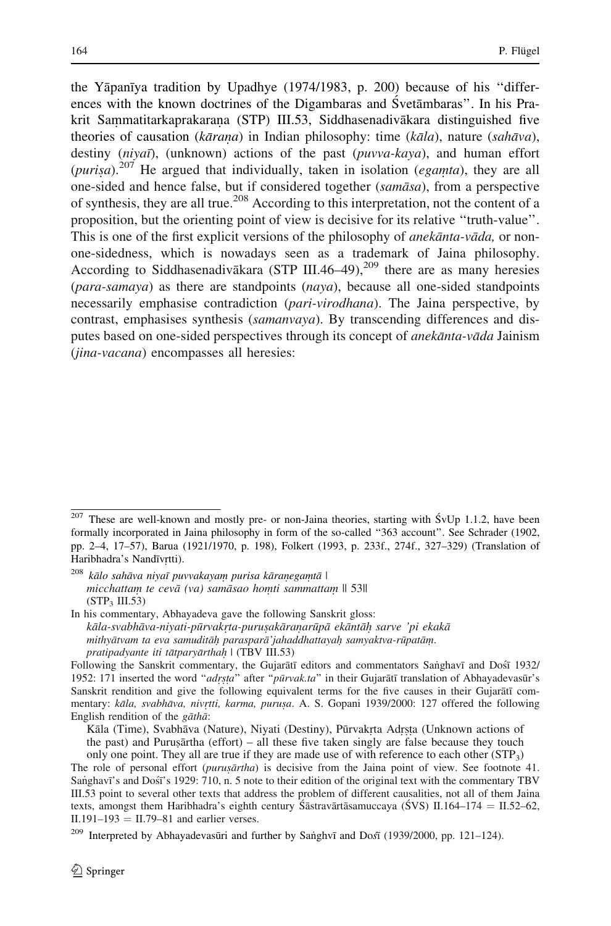the Yāpanīya tradition by Upadhye  $(1974/1983, p. 200)$  because of his "differences with the known doctrines of the Digambaras and Svetambaras''. In his Prakrit Sammatitarkaprakarana (STP) III.53, Siddhasenadivākara distinguished five theories of causation ( $k\bar{a}$ rana) in Indian philosophy: time ( $k\bar{a}la$ ), nature (sah $\bar{a}va$ ), destiny  $(niva\bar{\imath})$ , (unknown) actions of the past (puvva-kaya), and human effort (*purisa*).<sup>207</sup> He argued that individually, taken in isolation (*egamta*), they are all one-sided and hence false, but if considered together *(samāsa)*, from a perspective of synthesis, they are all true.<sup>208</sup> According to this interpretation, not the content of a proposition, but the orienting point of view is decisive for its relative ''truth-value''. This is one of the first explicit versions of the philosophy of *anekānta-vāda*, or nonone-sidedness, which is nowadays seen as a trademark of Jaina philosophy. According to Siddhasenadivākara (STP III.46–49),<sup>209</sup> there are as many heresies (para-samaya) as there are standpoints (naya), because all one-sided standpoints necessarily emphasise contradiction (pari-virodhana). The Jaina perspective, by contrast, emphasises synthesis *(samanyaya)*. By transcending differences and disputes based on one-sided perspectives through its concept of *anekānta-vāda* Jainism (jina-vacana) encompasses all heresies:

 $207$  These are well-known and mostly pre- or non-Jaina theories, starting with  $SvUp$  1.1.2, have been formally incorporated in Jaina philosophy in form of the so-called ''363 account''. See Schrader (1902, pp. 2–4, 17–57), Barua (1921/1970, p. 198), Folkert (1993, p. 233f., 274f., 327–329) (Translation of Haribhadra's Nandīvrtti).

<sup>&</sup>lt;sup>208</sup> kālo sahāva niyaī puvvakayam purisa kāranegamtā | micchattam te cevā (va) samāsao homti sammattam || 53||  $(STP<sub>3</sub> III.53)$ 

In his commentary, Abhayadeva gave the following Sanskrit gloss: kāla-svabhāva-niyati-pūrvakrta-purusakāranarūpā ekāntāh sarve 'pi ekakā mithyātvam ta eva samuditāh parasparā'jahaddhattayaḥ samyaktva-rūpatāṃ. pratipadyante iti tātparyārthah | (TBV III.53)

Following the Sanskrit commentary, the Gujarati editors and commentators Sanghavi and Dosi 1932/ 1952: 171 inserted the word "adrsta" after "pūrvak.ta" in their Gujarātī translation of Abhayadevasūr's Sanskrit rendition and give the following equivalent terms for the five causes in their Gujarati commentary: kāla, svabhāva, nivrtti, karma, purusa. A. S. Gopani 1939/2000: 127 offered the following English rendition of the  $g\bar{a}th\bar{a}$ :

Kāla (Time), Svabhāva (Nature), Niyati (Destiny), Pūrvakrta Adrsta (Unknown actions of the past) and Purus $\bar{a}$ rtha (effort) – all these five taken singly are false because they touch only one point. They all are true if they are made use of with reference to each other  $(STP_3)$ 

The role of personal effort (*purusārtha*) is decisive from the Jaina point of view. See footnote 41. Sanghavī's and Dosī's 1929: 710, n. 5 note to their edition of the original text with the commentary TBV III.53 point to several other texts that address the problem of different causalities, not all of them Jaina texts, amongst them Haribhadra's eighth century Sāstravārtāsamuccaya (SVS) II.164–174 = II.52–62,  $II.191-193 = II.79-81$  and earlier verses.

<sup>&</sup>lt;sup>209</sup> Interpreted by Abhayadevasūri and further by Sanghvī and Dosī (1939/2000, pp. 121–124).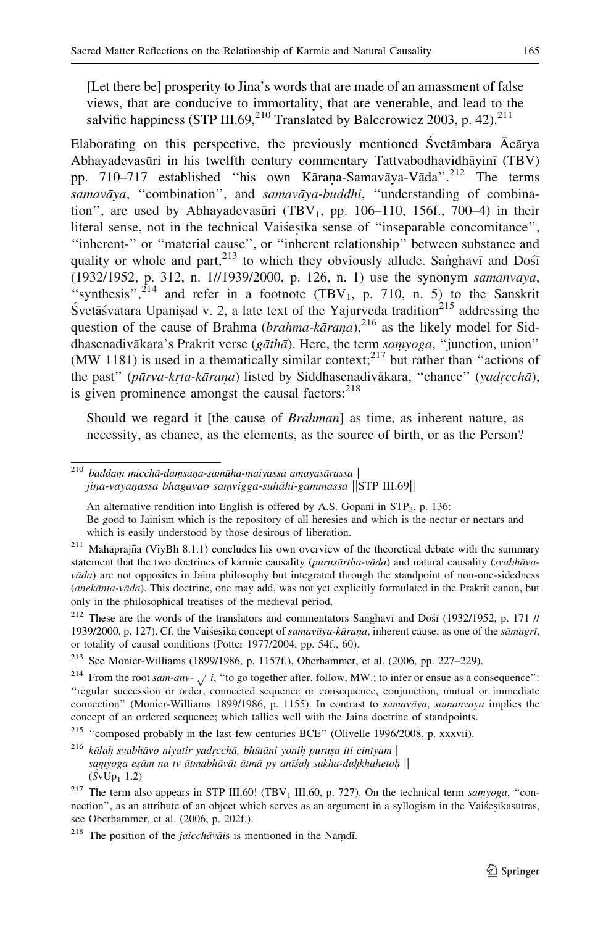[Let there be] prosperity to Jina's words that are made of an amassment of false views, that are conducive to immortality, that are venerable, and lead to the salvific happiness (STP III.69,<sup>210</sup> Translated by Balcerowicz 2003, p. 42).<sup>211</sup>

Elaborating on this perspective, the previously mentioned Svetambara  $\bar{A}$  ca $\bar{A}$ Abhayadevasūri in his twelfth century commentary Tattvabodhavidhāyinī (TBV) pp. 710–717 established "his own Kāraṇa-Samavāya-Vāda".<sup>212</sup> The terms samavāya, "combination", and samavāya-buddhi, "understanding of combination", are used by Abhayadevasuri (TBV<sub>1</sub>, pp. 106–110, 156f., 700–4) in their literal sense, not in the technical Vaisesika sense of "inseparable concomitance", ''inherent-'' or ''material cause'', or ''inherent relationship'' between substance and quality or whole and part, $^{213}$  to which they obviously allude. Sanghavi and Dosi (1932/1952, p. 312, n. 1//1939/2000, p. 126, n. 1) use the synonym samanvaya, "synthesis",  $2^{14}$  and refer in a footnote (TBV<sub>1</sub>, p. 710, n. 5) to the Sanskrit  $\text{Svetās'vatara Upanisad v. 2, a late text of the Yaiureda tradition}^{215}$  addressing the question of the cause of Brahma (brahma-kārana),<sup>216</sup> as the likely model for Siddhasenadivākara's Prakrit verse (gāthā). Here, the term samyoga, "junction, union" (MW 1181) is used in a thematically similar context;<sup>217</sup> but rather than "actions of the past" (pūrva-krta-kārana) listed by Siddhasenadivākara, "chance" (yadrcchā), is given prominence amongst the causal factors:  $2^{18}$ 

Should we regard it [the cause of *Brahman*] as time, as inherent nature, as necessity, as chance, as the elements, as the source of birth, or as the Person?

 $^{210}$  baddam micchā-damsana-samūha-maiyassa amayasārassa |  $jina-vayanassa bhagavao samvigga-suhāhi-gammassa$   $||STP III.69||$ 

Be good to Jainism which is the repository of all heresies and which is the nectar or nectars and which is easily understood by those desirous of liberation.

An alternative rendition into English is offered by A.S. Gopani in  $STP_3$ , p. 136:

 $^{211}$  Mahāprajña (ViyBh 8.1.1) concludes his own overview of the theoretical debate with the summary statement that the two doctrines of karmic causality (purus $\bar{a}$ rtha-v $\bar{a}d\bar{a}$ ) and natural causality (svabhava $v\bar{a}da$ ) are not opposites in Jaina philosophy but integrated through the standpoint of non-one-sidedness (anekānta-vāda). This doctrine, one may add, was not yet explicitly formulated in the Prakrit canon, but only in the philosophical treatises of the medieval period.

<sup>&</sup>lt;sup>212</sup> These are the words of the translators and commentators Sanghavī and Dosī (1932/1952, p. 171 // 1939/2000, p. 127). Cf. the Vaisesika concept of samavāya-kārana, inherent cause, as one of the sāmagrī, or totality of causal conditions (Potter 1977/2004, pp. 54f., 60).

<sup>213</sup> See Monier-Williams (1899/1986, p. 1157f.), Oberhammer, et al. (2006, pp. 227–229).

<sup>&</sup>lt;sup>214</sup> From the root sam-anv-  $\sqrt{i}$ , "to go together after, follow, MW.; to infer or ensue as a consequence": ''regular succession or order, connected sequence or consequence, conjunction, mutual or immediate connection" (Monier-Williams 1899/1986, p. 1155). In contrast to samavaya, samanvaya implies the concept of an ordered sequence; which tallies well with the Jaina doctrine of standpoints.

<sup>&</sup>lt;sup>215</sup> "composed probably in the last few centuries BCE" (Olivelle 1996/2008, p. xxxvii).

 $^{216}$  kālah svabhāvo niyatir yadr $c$ chā, bhūtāni yonih purusa iti cintyam | samyoga esām na tv ātmabhāvāt ātmā py anīs´ah sukha-duhkhahetoh ||  $(SvUp_1 1.2)$ 

The term also appears in STP III.60! (TBV<sub>1</sub> III.60, p. 727). On the technical term samyoga, "connection", as an attribute of an object which serves as an argument in a syllogism in the Vaisesikasūtras, see Oberhammer, et al. (2006, p. 202f.).

<sup>&</sup>lt;sup>218</sup> The position of the *jaicchāvāis* is mentioned in the Namdī.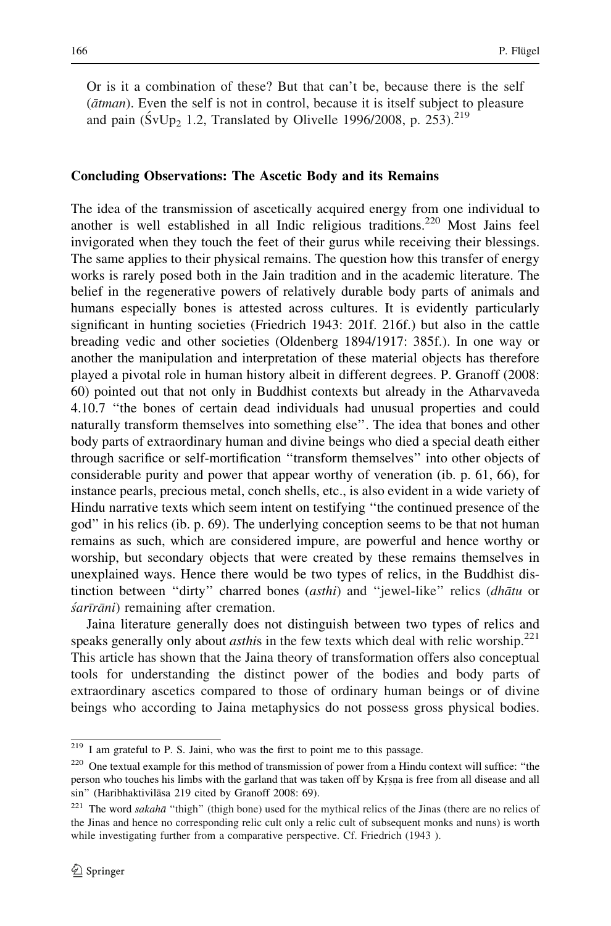Or is it a combination of these? But that can't be, because there is the self  $(\bar{a}t$ man). Even the self is not in control, because it is itself subject to pleasure and pain ( $\text{SvUp}_{2}$  1.2, Translated by Olivelle 1996/2008, p. 253).<sup>219</sup>

## Concluding Observations: The Ascetic Body and its Remains

The idea of the transmission of ascetically acquired energy from one individual to another is well established in all Indic religious traditions.<sup>220</sup> Most Jains feel invigorated when they touch the feet of their gurus while receiving their blessings. The same applies to their physical remains. The question how this transfer of energy works is rarely posed both in the Jain tradition and in the academic literature. The belief in the regenerative powers of relatively durable body parts of animals and humans especially bones is attested across cultures. It is evidently particularly significant in hunting societies (Friedrich 1943: 201f. 216f.) but also in the cattle breading vedic and other societies (Oldenberg 1894/1917: 385f.). In one way or another the manipulation and interpretation of these material objects has therefore played a pivotal role in human history albeit in different degrees. P. Granoff (2008: 60) pointed out that not only in Buddhist contexts but already in the Atharvaveda 4.10.7 ''the bones of certain dead individuals had unusual properties and could naturally transform themselves into something else''. The idea that bones and other body parts of extraordinary human and divine beings who died a special death either through sacrifice or self-mortification ''transform themselves'' into other objects of considerable purity and power that appear worthy of veneration (ib. p. 61, 66), for instance pearls, precious metal, conch shells, etc., is also evident in a wide variety of Hindu narrative texts which seem intent on testifying ''the continued presence of the god'' in his relics (ib. p. 69). The underlying conception seems to be that not human remains as such, which are considered impure, are powerful and hence worthy or worship, but secondary objects that were created by these remains themselves in unexplained ways. Hence there would be two types of relics, in the Buddhist distinction between "dirty" charred bones (asthi) and "jewel-like" relics (dhātu or  $s$ arī $r\bar{a}$ ni) remaining after cremation.

Jaina literature generally does not distinguish between two types of relics and speaks generally only about *asthis* in the few texts which deal with relic worship.<sup>221</sup> This article has shown that the Jaina theory of transformation offers also conceptual tools for understanding the distinct power of the bodies and body parts of extraordinary ascetics compared to those of ordinary human beings or of divine beings who according to Jaina metaphysics do not possess gross physical bodies.

<sup>&</sup>lt;sup>219</sup> I am grateful to P. S. Jaini, who was the first to point me to this passage.

<sup>&</sup>lt;sup>220</sup> One textual example for this method of transmission of power from a Hindu context will suffice: "the person who touches his limbs with the garland that was taken off by Krsna is free from all disease and all sin" (Haribhaktivilāsa 219 cited by Granoff 2008: 69).

<sup>&</sup>lt;sup>221</sup> The word sakahā "thigh" (thigh bone) used for the mythical relics of the Jinas (there are no relics of the Jinas and hence no corresponding relic cult only a relic cult of subsequent monks and nuns) is worth while investigating further from a comparative perspective. Cf. Friedrich (1943 ).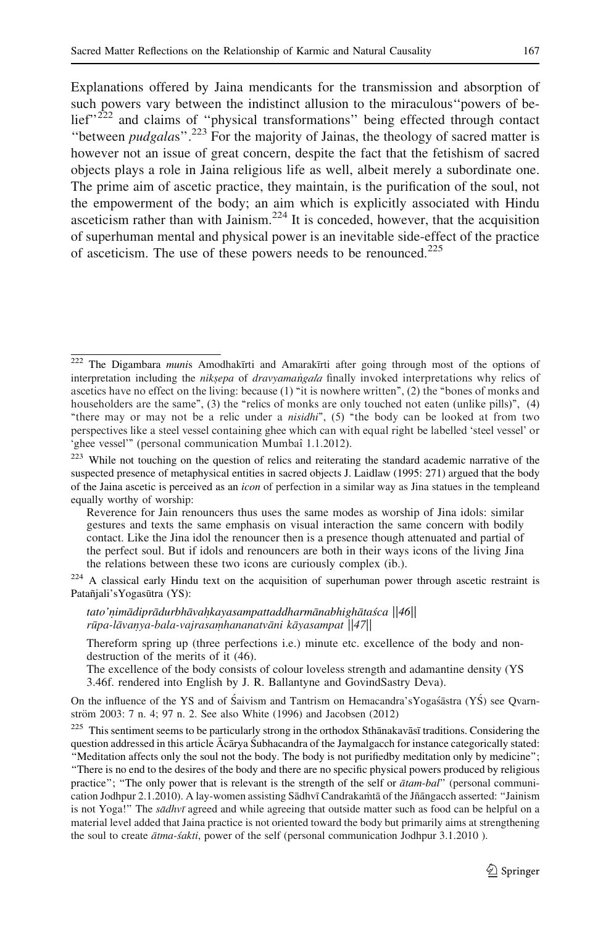Explanations offered by Jaina mendicants for the transmission and absorption of such powers vary between the indistinct allusion to the miraculous''powers of belief"<sup>222</sup> and claims of "physical transformations" being effected through contact ''between pudgalas''.<sup>223</sup> For the majority of Jainas, the theology of sacred matter is however not an issue of great concern, despite the fact that the fetishism of sacred objects plays a role in Jaina religious life as well, albeit merely a subordinate one. The prime aim of ascetic practice, they maintain, is the purification of the soul, not the empowerment of the body; an aim which is explicitly associated with Hindu asceticism rather than with Jainism.<sup>224</sup> It is conceded, however, that the acquisition of superhuman mental and physical power is an inevitable side-effect of the practice of asceticism. The use of these powers needs to be renounced.<sup>225</sup>

tato'nimādiprādurbhāvahkayasampattaddharmānabhighātaśca ||46|| rūpa-lāvanya-bala-vajrasamhananatvāni kāyasampat ||47||

<sup>&</sup>lt;sup>222</sup> The Digambara munis Amodhakīrti and Amarakīrti after going through most of the options of interpretation including the niksepa of dravyamangala finally invoked interpretations why relics of ascetics have no effect on the living: because (1) "it is nowhere written", (2) the "bones of monks and householders are the same", (3) the "relics of monks are only touched not eaten (unlike pills)", (4) "there may or may not be a relic under a *nisidhi*", (5) "the body can be looked at from two perspectives like a steel vessel containing ghee which can with equal right be labelled 'steel vessel' or 'ghee vessel'" (personal communication Mumbaî 1.1.2012).

<sup>&</sup>lt;sup>223</sup> While not touching on the question of relics and reiterating the standard academic narrative of the suspected presence of metaphysical entities in sacred objects J. Laidlaw (1995: 271) argued that the body of the Jaina ascetic is perceived as an icon of perfection in a similar way as Jina statues in the templeand equally worthy of worship:

Reverence for Jain renouncers thus uses the same modes as worship of Jina idols: similar gestures and texts the same emphasis on visual interaction the same concern with bodily contact. Like the Jina idol the renouncer then is a presence though attenuated and partial of the perfect soul. But if idols and renouncers are both in their ways icons of the living Jina the relations between these two icons are curiously complex (ib.).

<sup>&</sup>lt;sup>224</sup> A classical early Hindu text on the acquisition of superhuman power through ascetic restraint is Patañjali'sYogasūtra (YS):

Thereform spring up (three perfections i.e.) minute etc. excellence of the body and nondestruction of the merits of it (46).

The excellence of the body consists of colour loveless strength and adamantine density (YS 3.46f. rendered into English by J. R. Ballantyne and GovindSastry Deva).

On the influence of the YS and of Saivism and Tantrism on Hemacandra's Yogas´āstra  $(Y\acute{S})$  see Ovarnström 2003: 7 n. 4; 97 n. 2. See also White (1996) and Jacobsen (2012)

<sup>&</sup>lt;sup>225</sup> This sentiment seems to be particularly strong in the orthodox Sthānakavāsī traditions. Considering the question addressed in this article  $\bar{A}$  ca $\bar{A}$  variance  $\bar{A}$  cannot a of the Jaymalgacch for instance categorically stated: ''Meditation affects only the soul not the body. The body is not purifiedby meditation only by medicine''; ''There is no end to the desires of the body and there are no specific physical powers produced by religious practice"; "The only power that is relevant is the strength of the self or  $\bar{a}$ tam-bal" (personal communication Jodhpur 2.1.2010). A lay-women assisting Sadhvī Candrakamta of the Jñangacch asserted: "Jainism" is not Yoga!" The sadhvī agreed and while agreeing that outside matter such as food can be helpful on a material level added that Jaina practice is not oriented toward the body but primarily aims at strengthening the soul to create  $\bar{\alpha}$ tma-s'akti, power of the self (personal communication Jodhpur 3.1.2010).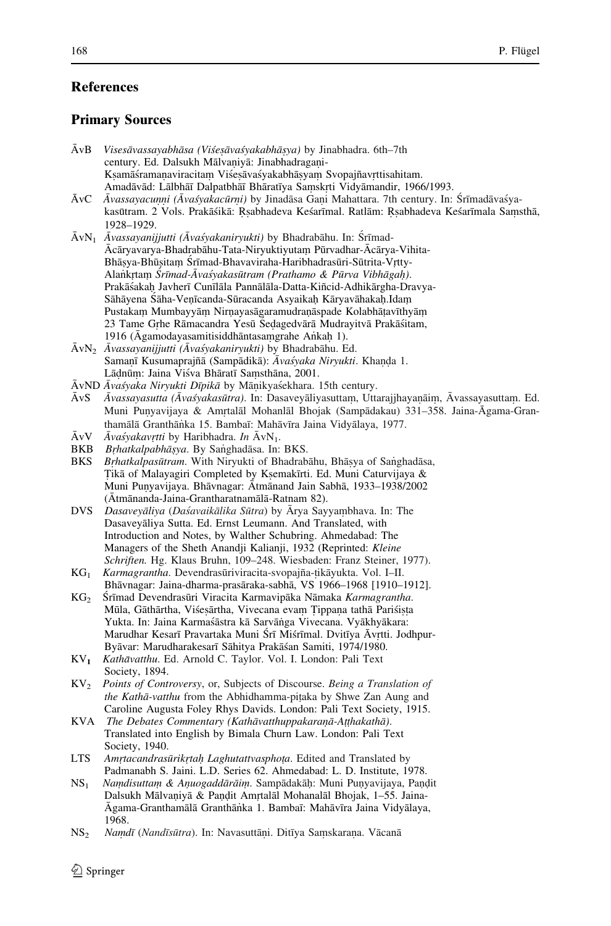# **References**

## Primary Sources

- ĀvB Visesāvassayabhāsa (Visesāvas´yakabhāsya) by Jinabhadra. 6th–7th century. Ed. Dalsukh Mālvaniyā: Jinabhadragani-Ksamāśramanaviracitam Viśesāvaśyakabhāsyam Svopajñavrttisahitam. Amadāvād: Lālbhāī Dalpatbhāī Bhāratīva Samskrti Vidyāmandir, 1966/1993.
- ĀvC *Āvassayacunni (Āvasyakacūrni)* by Jinadāsa Gani Mahattara. 7th century. In: Śrīmadāvas´yakasūtram. 2 Vols. Prakāśikā: Rsabhadeva Keśarīmal. Ratlām: Rsabhadeva Keśarīmala Samsthā, 1928–1929.
- $\bar{A}$ vN<sub>1</sub>  $\bar{A}$ vassayanijjutti ( $\bar{A}$ vas´yakaniryukti) by Bhadrabāhu. In: Śrīmad-Ācāryavarya-Bhadrabāhu-Tata-Niryuktiyutam Pūrvadhar-Ācārya-Vihita-Bhāsya-Bhūsitam Śrīmad-Bhavaviraha-Haribhadrasūri-Sūtrita-Vrtty-Alankrtam Śrīmad-Āvasyakasūtram (Prathamo & Pūrva Vibhāgah). Prakāśakaḥ Javherī Cunīlāla Pannālāla-Datta-Kiñcid-Adhikārgha-Dravya-<br>Sāhāvena Śāha-Venīcanda-Sūracanda Asvaikah Kārvavāhakaḥ.Idam Pustakam Mumbayyam Nirnayasagaramudrana Spade Kolabhatavīthyam: 23 Tame Grhe Ramacandra Yesu Sedagedvara Mudrayitva Prakas̃itam, 1916 (Āgamodayasamitisiddhāntasamgrahe Ankah 1).
- $\bar{A}$ vN<sub>2</sub>  $\bar{A}$ vassayanijjutti ( $\bar{A}$ vas<sup>*vakaniryukti*) by Bhadrabāhu. Ed.</sup> Samanī Kusumaprajñā (Sampādikā): Āvasyaka Niryukti. Khanda 1. Lādnūm: Jaina Visva Bhāratī Samsthāna, 2001.
- ĀvND Āvasyaka Niryukti Dīpikā by Mānikyasekhara. 15th century.<br>ĀvS *Āvassavasutta (Āvasvakasūtra).* In: Dasavevālivasuttam. Utta
- Āvassayasutta (Āvasyakasūtra). In: Dasaveyāliyasuttam, Uttarajjhayanāim, Āvassayasuttam. Ed. Muni Punyavijaya & Amrtalāl Mohanlāl Bhojak (Sampādakau) 331–358. Jaina-Āgama-Granthamālā Granthāṅka 15. Bambaī: Mahāvīra Jaina Vidyālaya, 1977.
- $\bar{A}$ vV  $\bar{A}$ vas´yakavrtti by Haribhadra. In  $\bar{A}$ vN<sub>1</sub>.
- BKB Brhatkalpabhāsya. By Sanghadāsa. In: BKS.
- BKS Brhatkalpasūtram. With Niryukti of Bhadrabāhu, Bhāsya of Sanghadāsa, Tikā of Malayagiri Completed by Ksemakīrti. Ed. Muni Caturvijaya & Muni Punyavijaya. Bhāvnagar: Atmānand Jain Sabhā, 1933–1938/2002 (Ātmānanda-Jaina-Grantharatnamālā-Ratnam 82).
- DVS Dasaveyāliya (Das´avaikālika Sūtra) by Ārya Sayyambhava. In: The Dasaveyaliya Sutta. Ed. Ernst Leumann. And Translated, with Introduction and Notes, by Walther Schubring. Ahmedabad: The Managers of the Sheth Anandji Kalianji, 1932 (Reprinted: Kleine Schriften. Hg. Klaus Bruhn, 109–248. Wiesbaden: Franz Steiner, 1977).
- KG<sub>1</sub> Karmagrantha. Devendrasūriviracita-svopajña-tikāyukta. Vol. I–II. Bhāvnagar: Jaina-dharma-prasāraka-sabhā, VS 1966–1968 [1910–1912].
- KG<sub>2</sub> Śrīmad Devendrasūri Viracita Karmavipāka Nāmaka Karmagrantha. Mūla, Gāthārtha, Visesārtha, Vivecana evam Tippana tathā Parisista Yukta. In: Jaina Karmaśāstra kā Sarvānga Vivecana. Vyākhyākara: Marudhar Kesarī Pravartaka Muni Śrī Miśrīmal. Dvitīya Āvrtti. Jodhpur-Byāvar: Marudharakesarī Sāhitya Prakāśan Samiti, 1974/1980.
- KV<sub>1</sub> Kathāvatthu. Ed. Arnold C. Taylor. Vol. I. London: Pali Text Society, 1894.
- $KV<sub>2</sub>$  Points of Controversy, or, Subjects of Discourse. Being a Translation of the Kathā-vatthu from the Abhidhamma-pitaka by Shwe Zan Aung and Caroline Augusta Foley Rhys Davids. London: Pali Text Society, 1915.
- KVA The Debates Commentary (Kathāvatthuppakaranā-Atthakathā). Translated into English by Bimala Churn Law. London: Pali Text Society, 1940.
- LTS Amrtacandrasūrikrtah Laghutattvasphota. Edited and Translated by Padmanabh S. Jaini. L.D. Series 62. Ahmedabad: L. D. Institute, 1978.
- NS<sub>1</sub> Namdisuttam & Anuogaddārāim. Sampādakāḥ: Muni Punyavijaya, Pandit Dalsukh Mālvaniyā & Pandit Amrtalāl Mohanalāl Bhojak, 1–55. Jaina-Āgama-Granthamālā Granthānka 1. Bambaī: Mahāvīra Jaina Vidyālaya, 1968.
- NS<sub>2</sub> Namdī (Nandīsūtra). In: Navasuttāni. Ditīya Samskarana. Vācanā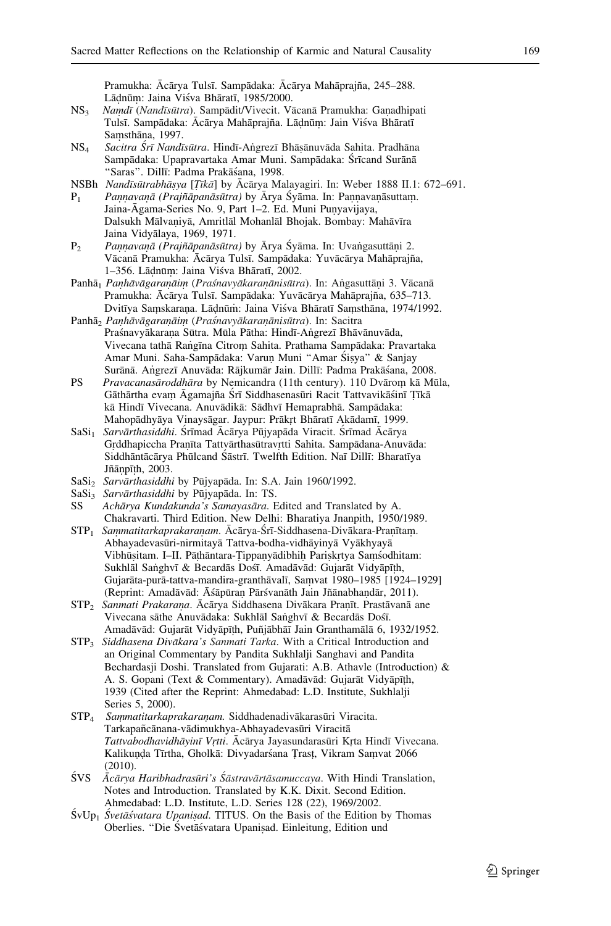Pramukha: Ācārya Tulsī. Sampādaka: Ācārya Mahāprajña, 245–288. Lādnūm: Jaina Visva Bhāratī, 1985/2000.

- NS<sub>3</sub> Namdī (Nandīsūtra). Sampādit/Vivecit. Vācanā Pramukha: Ganadhipati Tulsī. Sampādaka: Ācārya Mahāprajña. Lādnūm: Jain Viśva Bhāratī Samsthāna, 1997.
- NS<sub>4</sub> Sacitra Śrī Nandīsūtra. Hindī-Angrezī Bhāsānuvāda Sahita. Pradhāna Sampādaka: Upapravartaka Amar Muni. Sampādaka: Śrīcand Surānā "Saras". Dillī: Padma Prakāśana, 1998.
- NSBh *Nandīsūtrabhāsya* [*Tīkā*] by Ācārya Malayagiri. In: Weber 1888 II.1: 672–691.<br>P<sub>1</sub> Pannavanā (Praiñāpanāsūtra) by Ārva Śvāma. In: Pannavanāsuttam.
- Pannavanā (Prajñāpanāsūtra) by Ārya Śyāma. In: Pannavanāsuttam. Jaina-Āgama-Series No. 9, Part 1–2. Ed. Muni Punyavijaya, Dalsukh Mālvaniyā, Amritlāl Mohanlāl Bhojak. Bombay: Mahāvīra Jaina Vidyālaya, 1969, 1971.
- $P_2$  Pannavanā (Prajñāpanāsūtra) by Ārya Śyāma. In: Uvangasuttāni 2. Vācanā Pramukha: Ācārya Tulsī. Sampādaka: Yuvācārya Mahāprajña, 1–356. Lādnūm: Jaina Visva Bhāratī, 2002.
- Panhā<sub>1</sub> Panhāvāgaranāim (Praśnavyākaranānisūtra). In: Angasuttāni 3. Vācanā Pramukha: Āçārya Tulsī, Sampādaka: Yuvāçārya Mahāprajña, 635–713. Dvitīya Samskarana. Lādnūm: Jaina Visva Bhāratī Samsthāna, 1974/1992.
- Panhā<sub>2</sub> Panhāvāgaranāim (Praśnavyākaranānisūtra). In: Sacitra Praśnavyākarana Sūtra. Mūla Pātha: Hindī-Angrezī Bhāvānuvāda, Vivecana tathā Rangīna Citrom Sahita. Prathama Sampādaka: Pravartaka Amar Muni. Saha-Sampādaka: Varun Muni "Amar Śisya" & Sanjay Surānā. Angrezī Anuvāda: Rājkumār Jain. Dillī: Padma Prakāśana, 2008.
- PS *Pravacanasāroddhāra* by Nemicandra (11th century). 110 Dvārom kā Mūla, Gāthārtha evam Āgamajña Śrī Siddhasenasūri Racit Tattvavikāśinī Tīkā kā Hindī Vivecana. Anuvādikā: Sādhvī Hemaprabhā. Sampādaka: Mahopādhyāya Vinaysāgar. Jaypur: Prākrt Bhāratī Akādamī, 1999.
- SaSi<sub>1</sub> Sarvārthasiddhi. Srīmad Āçārya Pūjyapāda Viracit. Srīmad Āçārya Grddhapiccha Pranīta Tattvārthasūtravrtti Sahita. Sampādana-Anuvāda: Siddhāntācārya Phūlcand Śāstrī. Twelfth Edition. Naī Dillī: Bharatīya Jñānpīth, 2003.
- SaSi<sub>2</sub> Sarvārthasiddhi by Pūjyapāda. In: S.A. Jain 1960/1992.<br>SaSi<sub>2</sub> Sarvārthasiddhi by Pūjyapāda. In: TS.
- SaSi<sub>3</sub> Sarvārthasiddhi by Pūjyapāda. In: TS.<br>SS Achārva Kundakunda's Samavasāra. F
- Achārya Kundakunda's Samayasāra. Edited and Translated by A. Chakravarti. Third Edition. New Delhi: Bharatiya Jnanpith, 1950/1989.
- $STP_1$  Sammatitarkaprakaranam.  $\bar{A}$ cārya-Śrī-Siddhasena-Divākara-Pranītam. Abhayadevasūri-nirmitayā Tattva-bodha-vidhāvinyā Vyākhyayā Vibhūsitam. I–II. Pāthāntara-Tippanyādibhih Pariskrtya Samsodhitam: Sukhlāl Sanghvī & Becardās Dosī. Amadāvād: Gujarāt Vidyāpīth, Gujarāta-purā-tattva-mandira-granthāvalī, Samvat 1980–1985 [1924–1929] (Reprint: Amadāvād: Āsāpūran Pārs´vanāth Jain Jñānabhandār, 2011).
- STP<sub>2</sub> Sanmati Prakarana. Ācārya Siddhasena Divākara Pranīt. Prastāvanā ane Vivecana sāthe Anuvādaka: Sukhlāl Sanghvī & Becardās Dosī. Amadāvād: Gujarāt Vidvāpīth. Puñjābhāī Jain Granthamālā 6, 1932/1952.
- STP<sub>3</sub> Siddhasena Divākara's Sanmati Tarka. With a Critical Introduction and an Original Commentary by Pandita Sukhlalji Sanghavi and Pandita Bechardasji Doshi. Translated from Gujarati: A.B. Athavle (Introduction) & A. S. Gopani (Text & Commentary). Amadāvād: Gujarāt Vidyāpīth, 1939 (Cited after the Reprint: Ahmedabad: L.D. Institute, Sukhlalji Series 5, 2000).
- STP<sub>4</sub> Sammatitarkaprakaranam. Siddhadenadivākarasūri Viracita. Tarkapañcānana-vādimukhya-Abhayadevasūri Viracitā Tattvabodhavidhāyinī Vrtti. Ācārya Jayasundarasūri Krta Hindī Vivecana. Kalikunda Tīrtha, Gholkā: Divyadarśana Trast, Vikram Samvat 2066 (2010).
- $\hat{S}VS \quad \hat{A}c\bar{a}rya$  Haribhadrasūri's  $\hat{S}$ āstravārtāsamuccaya. With Hindi Translation, Notes and Introduction. Translated by K.K. Dixit. Second Edition. Ahmedabad: L.D. Institute, L.D. Series 128 (22), 1969/2002.
- $\text{SvUp}_1$  Śvetāśvatara Upanisad. TITUS. On the Basis of the Edition by Thomas Oberlies. "Die Svetās´vatara Upanisad. Einleitung, Edition und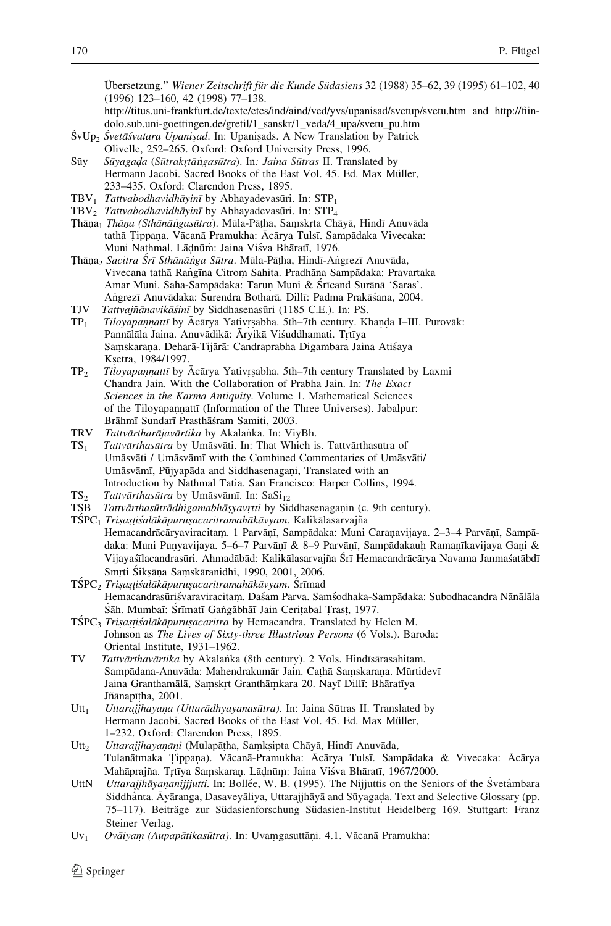U¨ bersetzung.'' Wiener Zeitschrift für die Kunde Südasiens 32 (1988) 35–62, 39 (1995) 61–102, 40 (1996) 123–160, 42 (1998) 77–138.

http://titus.uni-frankfurt.de/texte/etcs/ind/aind/ved/yvs/upanisad/svetup/svetu.htm and http://fiindolo.sub.uni-goettingen.de/gretil/1\_sanskr/1\_veda/4\_upa/svetu\_pu.htm

- ŚvUp<sub>2</sub> Śvetāśvatara Upanisad. In: Upanisads. A New Translation by Patrick Olivelle, 252–265. Oxford: Oxford University Press, 1996.
- Sūy Sūyagada (Sūtrakrtāngasūtra). In: Jaina Sūtras II. Translated by Hermann Jacobi. Sacred Books of the East Vol. 45. Ed. Max Müller, 233–435. Oxford: Clarendon Press, 1895.
- TBV<sub>1</sub> Tattvabodhavidhāyinī by Abhayadevasūri. In:  $STP_1$
- TBV<sub>2</sub> Tattvabodhavidhāyinī by Abhayadevasūri. In: STP<sub>4</sub>
- Thāṇa<sub>1</sub> Thāṇa (Sthānāngasūtra). Mūla-Pāṭha, Saṃskṛta Chāyā, Hindī Anuvāda tathā Tippana. Vācanā Pramukha: Ācārya Tulsī. Sampādaka Vivecaka: Muni Nathmal. Lādnūm: Jaina Visva Bhāratī, 1976.
- Thāna<sub>2</sub> Sacitra Śrī Sthānānga Sūtra. Mūla-Pātha, Hindī-Angrezī Anuvāda, Vivecana tathā Rangīna Citrom Sahita. Pradhāna Sampādaka: Pravartaka Amar Muni. Saha-Sampādaka: Tarun Muni & Śrīcand Surānā 'Saras'. Angrezī Anuvādaka: Surendra Botharā. Dillī: Padma Prakāśana, 2004.
- TJV Tattvajñānavikāšinī by Siddhasenasūri (1185 C.E.). In: PS.<br>TP<sub>1</sub> Tiloyapannattī by Ācārya Yativrsabha. 5th-7th century. Kl
- Tiloyapannattī by Ācārya Yativrsabha. 5th–7th century. Khanda I–III. Purovāk: Pannālāla Jaina. Anuvādikā: Āryikā Visuddhamati. Trtīya Samskarana. Deharā-Tijārā: Candraprabha Digambara Jaina Atisáya Ksetra, 1984/1997.
- $TP_2$  Tiloyapannattī by Ācārya Yativrsabha. 5th–7th century Translated by Laxmi Chandra Jain. With the Collaboration of Prabha Jain. In: The Exact Sciences in the Karma Antiquity. Volume 1. Mathematical Sciences of the Tiloyapannattī (Information of the Three Universes). Jabalpur: Brāhmī Sundarī Prasthāśram Samiti, 2003.
- TRV Tattvārtharājavārtika by Akalanka. In: ViyBh.<br>TS<sub>1</sub> Tattvārthasūtra by Umāsvāti. In: That Which i
- Tattvārthasūtra by Umāsvāti. In: That Which is. Tattvārthasūtra of Umāsvāti / Umāsvāmī with the Combined Commentaries of Umāsvāti/ Umāsvāmī, Pūjyapāda and Siddhasenagani, Translated with an Introduction by Nathmal Tatia. San Francisco: Harper Collins, 1994.
- $TS<sub>2</sub>$  Tattvārthasūtra by Umāsvāmī. In: Sa $Si<sub>12</sub>$ <br>TSB Tattvārthasūtrādhigamabhāsvavrtti by Sic
- Tattvārthasūtrādhigamabhāsyavrtti by Siddhasenaganin (c. 9th century).
- TŚPC<sub>1</sub> Trisastiśalākāpurusacaritramahākāvyam. Kalikālasarvajña
- Hemacandrācāryaviracitam. 1 Parvānī, Sampādaka: Muni Caranavijaya. 2–3–4 Parvānī, Sampādaka: Muni Punyavijaya. 5–6–7 Parvānī & 8–9 Parvānī, Sampādakauh Ramanīkavijaya Gani & Vijayas´īlacandrasūri. Ahmadābād: Kalikālasarvajña Śrī Hemacandrācārya Navama Janmas´atābdī Smrti Śiksāna Samskāranidhi, 1990, 2001, 2006.
- TŚPC<sub>2</sub> Trisastiśalākāpurusacaritramahākāvyam. Śrīmad Hemacandrasūrišvaraviracitam. Dašam Parva. Samsodhaka-Sampādaka: Subodhacandra Nānālāla Śāh. Mumbaī: Śrīmatī Gangābhāī Jain Ceritabal Trast, 1977.
- $TSPC<sub>3</sub> Trisastis a lākā purusa caritra by Hemacandra. Translated by Helen M.$ Johnson as The Lives of Sixty-three Illustrious Persons (6 Vols.). Baroda: Oriental Institute, 1931–1962.
- TV Tattvārthavārtika by Akalanka (8th century). 2 Vols. Hindīsārasahitam. Sampādana-Anuvāda: Mahendrakumār Jain. Cathā Samskarana. Mūrtidevī Jaina Granthamālā, Samskrt Granthāmkara 20. Nayī Dillī: Bhāratīya Jñānapītha, 2001.
- Utt<sub>1</sub> Uttarajjhayaņa (Uttarādhyayanasūtra). In: Jaina Sūtras II. Translated by Hermann Jacobi. Sacred Books of the East Vol. 45. Ed. Max Müller, 1–232. Oxford: Clarendon Press, 1895.
- Utt<sub>2</sub> Uttarajjhayanāni (Mūlapātha, Samksipta Chāyā, Hindī Anuvāda, Tulanātmaka Tippana). Vācanā-Pramukha: Acārya Tulsī. Sampādaka & Vivecaka: Acārya Mahāprajña. Trtīya Samskaran. Lādnūm: Jaina Visva Bhāratī, 1967/2000.
- UttN Uttarajjhāyananijjjutti. In: Bollée, W. B. (1995). The Nijjuttis on the Seniors of the Śvetâmbara Siddhânta. Āvāranga, Dasaveyāliya, Uttarajjhāyā and Sūyagada. Text and Selective Glossary (pp. 75–117). Beiträge zur Südasienforschung Südasien-Institut Heidelberg 169. Stuttgart: Franz Steiner Verlag.
- Uv<sub>1</sub> Ovāiyam (Aupapātikasūtra). In: Uvamgasuttāni. 4.1. Vācanā Pramukha: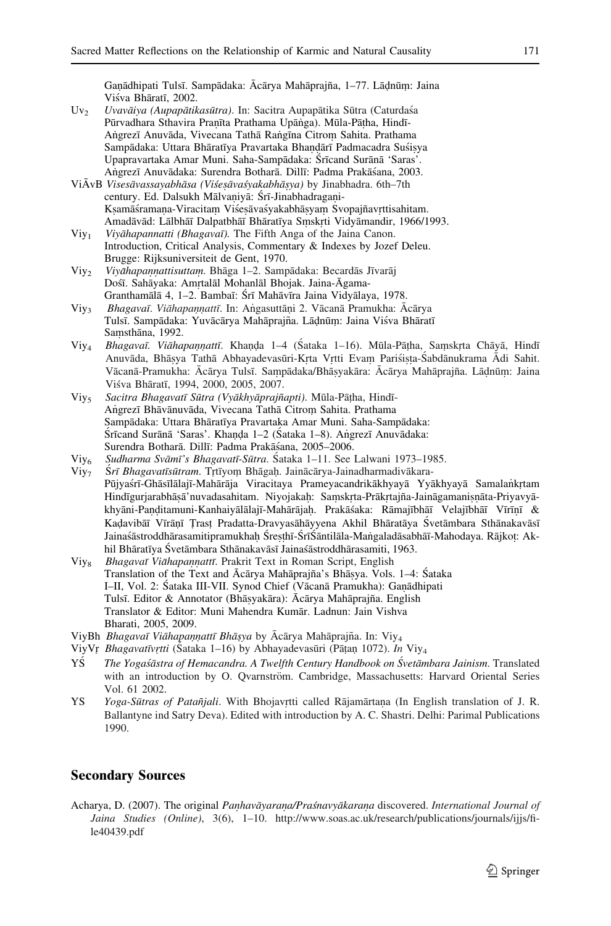Ganādhipati Tulsī. Sampādaka: Ācārya Mahāprajña, 1–77. Lādnūm: Jaina Viśva Bharatī, 2002.

- Uv<sub>2</sub> Uvavāiya (Aupapātikasūtra). In: Sacitra Aupapātika Sūtra (Caturdaśa Pūrvadhara Sthavira Pranīta Prathama Upānga). Mūla-Pātha, Hindī-Angrezī Anuvāda, Vivecana Tathā Rangīna Citrom Sahita. Prathama Sampādaka: Uttara Bhāratīya Pravartaka Bhandārī Padmacadra Suśisya Upapravartaka Amar Muni. Saha-Sampādaka: Šrīcand Surānā 'Saras'. Angrezī Anuvādaka: Surendra Botharā. Dillī: Padma Prakāśana, 2003.
- ViĀvB Visesāvassayabhāsa (Visesāvasvakabhāsya) by Jinabhadra. 6th–7th century. Ed. Dalsukh Mālvaniyā: Śrī-Jinabhadragani-Ksamāśramana-Viracitam Visesāvasvakabhāsyam Svopajñavrttisahitam. Amadāvād: Lālbhāī Dalpatbhāī Bhāratīya Smskrti Vidyāmandir, 1966/1993.
- Viy<sub>1</sub> Viyahapannatti (Bhagavai). The Fifth Anga of the Jaina Canon. Introduction, Critical Analysis, Commentary & Indexes by Jozef Deleu. Brugge: Rijksuniversiteit de Gent, 1970.
- Viy<sub>2</sub> Viyahapannattisuttam. Bhāga 1–2. Sampādaka: Becardās Jīvarāj Dośī. Sahāyaka: Amrtalāl Mohanlāl Bhojak. Jaina-Āgama-Granthamālā 4, 1–2. Bambaī: Śrī Mahāvīra Jaina Vidvālava, 1978.
- Viy<sub>3</sub> Bhagavaī. Viāhapannattī. In: Angasuttāni 2. Vācanā Pramukha: Ācārya Tulsī. Sampādaka: Yuvācārya Mahāprajña. Lādnūm: Jaina Viśva Bhāratī Samsthāna, 1992.
- Viy<sub>4</sub> Bhagavaī. Viāhapannattī. Khanda 1–4 (Śataka 1–16). Mūla-Pātha, Samskrta Chāyā, Hindī Anuvāda, Bhāsya Tathā Abhayadevasūri-Krta Vrtti Evam Pariśista-Śabdānukrama Ādi Sahit. Vācanā-Pramukha: Ācārya Tulsī. Sampādaka/Bhāsyakāra: Ācārya Mahāprajña. Lādnūm: Jaina Viśva Bhāratī, 1994, 2000, 2005, 2007.
- Viy<sub>5</sub> Sacitra Bhagavatī Sūtra (Vyākhyāprajñapti). Mūla-Pātha, Hindī-Angrezī Bhāvānuvāda, Vivecana Tathā Citrom Sahita. Prathama Sampādaka: Uttara Bhāratīya Pravartaka Amar Muni. Saha-Sampādaka: Śrīcand Surānā 'Saras'. Khanda 1–2 (Śataka 1–8). Angrezī Anuvādaka: Surendra Botharā. Dillī: Padma Prakās´ana, 2005–2006.
- Viy<sub>6</sub> Sudharma Svāmī's Bhagavatī-Sūtra. Šataka 1–11. See Lalwani 1973–1985.<br>Viy<sub>7</sub> Šrī Bhagavatīsūtram. Trtīyom Bhāgah. Jainācārya-Jainadharmadivākara-
- Śrī Bhagavatīsūtram. Trtīyom Bhāgah. Jainācārya-Jainadharmadivākara-Pūjyaśrī-Ghāsīlālajī-Mahārāja Viracitaya Prameyacandrikākhyayā Yyākhyayā Samalankr tam Hindīgurjarabhāsā'nuvadasahitam. Niyojakah: Samskrta-Prākrtajña-Jaināgamanisnāta-Priyavyākhyāni-Panditamuni-Kanhaiyālālajī-Mahārājah. Prakāśaka: Rāmajībhāī Velajībhāī Vīrīnī & Kadavibāī Vīrānī Trast Pradatta-Dravyasāhāyyena Akhil Bhāratāya Śvetāmbara Sthānakavāsī Jainas´āstroddhārasamitipramukhah Śresthī-ŚrīŚāntilāla-Mangaladāsabhāī-Mahodaya. Rājkot: Akhil Bhāratīva Śvetāmbara Sthānakavāsī Jainaśāstroddhārasamiti, 1963.
- Viy<sub>8</sub> Bhagavaī Viāhapannattī. Prakrit Text in Roman Script, English Translation of the Text and Āçārya Mahāprajña's Bhāsya. Vols. 1–4: Śataka I–II, Vol. 2: Śataka III-VII. Synod Chief (Vācanā Pramukha): Ganādhipati Tulsī. Editor & Annotator (Bhāsyakāra): Ācārya Mahāprajña. English Translator & Editor: Muni Mahendra Kumār. Ladnun: Jain Vishva Bharati, 2005, 2009.
- ViyBh Bhagavaī Viāhapannattī Bhāsya by Ācārya Mahāprajña. In: Viy<sub>4</sub>
- ViyVr: Bhagavatīvrtti (Šataka 1–16) by Abhayadevasūri (Pāṭaṇ 1072). In Viy<sub>4</sub><br>YŚ The Yogaśāstra of Hemacandra. A Twelfth Century Handbook on Śvetām
- The Yogas´astra of Hemacandra. A Twelfth Century Handbook on Śvetāmbara Jainism. Translated with an introduction by O. Qvarnström. Cambridge, Massachusetts: Harvard Oriental Series Vol. 61 2002.
- YS Yoga-Sūtras of Patañjali. With Bhojavrtti called Rājamārtana (In English translation of J. R. Ballantyne ind Satry Deva). Edited with introduction by A. C. Shastri. Delhi: Parimal Publications 1990.

# Secondary Sources

Acharya, D. (2007). The original *Panhavāvarana/Praśnavyākarana* discovered. International Journal of Jaina Studies (Online), 3(6), 1–10. http://www.soas.ac.uk/research/publications/journals/ijjs/file40439.pdf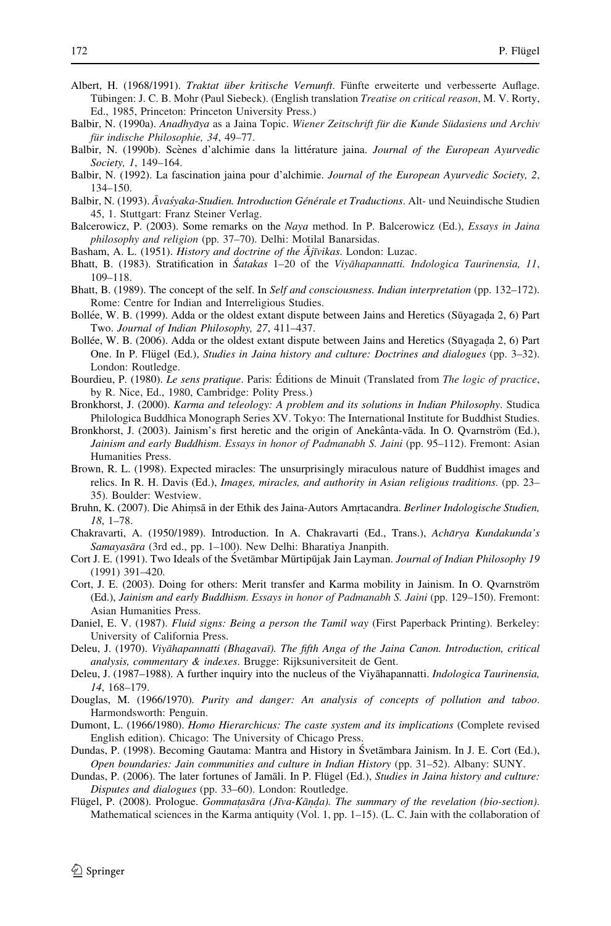55

- Albert, H. (1968/1991). Traktat über kritische Vernunft. Fünfte erweiterte und verbesserte Auflage. Tübingen: J. C. B. Mohr (Paul Siebeck). (English translation *Treatise on critical reason*, M. V. Rorty, Ed., 1985, Princeton: Princeton University Press.)
- Balbir, N. (1990a). Anadhyāya as a Jaina Topic. Wiener Zeitschrift für die Kunde Südasiens und Archiv für indische Philosophie, 34, 49–77.
- Balbir, N. (1990b). Scènes d'alchimie dans la littérature jaina. Journal of the European Ayurvedic Society, 1, 149–164.
- Balbir, N. (1992). La fascination jaina pour d'alchimie. Journal of the European Ayurvedic Society, 2, 134–150.
- Balbir, N. (1993). Āvasyaka-Studien. Introduction Générale et Traductions. Alt- und Neuindische Studien 45, 1. Stuttgart: Franz Steiner Verlag.
- Balcerowicz, P. (2003). Some remarks on the Naya method. In P. Balcerowicz (Ed.), Essays in Jaina philosophy and religion (pp. 37–70). Delhi: Motilal Banarsidas.
- Basham, A. L. (1951). History and doctrine of the Ājīvikas. London: Luzac.
- Bhatt, B. (1983). Stratification in *Śatakas* 1-20 of the Viyahapannatti. Indologica Taurinensia, 11, 109–118.
- Bhatt, B. (1989). The concept of the self. In *Self and consciousness. Indian interpretation* (pp. 132–172). Rome: Centre for Indian and Interreligious Studies.
- Bollée, W. B. (1999). Adda or the oldest extant dispute between Jains and Heretics (Sūyagada 2, 6) Part Two. Journal of Indian Philosophy, 27, 411–437.
- Bollée, W. B. (2006). Adda or the oldest extant dispute between Jains and Heretics (Sūyagada 2, 6) Part One. In P. Flügel (Ed.), Studies in Jaina history and culture: Doctrines and dialogues (pp. 3–32). London: Routledge.
- Bourdieu, P. (1980). Le sens pratique. Paris: Éditions de Minuit (Translated from The logic of practice, by R. Nice, Ed., 1980, Cambridge: Polity Press.)
- Bronkhorst, J. (2000). Karma and teleology: A problem and its solutions in Indian Philosophy. Studica Philologica Buddhica Monograph Series XV. Tokyo: The International Institute for Buddhist Studies.
- Bronkhorst, J. (2003). Jainism's first heretic and the origin of Anekânta-vāda. In O. Qvarnström (Ed.), Jainism and early Buddhism. Essays in honor of Padmanabh S. Jaini (pp. 95–112). Fremont: Asian Humanities Press.
- Brown, R. L. (1998). Expected miracles: The unsurprisingly miraculous nature of Buddhist images and relics. In R. H. Davis (Ed.), Images, miracles, and authority in Asian religious traditions. (pp. 23– 35). Boulder: Westview.
- Bruhn, K. (2007). Die Ahimsā in der Ethik des Jaina-Autors Amrtacandra. Berliner Indologische Studien, 18, 1–78.
- Chakravarti, A. (1950/1989). Introduction. In A. Chakravarti (Ed., Trans.), Achārya Kundakunda's Samayasāra (3rd ed., pp. 1–100). New Delhi: Bharatiya Jnanpith.
- Cort J. E. (1991). Two Ideals of the Svetambar Murtipu ak Jain Layman. Journal of Indian Philosophy 19 (1991) 391–420.
- Cort, J. E. (2003). Doing for others: Merit transfer and Karma mobility in Jainism. In O. Qvarnström (Ed.), Jainism and early Buddhism. Essays in honor of Padmanabh S. Jaini (pp. 129–150). Fremont: Asian Humanities Press.
- Daniel, E. V. (1987). Fluid signs: Being a person the Tamil way (First Paperback Printing). Berkeley: University of California Press.
- Deleu, J. (1970). Viyāhapannatti (Bhagavaī). The fifth Anga of the Jaina Canon. Introduction, critical analysis, commentary & indexes. Brugge: Rijksuniversiteit de Gent.
- Deleu, J. (1987–1988). A further inquiry into the nucleus of the Viyāhapannatti. Indologica Taurinensia, 14, 168–179.
- Douglas, M. (1966/1970). Purity and danger: An analysis of concepts of pollution and taboo. Harmondsworth: Penguin.
- Dumont, L. (1966/1980). Homo Hierarchicus: The caste system and its implications (Complete revised English edition). Chicago: The University of Chicago Press.
- Dundas, P. (1998). Becoming Gautama: Mantra and History in Śvetāmbara Jainism. In J. E. Cort (Ed.), Open boundaries: Jain communities and culture in Indian History (pp. 31–52). Albany: SUNY.
- Dundas, P. (2006). The later fortunes of Jamāli. In P. Flügel (Ed.), Studies in Jaina history and culture: Disputes and dialogues (pp. 33–60). London: Routledge.
- Flügel, P. (2008). Prologue. Gommatasāra (Jīva-Kānda). The summary of the revelation (bio-section). Mathematical sciences in the Karma antiquity (Vol. 1, pp. 1–15). (L. C. Jain with the collaboration of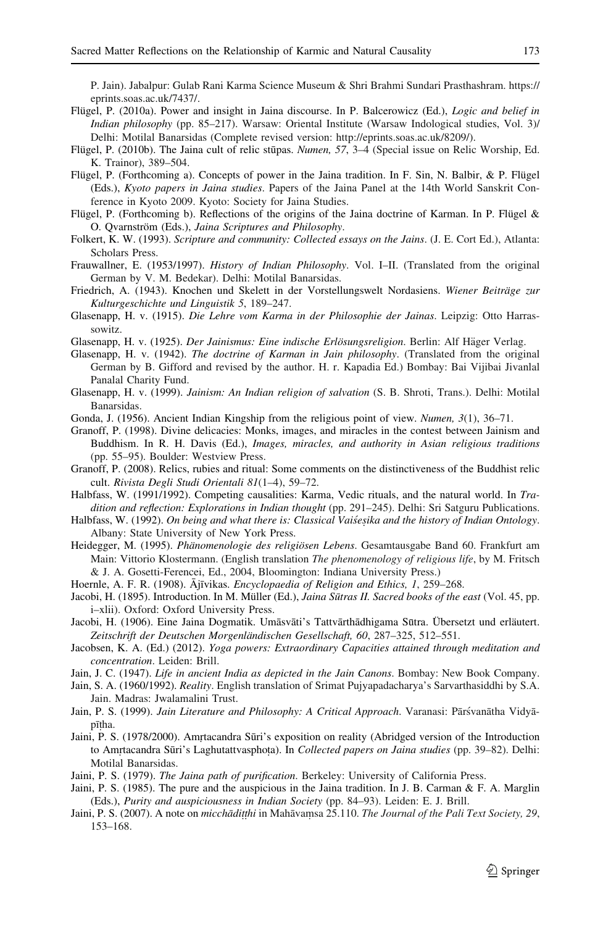P. Jain). Jabalpur: Gulab Rani Karma Science Museum & Shri Brahmi Sundari Prasthashram. https:// eprints.soas.ac.uk/7437/.

- Flügel, P. (2010a). Power and insight in Jaina discourse. In P. Balcerowicz (Ed.), Logic and belief in Indian philosophy (pp. 85–217). Warsaw: Oriental Institute (Warsaw Indological studies, Vol. 3)/ Delhi: Motilal Banarsidas (Complete revised version: http://eprints.soas.ac.uk/8209/).
- Flügel, P. (2010b). The Jaina cult of relic stupas. Numen, 57, 3–4 (Special issue on Relic Worship, Ed. K. Trainor), 389–504.
- Flügel, P. (Forthcoming a). Concepts of power in the Jaina tradition. In F. Sin, N. Balbir, & P. Flügel (Eds.), Kyoto papers in Jaina studies. Papers of the Jaina Panel at the 14th World Sanskrit Conference in Kyoto 2009. Kyoto: Society for Jaina Studies.
- Flügel, P. (Forthcoming b). Reflections of the origins of the Jaina doctrine of Karman. In P. Flügel & O. Ovarnström (Eds.), Jaina Scriptures and Philosophy.
- Folkert, K. W. (1993). Scripture and community: Collected essays on the Jains. (J. E. Cort Ed.), Atlanta: Scholars Press.
- Frauwallner, E. (1953/1997). History of Indian Philosophy. Vol. I–II. (Translated from the original German by V. M. Bedekar). Delhi: Motilal Banarsidas.
- Friedrich, A. (1943). Knochen und Skelett in der Vorstellungswelt Nordasiens. Wiener Beiträge zur Kulturgeschichte und Linguistik 5, 189–247.
- Glasenapp, H. v. (1915). Die Lehre vom Karma in der Philosophie der Jainas. Leipzig: Otto Harrassowitz.
- Glasenapp, H. v. (1925). Der Jainismus: Eine indische Erlösungsreligion. Berlin: Alf Häger Verlag.
- Glasenapp, H. v. (1942). The doctrine of Karman in Jain philosophy. (Translated from the original German by B. Gifford and revised by the author. H. r. Kapadia Ed.) Bombay: Bai Vijibai Jivanlal Panalal Charity Fund.
- Glasenapp, H. v. (1999). Jainism: An Indian religion of salvation (S. B. Shroti, Trans.). Delhi: Motilal Banarsidas.
- Gonda, J. (1956). Ancient Indian Kingship from the religious point of view. Numen,  $3(1)$ ,  $36-71$ .
- Granoff, P. (1998). Divine delicacies: Monks, images, and miracles in the contest between Jainism and Buddhism. In R. H. Davis (Ed.), Images, miracles, and authority in Asian religious traditions (pp. 55–95). Boulder: Westview Press.
- Granoff, P. (2008). Relics, rubies and ritual: Some comments on the distinctiveness of the Buddhist relic cult. Rivista Degli Studi Orientali 81(1–4), 59–72.
- Halbfass, W. (1991/1992). Competing causalities: Karma, Vedic rituals, and the natural world. In Tradition and reflection: Explorations in Indian thought (pp. 291–245). Delhi: Sri Satguru Publications.
- Halbfass, W. (1992). On being and what there is: Classical Vaisesika and the history of Indian Ontology. Albany: State University of New York Press.
- Heidegger, M. (1995). *Phänomenologie des religiösen Lebens*. Gesamtausgabe Band 60. Frankfurt am Main: Vittorio Klostermann. (English translation The phenomenology of religious life, by M. Fritsch & J. A. Gosetti-Ferencei, Ed., 2004, Bloomington: Indiana University Press.)
- Hoernle, A. F. R. (1908).  $\overline{A}$  jīvikas. *Encyclopaedia of Religion and Ethics*, 1, 259–268.
- Jacobi, H. (1895). Introduction. In M. Müller (Ed.), Jaina Sūtras II. Sacred books of the east (Vol. 45, pp. i–xlii). Oxford: Oxford University Press.
- Jacobi, H. (1906). Eine Jaina Dogmatik. Umāsvāti's Tattvārthādhigama Sūtra. Übersetzt und erläutert. Zeitschrift der Deutschen Morgenländischen Gesellschaft, 60, 287–325, 512–551.
- Jacobsen, K. A. (Ed.) (2012). *Yoga powers: Extraordinary Capacities attained through meditation and* concentration. Leiden: Brill.
- Jain, J. C. (1947). Life in ancient India as depicted in the Jain Canons. Bombay: New Book Company.
- Jain, S. A. (1960/1992). Reality. English translation of Srimat Pujyapadacharya's Sarvarthasiddhi by S.A. Jain. Madras: Jwalamalini Trust.
- Jain, P. S. (1999). Jain Literature and Philosophy: A Critical Approach. Varanasi: Pārśvanātha Vidyāpītha.
- Jaini, P. S. (1978/2000). Amrtacandra Sūri's exposition on reality (Abridged version of the Introduction to Amrtacandra Sūri's Laghutattvasphota). In Collected papers on Jaina studies (pp. 39–82). Delhi: Motilal Banarsidas.
- Jaini, P. S. (1979). The Jaina path of purification. Berkeley: University of California Press.
- Jaini, P. S. (1985). The pure and the auspicious in the Jaina tradition. In J. B. Carman & F. A. Marglin (Eds.), Purity and auspiciousness in Indian Society (pp. 84–93). Leiden: E. J. Brill.
- Jaini, P. S. (2007). A note on *micchāditthi* in Mahāvamsa 25.110. The Journal of the Pali Text Society, 29, 153–168.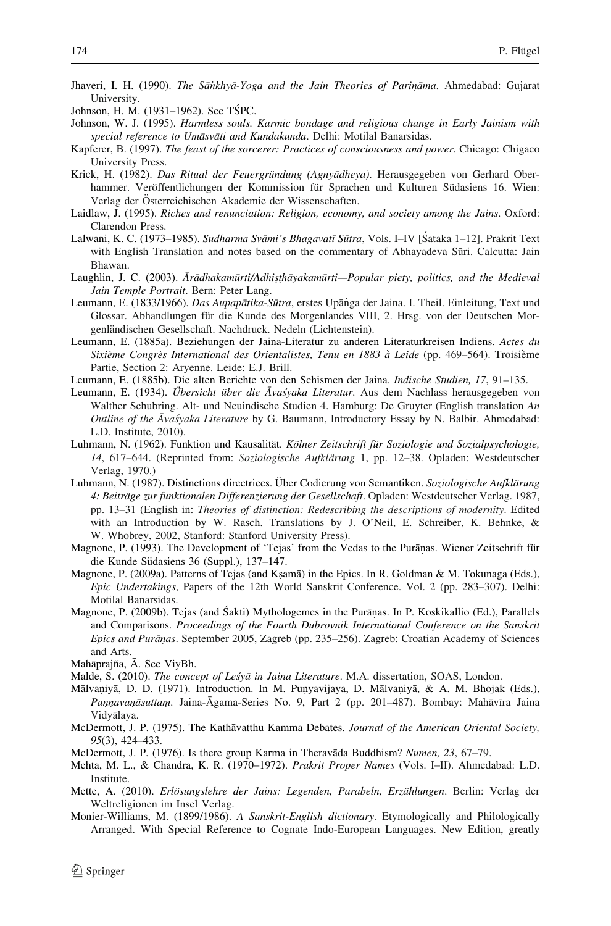Jhaveri, I. H. (1990). The Sankhya-Yoga and the Jain Theories of Parinama. Ahmedabad: Gujarat University.

Johnson, H. M. (1931–1962). See TSPC.

- Johnson, W. J. (1995). Harmless souls. Karmic bondage and religious change in Early Jainism with special reference to Umāsvāti and Kundakunda. Delhi: Motilal Banarsidas.
- Kapferer, B. (1997). The feast of the sorcerer: Practices of consciousness and power. Chicago: Chigaco University Press.
- Krick, H. (1982). Das Ritual der Feuergründung (Agnyādheya). Herausgegeben von Gerhard Oberhammer. Veröffentlichungen der Kommission für Sprachen und Kulturen Südasiens 16. Wien: Verlag der Österreichischen Akademie der Wissenschaften.
- Laidlaw, J. (1995). Riches and renunciation: Religion, economy, and society among the Jains. Oxford: Clarendon Press.
- Lalwani, K. C. (1973–1985). Sudharma Svāmi's Bhagavatī Sūtra, Vols. I–IV [Śataka 1–12]. Prakrit Text with English Translation and notes based on the commentary of Abhayadeva Sūri. Calcutta: Jain Bhawan.
- Laughlin, J. C. (2003).  $\bar{A}$ rādhakamūrti/Adhisthāyakamūrti—Popular piety, politics, and the Medieval Jain Temple Portrait. Bern: Peter Lang.
- Leumann, E. (1833/1966). Das Aupapātika-Sūtra, erstes Upānga der Jaina. I. Theil. Einleitung, Text und Glossar. Abhandlungen für die Kunde des Morgenlandes VIII, 2. Hrsg. von der Deutschen Morgenländischen Gesellschaft. Nachdruck. Nedeln (Lichtenstein).
- Leumann, E. (1885a). Beziehungen der Jaina-Literatur zu anderen Literaturkreisen Indiens. Actes du Sixième Congrès International des Orientalistes, Tenu en 1883 à Leide (pp. 469–564). Troisième Partie, Section 2: Aryenne. Leide: E.J. Brill.
- Leumann, E. (1885b). Die alten Berichte von den Schismen der Jaina. Indische Studien, 17, 91–135.
- Leumann, E. (1934). Übersicht über die Ävasyaka Literatur. Aus dem Nachlass herausgegeben von Walther Schubring. Alt- und Neuindische Studien 4. Hamburg: De Gruyter (English translation An Outline of the  $\bar{A}$ vas´yaka Literature by G. Baumann, Introductory Essay by N. Balbir. Ahmedabad: L.D. Institute, 2010).
- Luhmann, N. (1962). Funktion und Kausalität. Kölner Zeitschrift für Soziologie und Sozialpsychologie, 14, 617–644. (Reprinted from: Soziologische Aufklärung 1, pp. 12–38. Opladen: Westdeutscher Verlag, 1970.)
- Luhmann, N. (1987). Distinctions directrices. Über Codierung von Semantiken. Soziologische Aufklärung 4: Beiträge zur funktionalen Differenzierung der Gesellschaft. Opladen: Westdeutscher Verlag. 1987, pp. 13–31 (English in: Theories of distinction: Redescribing the descriptions of modernity. Edited with an Introduction by W. Rasch. Translations by J. O'Neil, E. Schreiber, K. Behnke, & W. Whobrey, 2002, Stanford: Stanford University Press).
- Magnone, P. (1993). The Development of 'Tejas' from the Vedas to the Puranas. Wiener Zeitschrift für die Kunde Südasiens 36 (Suppl.), 137–147.
- Magnone, P. (2009a). Patterns of Tejas (and Ksamā) in the Epics. In R. Goldman & M. Tokunaga (Eds.), Epic Undertakings, Papers of the 12th World Sanskrit Conference. Vol. 2 (pp. 283–307). Delhi: Motilal Banarsidas.
- Magnone, P. (2009b). Tejas (and Śakti) Mythologemes in the Puraņas. In P. Koskikallio (Ed.), Parallels and Comparisons. Proceedings of the Fourth Dubrovnik International Conference on the Sanskrit Epics and Puranas. September 2005, Zagreb (pp. 235–256). Zagreb: Croatian Academy of Sciences and Arts.
- Mahāprajña, Ā. See ViyBh.
- Malde, S. (2010). The concept of Lesya in Jaina Literature. M.A. dissertation, SOAS, London.
- Mālvaniyā, D. D. (1971). Introduction. In M. Punyavijaya, D. Mālvaniyā, & A. M. Bhojak (Eds.), Pannavanāsuttam. Jaina-Āgama-Series No. 9, Part 2 (pp. 201–487). Bombay: Mahāvīra Jaina Vidyālaya.
- McDermott, J. P. (1975). The Kathāvatthu Kamma Debates. Journal of the American Oriental Society, 95(3), 424–433.
- McDermott, J. P. (1976). Is there group Karma in Theravada Buddhism? Numen, 23, 67–79.
- Mehta, M. L., & Chandra, K. R. (1970–1972). Prakrit Proper Names (Vols. I–II). Ahmedabad: L.D. Institute.
- Mette, A. (2010). Erlösungslehre der Jains: Legenden, Parabeln, Erzählungen. Berlin: Verlag der Weltreligionen im Insel Verlag.
- Monier-Williams, M. (1899/1986). A Sanskrit-English dictionary. Etymologically and Philologically Arranged. With Special Reference to Cognate Indo-European Languages. New Edition, greatly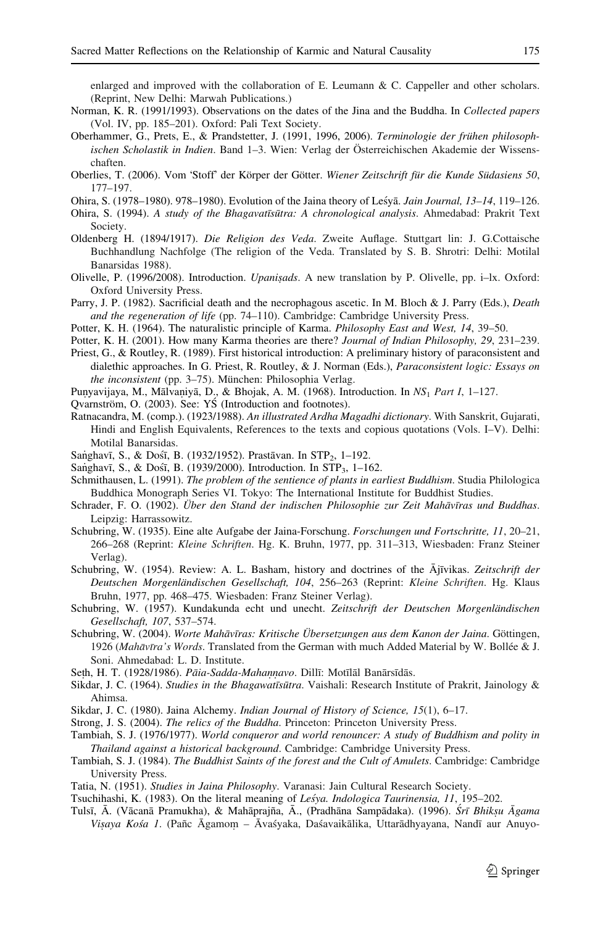enlarged and improved with the collaboration of E. Leumann & C. Cappeller and other scholars. (Reprint, New Delhi: Marwah Publications.)

- Norman, K. R. (1991/1993). Observations on the dates of the Jina and the Buddha. In Collected papers (Vol. IV, pp. 185–201). Oxford: Pali Text Society.
- Oberhammer, G., Prets, E., & Prandstetter, J. (1991, 1996, 2006). Terminologie der frühen philosophischen Scholastik in Indien. Band 1–3. Wien: Verlag der Österreichischen Akademie der Wissenschaften.
- Oberlies, T. (2006). Vom 'Stoff' der Körper der Götter. *Wiener Zeitschrift für die Kunde Südasiens 50*, 177–197.
- Ohira, S. (1978–1980). 978–1980). Evolution of the Jaina theory of Lesya *Jain Journal*, 13–14, 119–126.
- Ohira, S. (1994). A study of the Bhagavatīsūtra: A chronological analysis. Ahmedabad: Prakrit Text Society.
- Oldenberg H. (1894/1917). Die Religion des Veda. Zweite Auflage. Stuttgart lin: J. G.Cottaische Buchhandlung Nachfolge (The religion of the Veda. Translated by S. B. Shrotri: Delhi: Motilal Banarsidas 1988).
- Olivelle, P. (1996/2008). Introduction. *Upanisads*. A new translation by P. Olivelle, pp. i–lx. Oxford: Oxford University Press.
- Parry, J. P. (1982). Sacrificial death and the necrophagous ascetic. In M. Bloch & J. Parry (Eds.), *Death* and the regeneration of life (pp. 74–110). Cambridge: Cambridge University Press.
- Potter, K. H. (1964). The naturalistic principle of Karma. *Philosophy East and West*, 14, 39–50.

Potter, K. H. (2001). How many Karma theories are there? Journal of Indian Philosophy, 29, 231–239.

Priest, G., & Routley, R. (1989). First historical introduction: A preliminary history of paraconsistent and dialethic approaches. In G. Priest, R. Routley, & J. Norman (Eds.), Paraconsistent logic: Essays on the inconsistent (pp. 3–75). München: Philosophia Verlag.

Punyavijaya, M., Mālvaniyā, D., & Bhojak, A. M. (1968). Introduction. In  $NS_1$  Part I, 1–127.

- Qvarnström, O. (2003). See: YS<sup>(Introduction and footnotes).</sup>
- Ratnacandra, M. (comp.). (1923/1988). An illustrated Ardha Magadhi dictionary. With Sanskrit, Gujarati, Hindi and English Equivalents, References to the texts and copious quotations (Vols. I–V). Delhi: Motilal Banarsidas.
- Sanghavī, S., & Dośī, B. (1932/1952). Prastāvan. In STP<sub>2</sub>, 1–192.
- Sanghavī, S., & Dosī, B. (1939/2000). Introduction. In STP<sub>3</sub>, 1–162.
- Schmithausen, L. (1991). The problem of the sentience of plants in earliest Buddhism. Studia Philologica Buddhica Monograph Series VI. Tokyo: The International Institute for Buddhist Studies.
- Schrader, F. O. (1902). Über den Stand der indischen Philosophie zur Zeit Mahāvīras und Buddhas. Leipzig: Harrassowitz.
- Schubring, W. (1935). Eine alte Aufgabe der Jaina-Forschung. Forschungen und Fortschritte, 11, 20–21, 266–268 (Reprint: Kleine Schriften. Hg. K. Bruhn, 1977, pp. 311–313, Wiesbaden: Franz Steiner Verlag).
- Schubring, W. (1954). Review: A. L. Basham, history and doctrines of the  $\overline{A}$  jīvikas. Zeitschrift der Deutschen Morgenländischen Gesellschaft, 104, 256–263 (Reprint: Kleine Schriften. Hg. Klaus Bruhn, 1977, pp. 468–475. Wiesbaden: Franz Steiner Verlag).
- Schubring, W. (1957). Kundakunda echt und unecht. Zeitschrift der Deutschen Morgenländischen Gesellschaft, 107, 537–574.
- Schubring, W. (2004). Worte Mahāvīras: Kritische Übersetzungen aus dem Kanon der Jaina. Göttingen, 1926 (Mahāvīra's Words. Translated from the German with much Added Material by W. Bollée & J. Soni. Ahmedabad: L. D. Institute.
- Seth, H. T. (1928/1986). Pāia-Sadda-Mahannavo. Dillī: Motīlāl Banārsīdās.
- Sikdar, J. C. (1964). Studies in the Bhagawatīsūtra. Vaishali: Research Institute of Prakrit, Jainology & Ahimsa.
- Sikdar, J. C. (1980). Jaina Alchemy. Indian Journal of History of Science, 15(1), 6-17.
- Strong, J. S. (2004). The relics of the Buddha. Princeton: Princeton University Press.
- Tambiah, S. J. (1976/1977). World conqueror and world renouncer: A study of Buddhism and polity in Thailand against a historical background. Cambridge: Cambridge University Press.
- Tambiah, S. J. (1984). The Buddhist Saints of the forest and the Cult of Amulets. Cambridge: Cambridge University Press.
- Tatia, N. (1951). Studies in Jaina Philosophy. Varanasi: Jain Cultural Research Society.
- Tsuchihashi, K. (1983). On the literal meaning of Lesya. Indologica Taurinensia, 11, 195–202.
- Tulsī, Ā. (Vācanā Pramukha), & Mahāprajña, Ā., (Pradhāna Sampādaka). (1996). *Srī Bhiksu Āgama* Visaya Kośa 1. (Pañc Āgamom - Āvasyaka, Dasavaikālika, Uttarādhyayana, Nandī aur Anuyo-